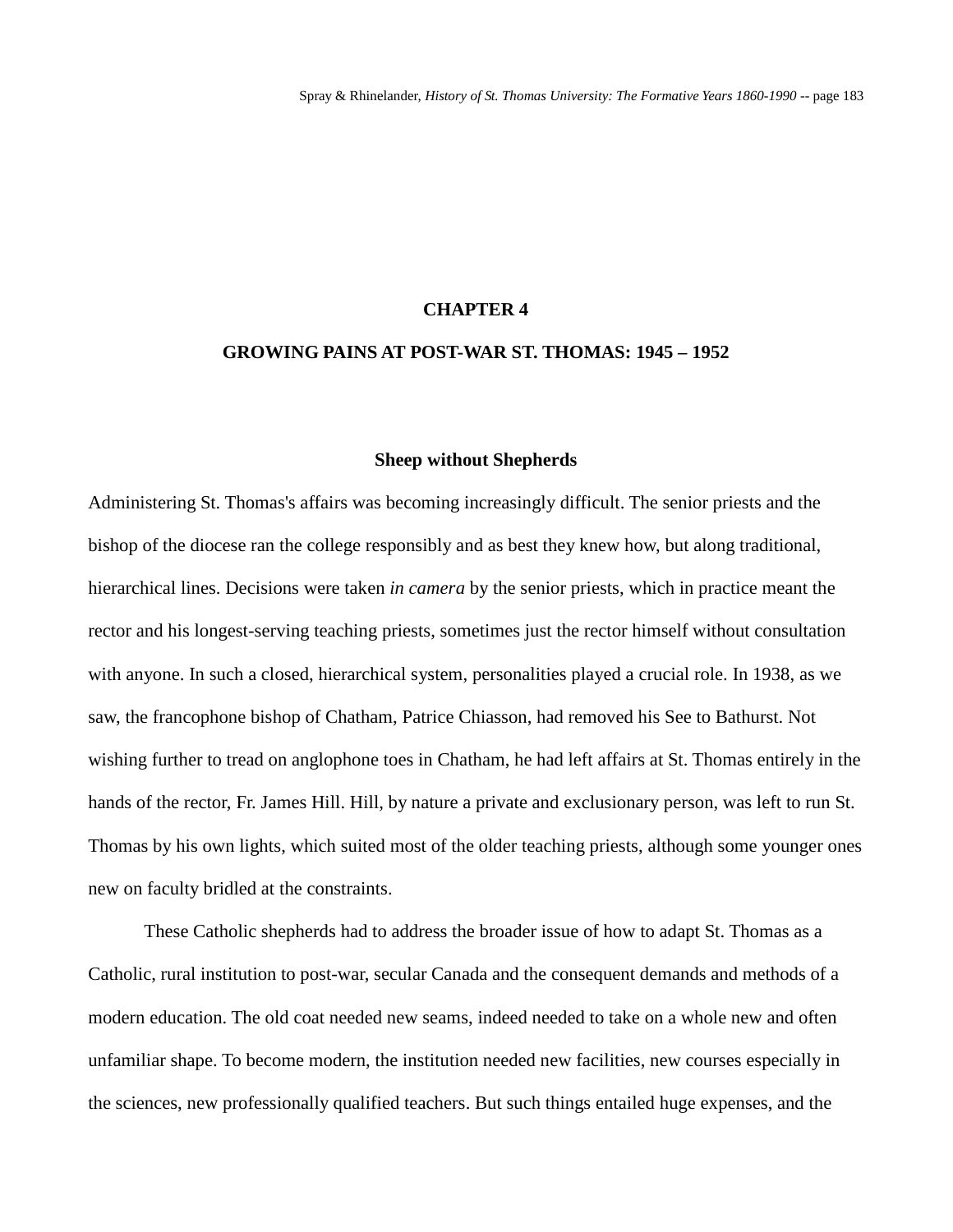# **CHAPTER 4**

# **GROWING PAINS AT POST-WAR ST. THOMAS: 1945 – 1952**

#### **Sheep without Shepherds**

Administering St. Thomas's affairs was becoming increasingly difficult. The senior priests and the bishop of the diocese ran the college responsibly and as best they knew how, but along traditional, hierarchical lines. Decisions were taken *in camera* by the senior priests, which in practice meant the rector and his longest-serving teaching priests, sometimes just the rector himself without consultation with anyone. In such a closed, hierarchical system, personalities played a crucial role. In 1938, as we saw, the francophone bishop of Chatham, Patrice Chiasson, had removed his See to Bathurst. Not wishing further to tread on anglophone toes in Chatham, he had left affairs at St. Thomas entirely in the hands of the rector, Fr. James Hill. Hill, by nature a private and exclusionary person, was left to run St. Thomas by his own lights, which suited most of the older teaching priests, although some younger ones new on faculty bridled at the constraints.

These Catholic shepherds had to address the broader issue of how to adapt St. Thomas as a Catholic, rural institution to post-war, secular Canada and the consequent demands and methods of a modern education. The old coat needed new seams, indeed needed to take on a whole new and often unfamiliar shape. To become modern, the institution needed new facilities, new courses especially in the sciences, new professionally qualified teachers. But such things entailed huge expenses, and the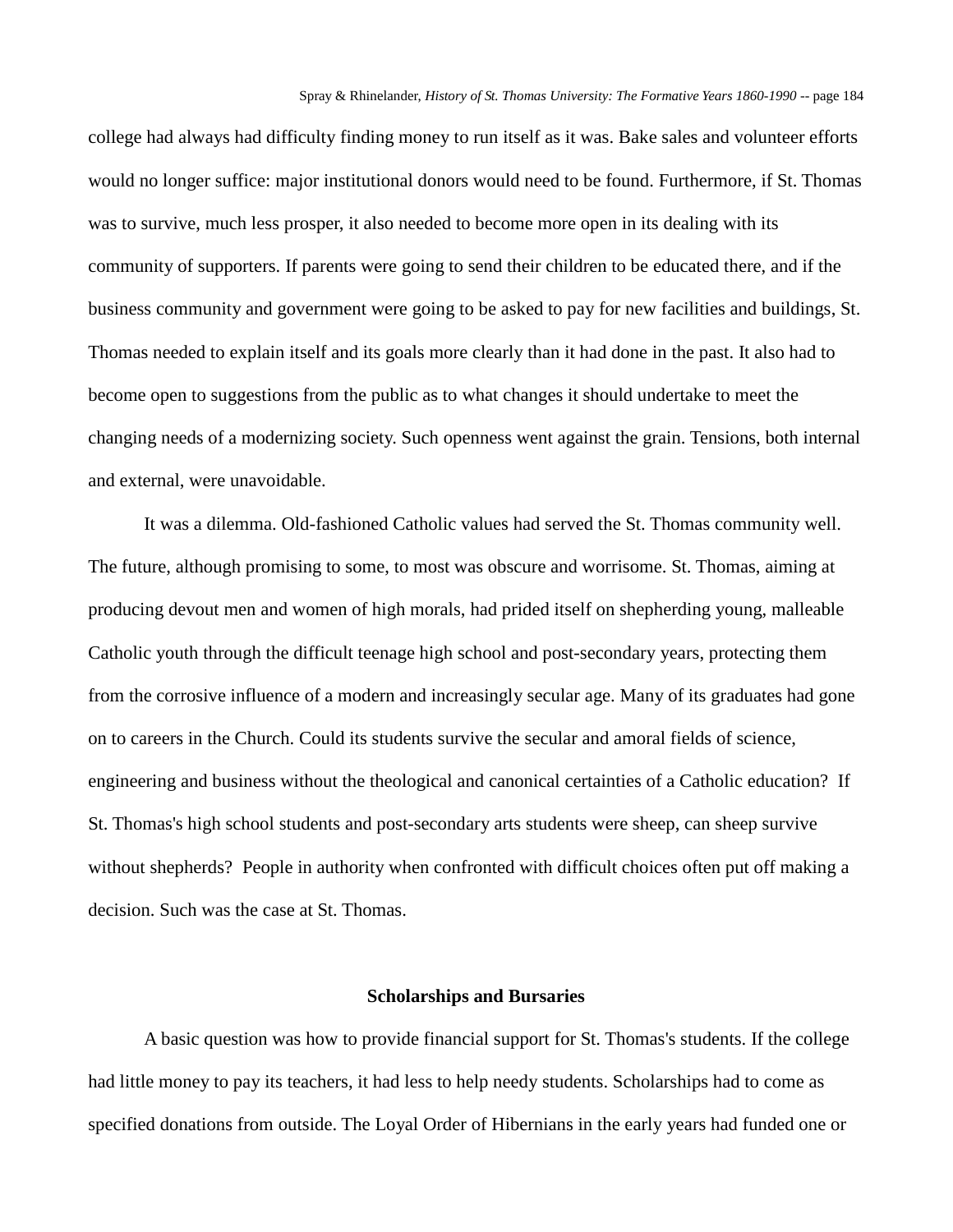college had always had difficulty finding money to run itself as it was. Bake sales and volunteer efforts would no longer suffice: major institutional donors would need to be found. Furthermore, if St. Thomas was to survive, much less prosper, it also needed to become more open in its dealing with its community of supporters. If parents were going to send their children to be educated there, and if the business community and government were going to be asked to pay for new facilities and buildings, St. Thomas needed to explain itself and its goals more clearly than it had done in the past. It also had to become open to suggestions from the public as to what changes it should undertake to meet the changing needs of a modernizing society. Such openness went against the grain. Tensions, both internal and external, were unavoidable.

It was a dilemma. Old-fashioned Catholic values had served the St. Thomas community well. The future, although promising to some, to most was obscure and worrisome. St. Thomas, aiming at producing devout men and women of high morals, had prided itself on shepherding young, malleable Catholic youth through the difficult teenage high school and post-secondary years, protecting them from the corrosive influence of a modern and increasingly secular age. Many of its graduates had gone on to careers in the Church. Could its students survive the secular and amoral fields of science, engineering and business without the theological and canonical certainties of a Catholic education? If St. Thomas's high school students and post-secondary arts students were sheep, can sheep survive without shepherds? People in authority when confronted with difficult choices often put off making a decision. Such was the case at St. Thomas.

### **Scholarships and Bursaries**

A basic question was how to provide financial support for St. Thomas's students. If the college had little money to pay its teachers, it had less to help needy students. Scholarships had to come as specified donations from outside. The Loyal Order of Hibernians in the early years had funded one or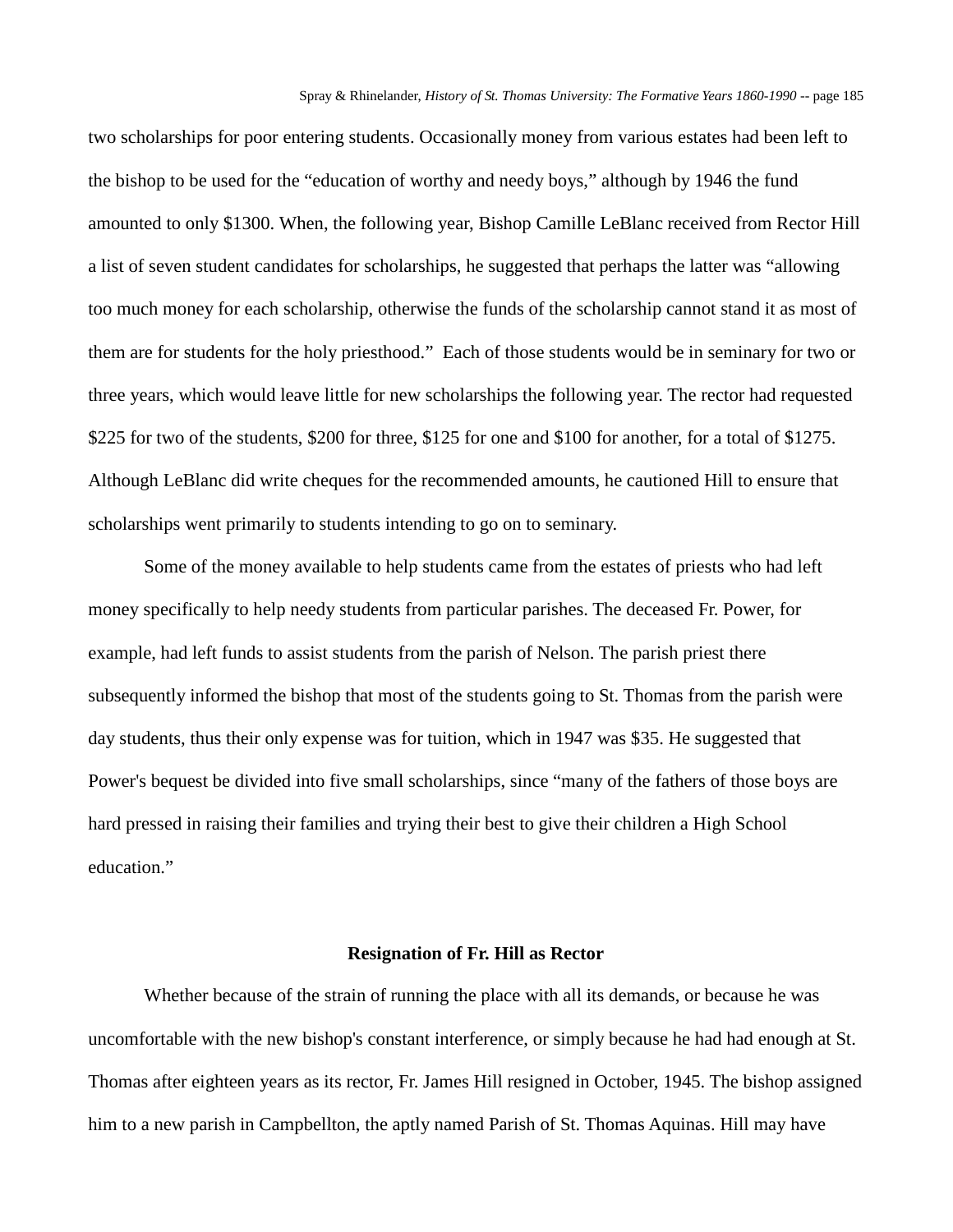two scholarships for poor entering students. Occasionally money from various estates had been left to the bishop to be used for the "education of worthy and needy boys," although by 1946 the fund amounted to only \$1300. When, the following year, Bishop Camille LeBlanc received from Rector Hill a list of seven student candidates for scholarships, he suggested that perhaps the latter was "allowing too much money for each scholarship, otherwise the funds of the scholarship cannot stand it as most of them are for students for the holy priesthood." Each of those students would be in seminary for two or three years, which would leave little for new scholarships the following year. The rector had requested \$225 for two of the students, \$200 for three, \$125 for one and \$100 for another, for a total of \$1275. Although LeBlanc did write cheques for the recommended amounts, he cautioned Hill to ensure that scholarships went primarily to students intending to go on to seminary.

Some of the money available to help students came from the estates of priests who had left money specifically to help needy students from particular parishes. The deceased Fr. Power, for example, had left funds to assist students from the parish of Nelson. The parish priest there subsequently informed the bishop that most of the students going to St. Thomas from the parish were day students, thus their only expense was for tuition, which in 1947 was \$35. He suggested that Power's bequest be divided into five small scholarships, since "many of the fathers of those boys are hard pressed in raising their families and trying their best to give their children a High School education."

### **Resignation of Fr. Hill as Rector**

Whether because of the strain of running the place with all its demands, or because he was uncomfortable with the new bishop's constant interference, or simply because he had had enough at St. Thomas after eighteen years as its rector, Fr. James Hill resigned in October, 1945. The bishop assigned him to a new parish in Campbellton, the aptly named Parish of St. Thomas Aquinas. Hill may have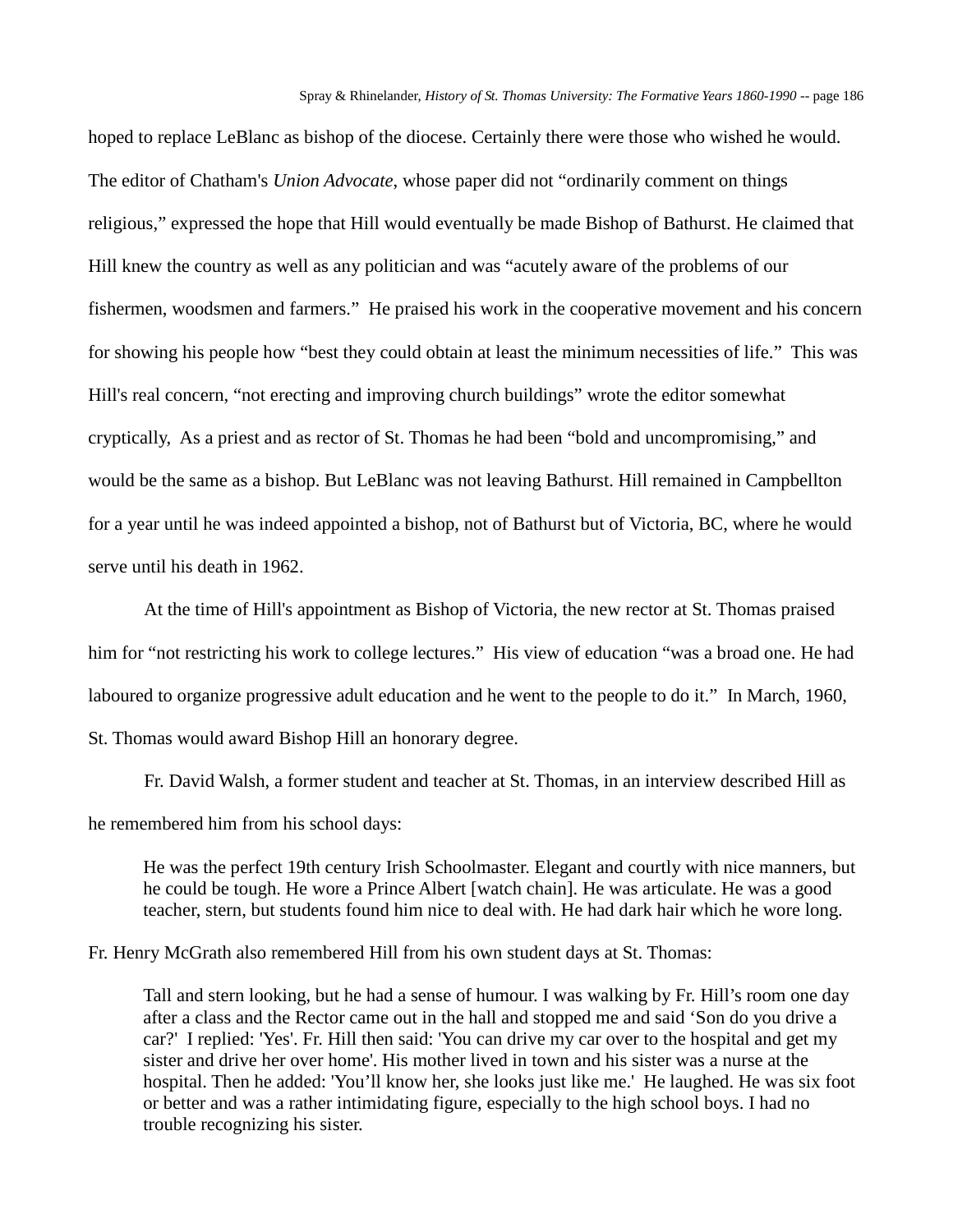hoped to replace LeBlanc as bishop of the diocese. Certainly there were those who wished he would. The editor of Chatham's *Union Advocate*, whose paper did not "ordinarily comment on things religious," expressed the hope that Hill would eventually be made Bishop of Bathurst. He claimed that Hill knew the country as well as any politician and was "acutely aware of the problems of our fishermen, woodsmen and farmers." He praised his work in the cooperative movement and his concern for showing his people how "best they could obtain at least the minimum necessities of life." This was Hill's real concern, "not erecting and improving church buildings" wrote the editor somewhat cryptically, As a priest and as rector of St. Thomas he had been "bold and uncompromising," and would be the same as a bishop. But LeBlanc was not leaving Bathurst. Hill remained in Campbellton for a year until he was indeed appointed a bishop, not of Bathurst but of Victoria, BC, where he would serve until his death in 1962.

At the time of Hill's appointment as Bishop of Victoria, the new rector at St. Thomas praised him for "not restricting his work to college lectures." His view of education "was a broad one. He had laboured to organize progressive adult education and he went to the people to do it." In March, 1960, St. Thomas would award Bishop Hill an honorary degree.

Fr. David Walsh, a former student and teacher at St. Thomas, in an interview described Hill as he remembered him from his school days:

He was the perfect 19th century Irish Schoolmaster. Elegant and courtly with nice manners, but he could be tough. He wore a Prince Albert [watch chain]. He was articulate. He was a good teacher, stern, but students found him nice to deal with. He had dark hair which he wore long.

Fr. Henry McGrath also remembered Hill from his own student days at St. Thomas:

Tall and stern looking, but he had a sense of humour. I was walking by Fr. Hill's room one day after a class and the Rector came out in the hall and stopped me and said 'Son do you drive a car?' I replied: 'Yes'. Fr. Hill then said: 'You can drive my car over to the hospital and get my sister and drive her over home'. His mother lived in town and his sister was a nurse at the hospital. Then he added: 'You'll know her, she looks just like me.' He laughed. He was six foot or better and was a rather intimidating figure, especially to the high school boys. I had no trouble recognizing his sister.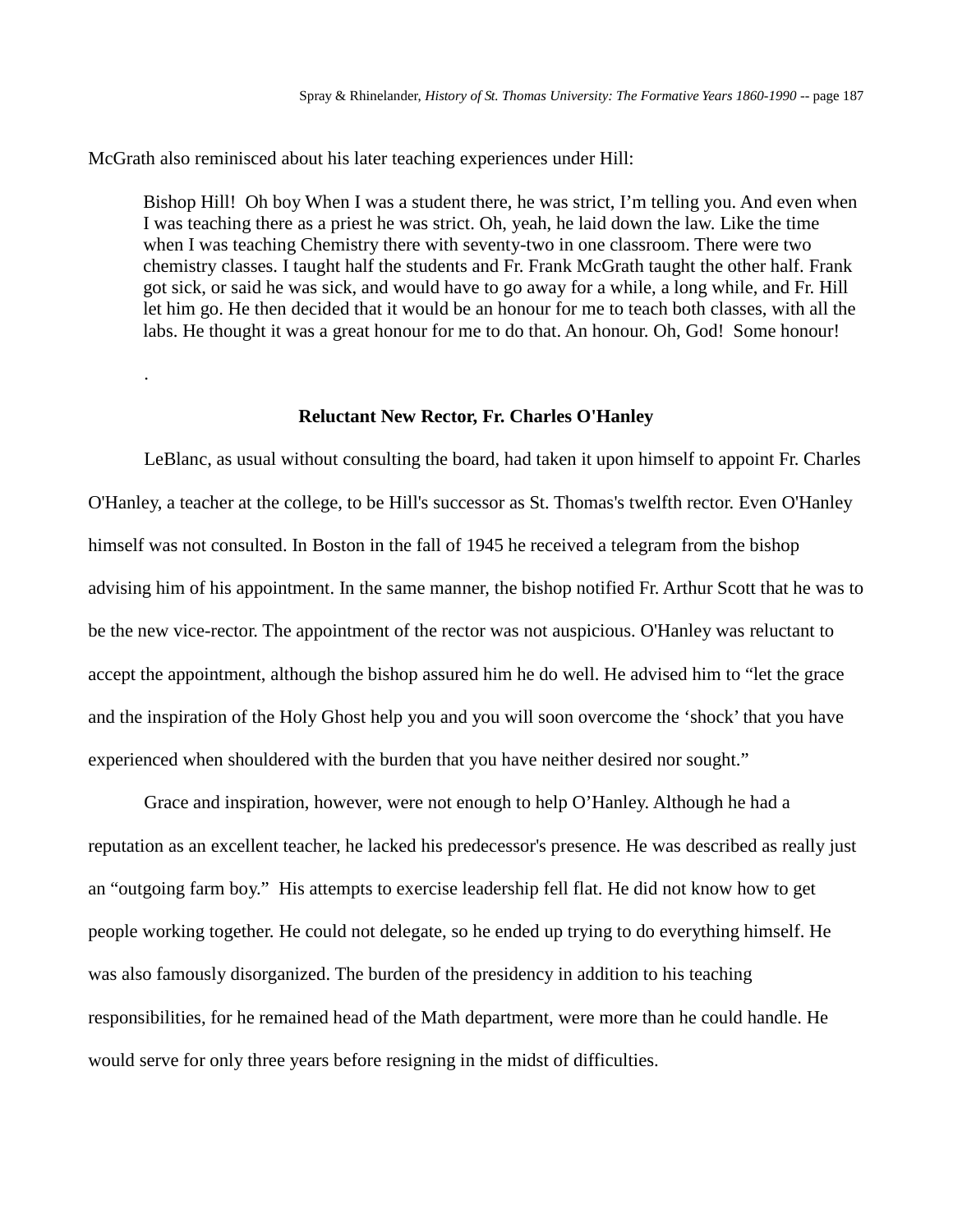McGrath also reminisced about his later teaching experiences under Hill:

.

Bishop Hill! Oh boy When I was a student there, he was strict, I'm telling you. And even when I was teaching there as a priest he was strict. Oh, yeah, he laid down the law. Like the time when I was teaching Chemistry there with seventy-two in one classroom. There were two chemistry classes. I taught half the students and Fr. Frank McGrath taught the other half. Frank got sick, or said he was sick, and would have to go away for a while, a long while, and Fr. Hill let him go. He then decided that it would be an honour for me to teach both classes, with all the labs. He thought it was a great honour for me to do that. An honour. Oh, God! Some honour!

#### **Reluctant New Rector, Fr. Charles O'Hanley**

LeBlanc, as usual without consulting the board, had taken it upon himself to appoint Fr. Charles O'Hanley, a teacher at the college, to be Hill's successor as St. Thomas's twelfth rector. Even O'Hanley himself was not consulted. In Boston in the fall of 1945 he received a telegram from the bishop advising him of his appointment. In the same manner, the bishop notified Fr. Arthur Scott that he was to be the new vice-rector. The appointment of the rector was not auspicious. O'Hanley was reluctant to accept the appointment, although the bishop assured him he do well. He advised him to "let the grace and the inspiration of the Holy Ghost help you and you will soon overcome the 'shock' that you have experienced when shouldered with the burden that you have neither desired nor sought."

Grace and inspiration, however, were not enough to help O'Hanley. Although he had a reputation as an excellent teacher, he lacked his predecessor's presence. He was described as really just an "outgoing farm boy." His attempts to exercise leadership fell flat. He did not know how to get people working together. He could not delegate, so he ended up trying to do everything himself. He was also famously disorganized. The burden of the presidency in addition to his teaching responsibilities, for he remained head of the Math department, were more than he could handle. He would serve for only three years before resigning in the midst of difficulties.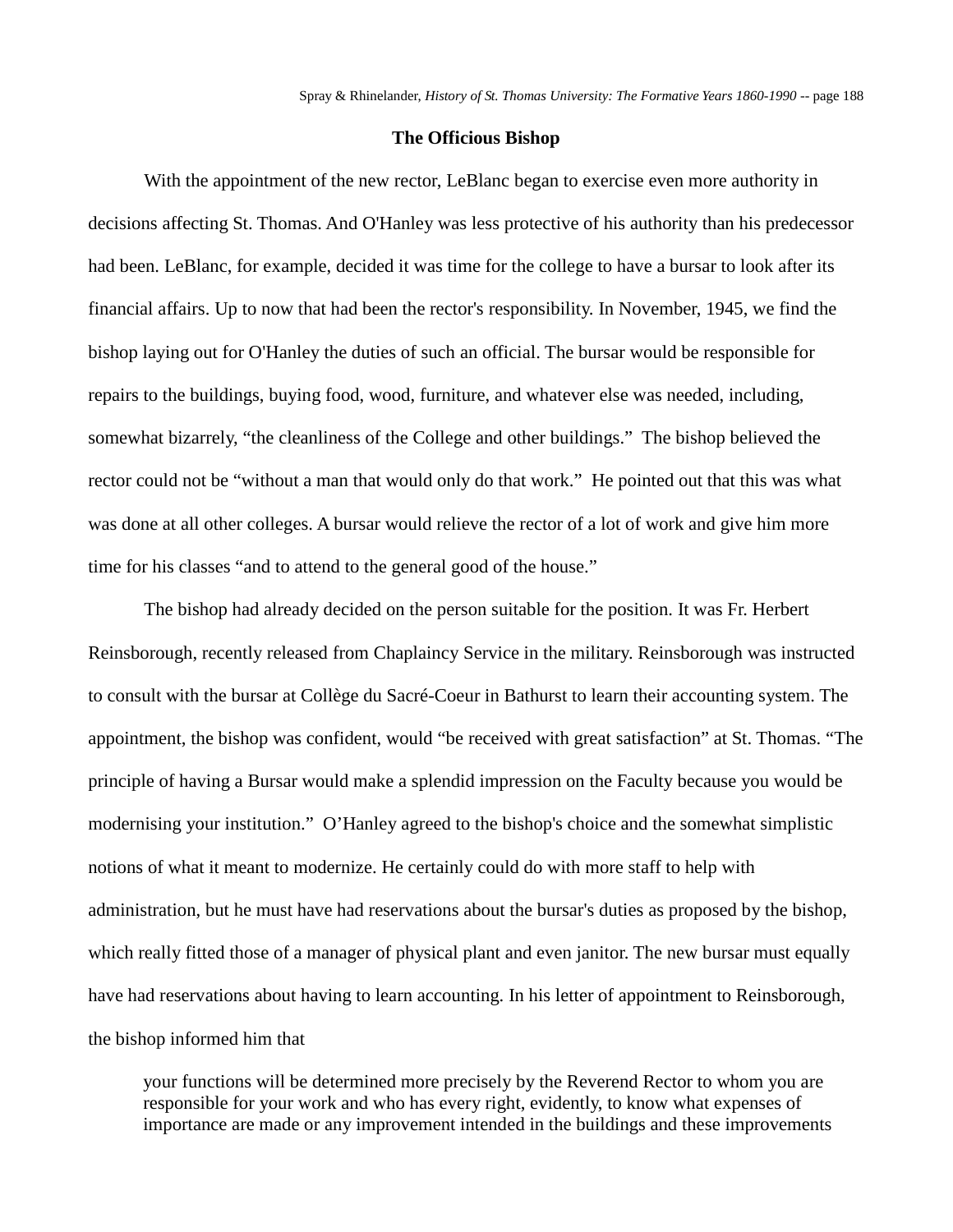### **The Officious Bishop**

With the appointment of the new rector, LeBlanc began to exercise even more authority in decisions affecting St. Thomas. And O'Hanley was less protective of his authority than his predecessor had been. LeBlanc, for example, decided it was time for the college to have a bursar to look after its financial affairs. Up to now that had been the rector's responsibility. In November, 1945, we find the bishop laying out for O'Hanley the duties of such an official. The bursar would be responsible for repairs to the buildings, buying food, wood, furniture, and whatever else was needed, including, somewhat bizarrely, "the cleanliness of the College and other buildings." The bishop believed the rector could not be "without a man that would only do that work." He pointed out that this was what was done at all other colleges. A bursar would relieve the rector of a lot of work and give him more time for his classes "and to attend to the general good of the house."

The bishop had already decided on the person suitable for the position. It was Fr. Herbert Reinsborough, recently released from Chaplaincy Service in the military. Reinsborough was instructed to consult with the bursar at Collège du Sacré-Coeur in Bathurst to learn their accounting system. The appointment, the bishop was confident, would "be received with great satisfaction" at St. Thomas. "The principle of having a Bursar would make a splendid impression on the Faculty because you would be modernising your institution." O'Hanley agreed to the bishop's choice and the somewhat simplistic notions of what it meant to modernize. He certainly could do with more staff to help with administration, but he must have had reservations about the bursar's duties as proposed by the bishop, which really fitted those of a manager of physical plant and even janitor. The new bursar must equally have had reservations about having to learn accounting. In his letter of appointment to Reinsborough, the bishop informed him that

your functions will be determined more precisely by the Reverend Rector to whom you are responsible for your work and who has every right, evidently, to know what expenses of importance are made or any improvement intended in the buildings and these improvements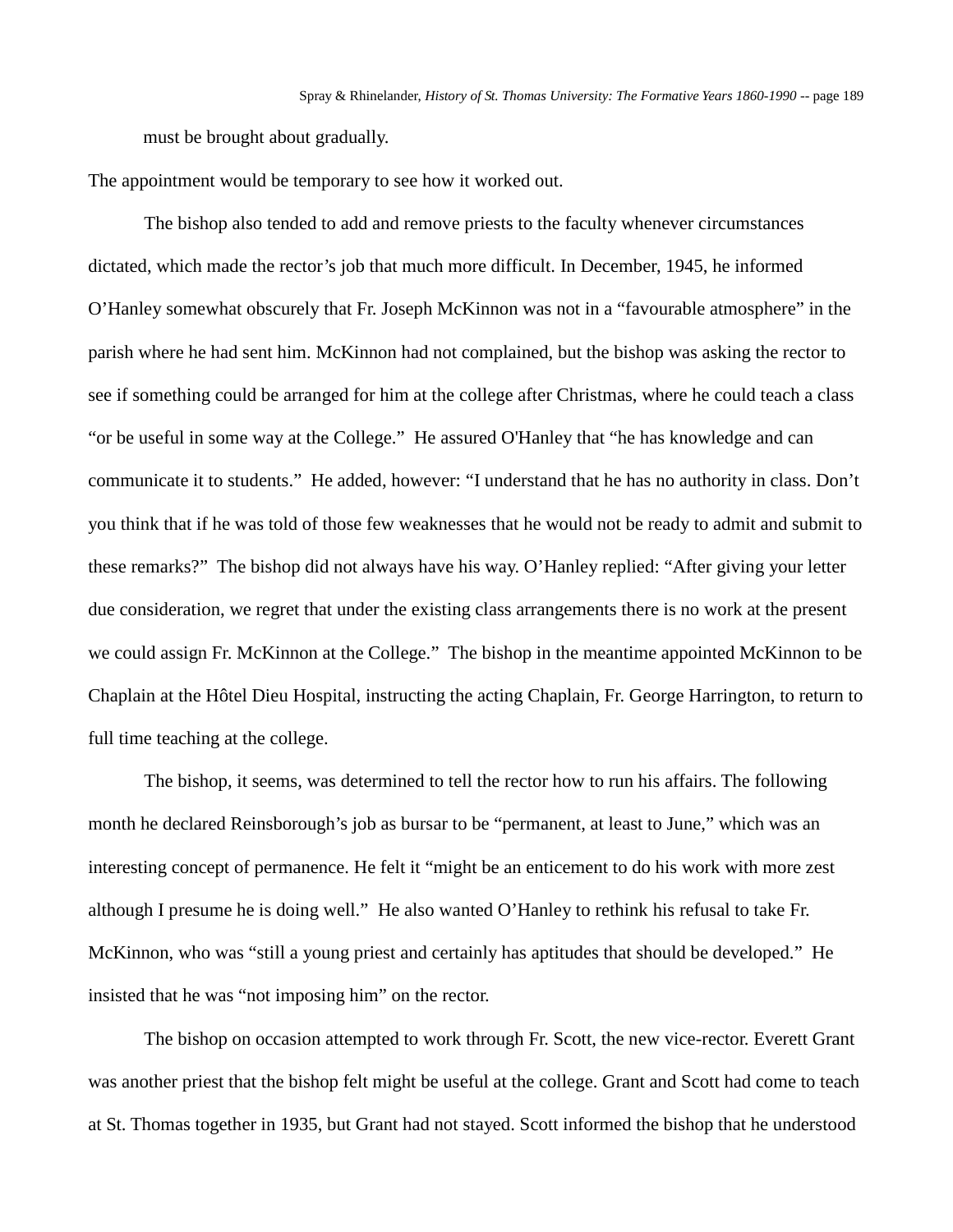must be brought about gradually.

The appointment would be temporary to see how it worked out.

The bishop also tended to add and remove priests to the faculty whenever circumstances dictated, which made the rector's job that much more difficult. In December, 1945, he informed O'Hanley somewhat obscurely that Fr. Joseph McKinnon was not in a "favourable atmosphere" in the parish where he had sent him. McKinnon had not complained, but the bishop was asking the rector to see if something could be arranged for him at the college after Christmas, where he could teach a class "or be useful in some way at the College." He assured O'Hanley that "he has knowledge and can communicate it to students." He added, however: "I understand that he has no authority in class. Don't you think that if he was told of those few weaknesses that he would not be ready to admit and submit to these remarks?" The bishop did not always have his way. O'Hanley replied: "After giving your letter due consideration, we regret that under the existing class arrangements there is no work at the present we could assign Fr. McKinnon at the College." The bishop in the meantime appointed McKinnon to be Chaplain at the Hôtel Dieu Hospital, instructing the acting Chaplain, Fr. George Harrington, to return to full time teaching at the college.

The bishop, it seems, was determined to tell the rector how to run his affairs. The following month he declared Reinsborough's job as bursar to be "permanent, at least to June," which was an interesting concept of permanence. He felt it "might be an enticement to do his work with more zest although I presume he is doing well." He also wanted O'Hanley to rethink his refusal to take Fr. McKinnon, who was "still a young priest and certainly has aptitudes that should be developed." He insisted that he was "not imposing him" on the rector.

The bishop on occasion attempted to work through Fr. Scott, the new vice-rector. Everett Grant was another priest that the bishop felt might be useful at the college. Grant and Scott had come to teach at St. Thomas together in 1935, but Grant had not stayed. Scott informed the bishop that he understood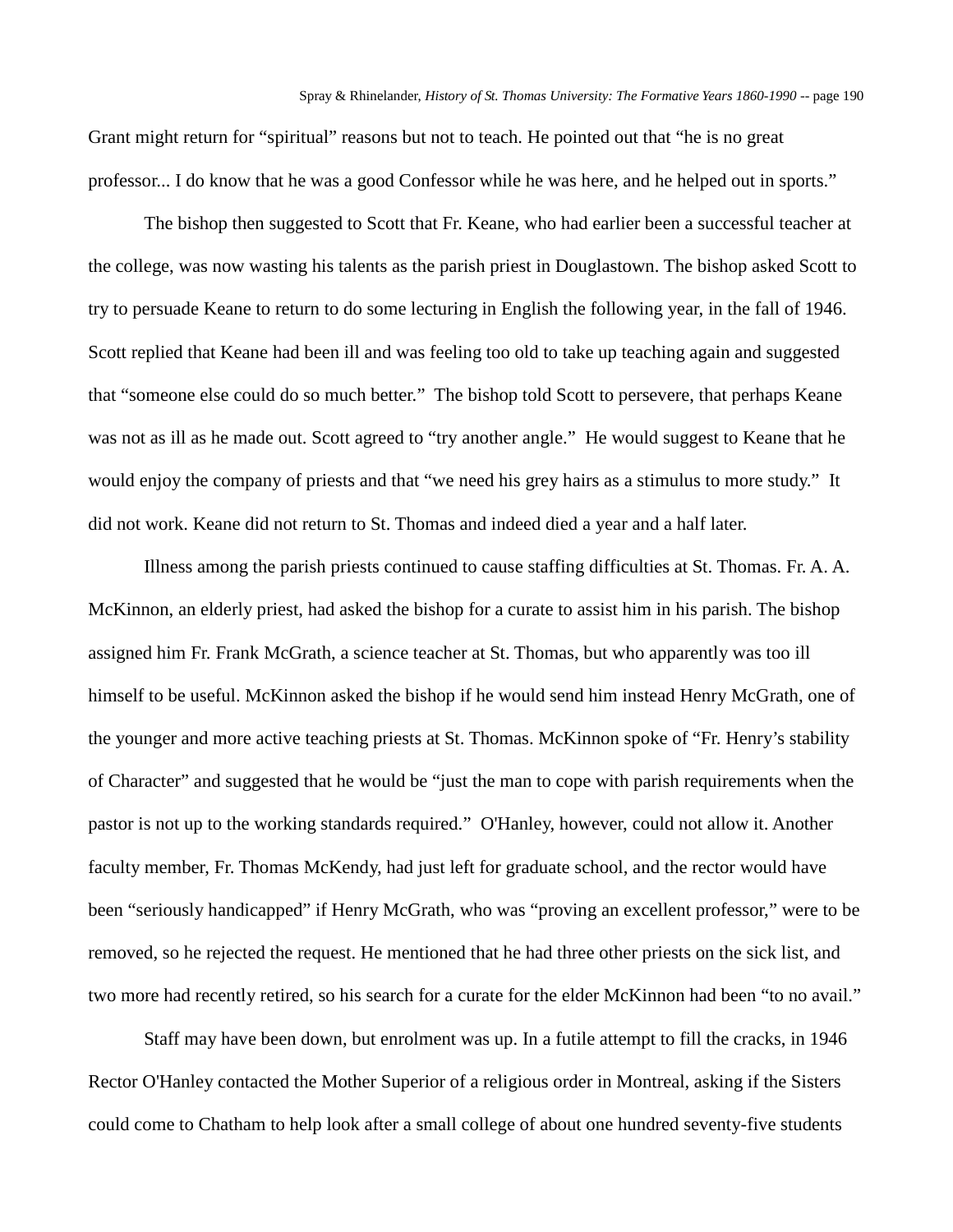Grant might return for "spiritual" reasons but not to teach. He pointed out that "he is no great professor... I do know that he was a good Confessor while he was here, and he helped out in sports."

The bishop then suggested to Scott that Fr. Keane, who had earlier been a successful teacher at the college, was now wasting his talents as the parish priest in Douglastown. The bishop asked Scott to try to persuade Keane to return to do some lecturing in English the following year, in the fall of 1946. Scott replied that Keane had been ill and was feeling too old to take up teaching again and suggested that "someone else could do so much better." The bishop told Scott to persevere, that perhaps Keane was not as ill as he made out. Scott agreed to "try another angle." He would suggest to Keane that he would enjoy the company of priests and that "we need his grey hairs as a stimulus to more study." It did not work. Keane did not return to St. Thomas and indeed died a year and a half later.

Illness among the parish priests continued to cause staffing difficulties at St. Thomas. Fr. A. A. McKinnon, an elderly priest, had asked the bishop for a curate to assist him in his parish. The bishop assigned him Fr. Frank McGrath, a science teacher at St. Thomas, but who apparently was too ill himself to be useful. McKinnon asked the bishop if he would send him instead Henry McGrath, one of the younger and more active teaching priests at St. Thomas. McKinnon spoke of "Fr. Henry's stability of Character" and suggested that he would be "just the man to cope with parish requirements when the pastor is not up to the working standards required." O'Hanley, however, could not allow it. Another faculty member, Fr. Thomas McKendy, had just left for graduate school, and the rector would have been "seriously handicapped" if Henry McGrath, who was "proving an excellent professor," were to be removed, so he rejected the request. He mentioned that he had three other priests on the sick list, and two more had recently retired, so his search for a curate for the elder McKinnon had been "to no avail."

Staff may have been down, but enrolment was up. In a futile attempt to fill the cracks, in 1946 Rector O'Hanley contacted the Mother Superior of a religious order in Montreal, asking if the Sisters could come to Chatham to help look after a small college of about one hundred seventy-five students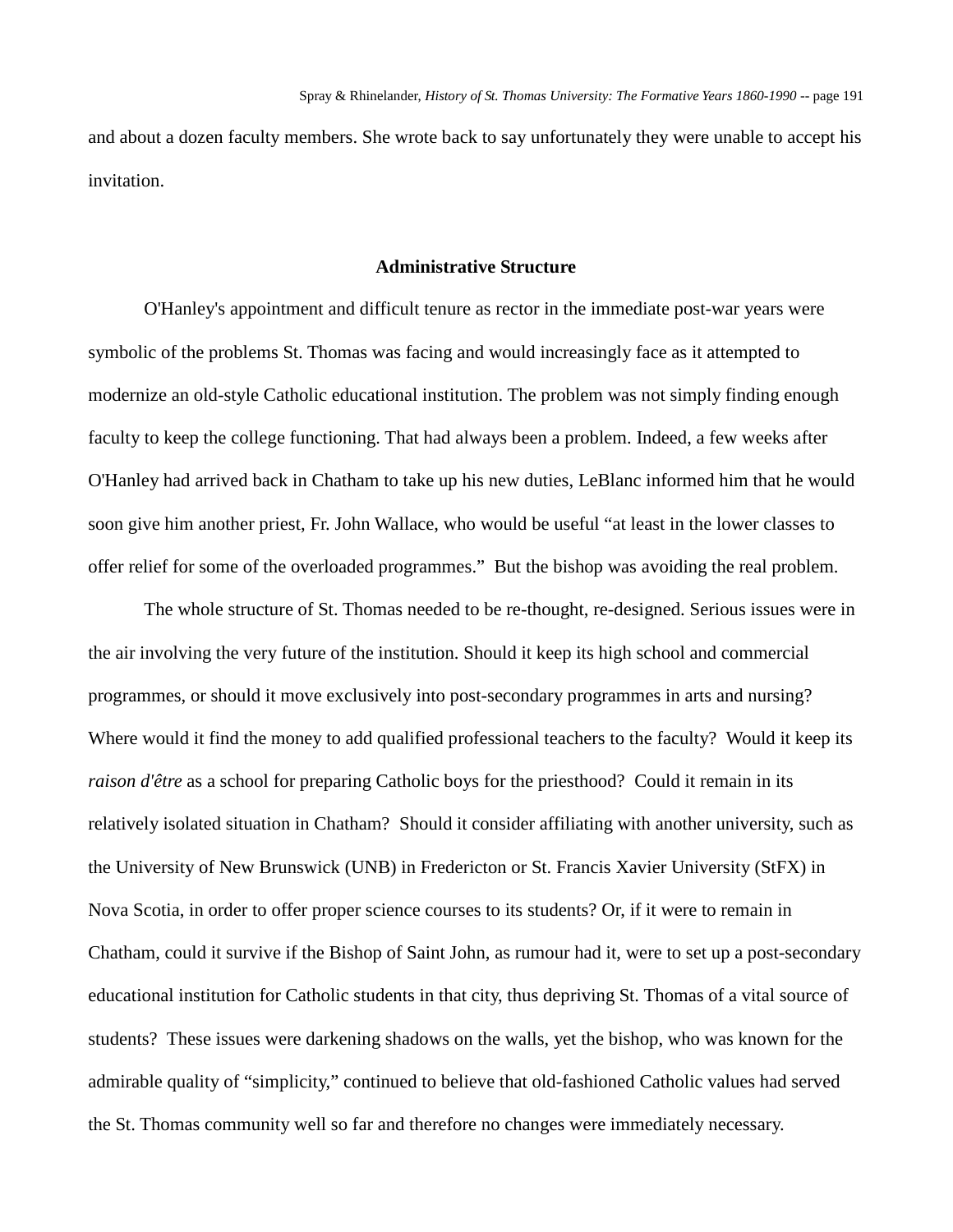and about a dozen faculty members. She wrote back to say unfortunately they were unable to accept his invitation.

#### **Administrative Structure**

O'Hanley's appointment and difficult tenure as rector in the immediate post-war years were symbolic of the problems St. Thomas was facing and would increasingly face as it attempted to modernize an old-style Catholic educational institution. The problem was not simply finding enough faculty to keep the college functioning. That had always been a problem. Indeed, a few weeks after O'Hanley had arrived back in Chatham to take up his new duties, LeBlanc informed him that he would soon give him another priest, Fr. John Wallace, who would be useful "at least in the lower classes to offer relief for some of the overloaded programmes." But the bishop was avoiding the real problem.

The whole structure of St. Thomas needed to be re-thought, re-designed. Serious issues were in the air involving the very future of the institution. Should it keep its high school and commercial programmes, or should it move exclusively into post-secondary programmes in arts and nursing? Where would it find the money to add qualified professional teachers to the faculty? Would it keep its *raison d'être* as a school for preparing Catholic boys for the priesthood? Could it remain in its relatively isolated situation in Chatham? Should it consider affiliating with another university, such as the University of New Brunswick (UNB) in Fredericton or St. Francis Xavier University (StFX) in Nova Scotia, in order to offer proper science courses to its students? Or, if it were to remain in Chatham, could it survive if the Bishop of Saint John, as rumour had it, were to set up a post-secondary educational institution for Catholic students in that city, thus depriving St. Thomas of a vital source of students? These issues were darkening shadows on the walls, yet the bishop, who was known for the admirable quality of "simplicity," continued to believe that old-fashioned Catholic values had served the St. Thomas community well so far and therefore no changes were immediately necessary.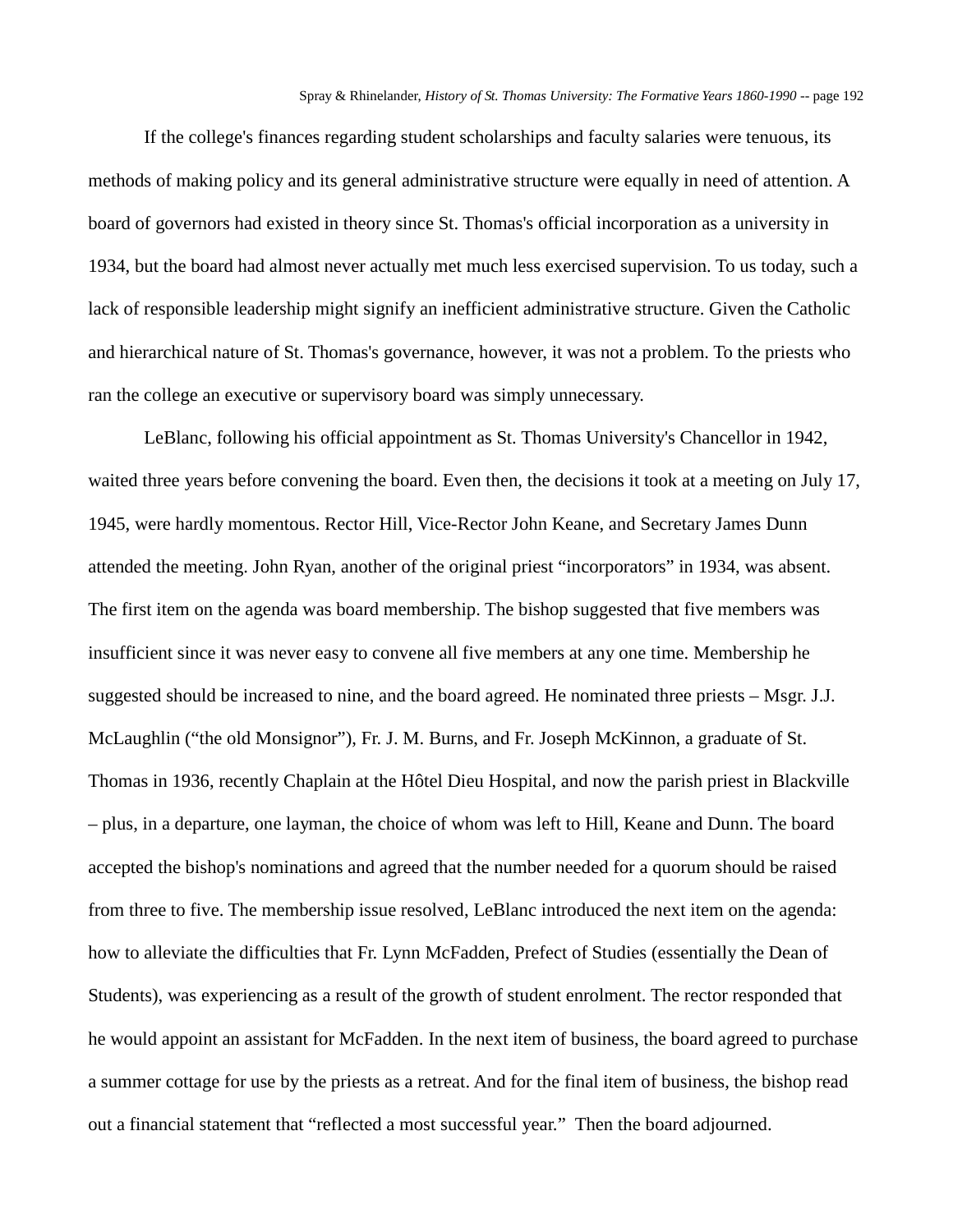If the college's finances regarding student scholarships and faculty salaries were tenuous, its methods of making policy and its general administrative structure were equally in need of attention. A board of governors had existed in theory since St. Thomas's official incorporation as a university in 1934, but the board had almost never actually met much less exercised supervision. To us today, such a lack of responsible leadership might signify an inefficient administrative structure. Given the Catholic and hierarchical nature of St. Thomas's governance, however, it was not a problem. To the priests who ran the college an executive or supervisory board was simply unnecessary.

LeBlanc, following his official appointment as St. Thomas University's Chancellor in 1942, waited three years before convening the board. Even then, the decisions it took at a meeting on July 17, 1945, were hardly momentous. Rector Hill, Vice-Rector John Keane, and Secretary James Dunn attended the meeting. John Ryan, another of the original priest "incorporators" in 1934, was absent. The first item on the agenda was board membership. The bishop suggested that five members was insufficient since it was never easy to convene all five members at any one time. Membership he suggested should be increased to nine, and the board agreed. He nominated three priests – Msgr. J.J. McLaughlin ("the old Monsignor"), Fr. J. M. Burns, and Fr. Joseph McKinnon, a graduate of St. Thomas in 1936, recently Chaplain at the Hôtel Dieu Hospital, and now the parish priest in Blackville – plus, in a departure, one layman, the choice of whom was left to Hill, Keane and Dunn. The board accepted the bishop's nominations and agreed that the number needed for a quorum should be raised from three to five. The membership issue resolved, LeBlanc introduced the next item on the agenda: how to alleviate the difficulties that Fr. Lynn McFadden, Prefect of Studies (essentially the Dean of Students), was experiencing as a result of the growth of student enrolment. The rector responded that he would appoint an assistant for McFadden. In the next item of business, the board agreed to purchase a summer cottage for use by the priests as a retreat. And for the final item of business, the bishop read out a financial statement that "reflected a most successful year." Then the board adjourned.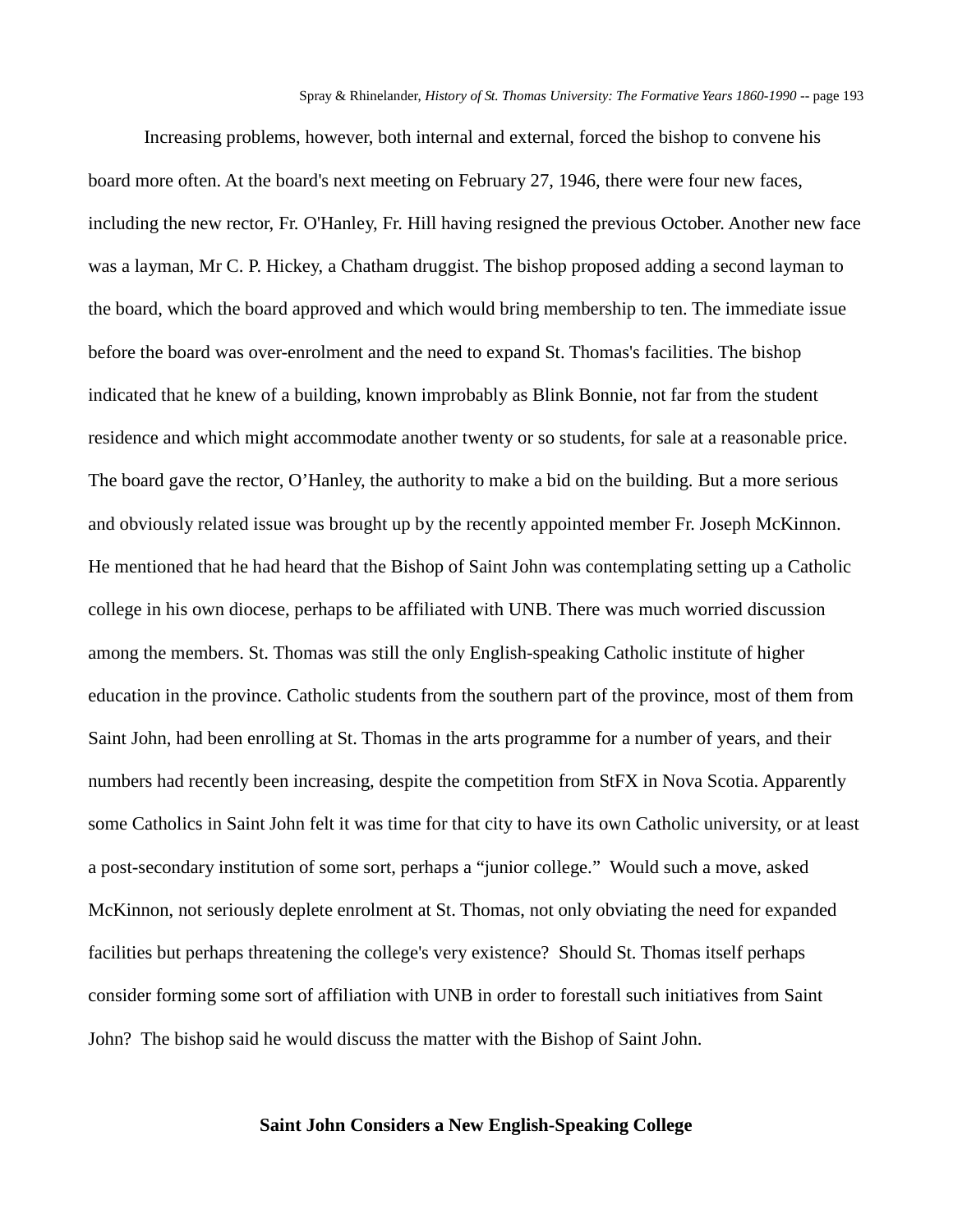Increasing problems, however, both internal and external, forced the bishop to convene his board more often. At the board's next meeting on February 27, 1946, there were four new faces, including the new rector, Fr. O'Hanley, Fr. Hill having resigned the previous October. Another new face was a layman, Mr C. P. Hickey, a Chatham druggist. The bishop proposed adding a second layman to the board, which the board approved and which would bring membership to ten. The immediate issue before the board was over-enrolment and the need to expand St. Thomas's facilities. The bishop indicated that he knew of a building, known improbably as Blink Bonnie, not far from the student residence and which might accommodate another twenty or so students, for sale at a reasonable price. The board gave the rector, O'Hanley, the authority to make a bid on the building. But a more serious and obviously related issue was brought up by the recently appointed member Fr. Joseph McKinnon. He mentioned that he had heard that the Bishop of Saint John was contemplating setting up a Catholic college in his own diocese, perhaps to be affiliated with UNB. There was much worried discussion among the members. St. Thomas was still the only English-speaking Catholic institute of higher education in the province. Catholic students from the southern part of the province, most of them from Saint John, had been enrolling at St. Thomas in the arts programme for a number of years, and their numbers had recently been increasing, despite the competition from StFX in Nova Scotia. Apparently some Catholics in Saint John felt it was time for that city to have its own Catholic university, or at least a post-secondary institution of some sort, perhaps a "junior college." Would such a move, asked McKinnon, not seriously deplete enrolment at St. Thomas, not only obviating the need for expanded facilities but perhaps threatening the college's very existence? Should St. Thomas itself perhaps consider forming some sort of affiliation with UNB in order to forestall such initiatives from Saint John? The bishop said he would discuss the matter with the Bishop of Saint John.

# **Saint John Considers a New English-Speaking College**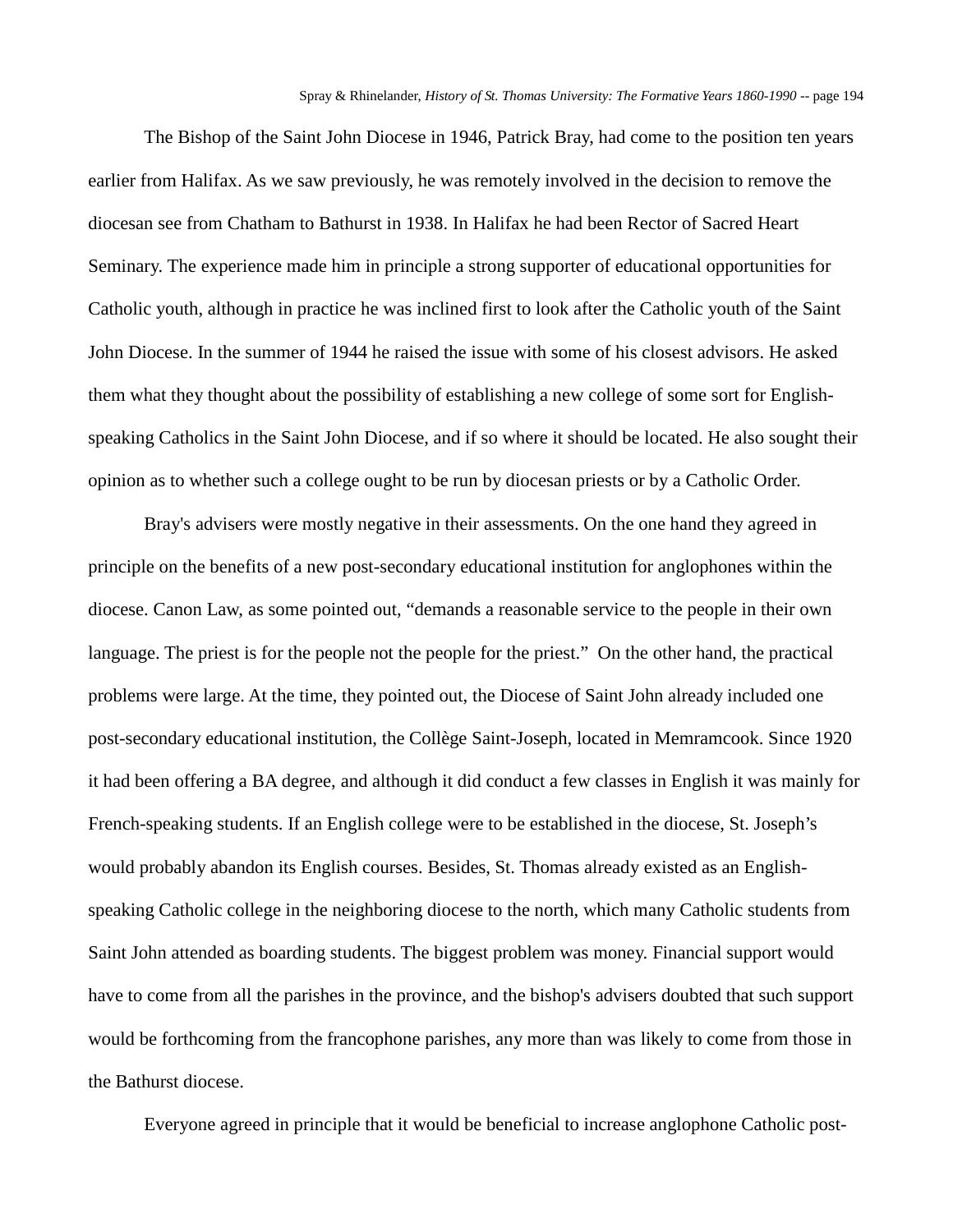The Bishop of the Saint John Diocese in 1946, Patrick Bray, had come to the position ten years earlier from Halifax. As we saw previously, he was remotely involved in the decision to remove the diocesan see from Chatham to Bathurst in 1938. In Halifax he had been Rector of Sacred Heart Seminary. The experience made him in principle a strong supporter of educational opportunities for Catholic youth, although in practice he was inclined first to look after the Catholic youth of the Saint John Diocese. In the summer of 1944 he raised the issue with some of his closest advisors. He asked them what they thought about the possibility of establishing a new college of some sort for Englishspeaking Catholics in the Saint John Diocese, and if so where it should be located. He also sought their opinion as to whether such a college ought to be run by diocesan priests or by a Catholic Order.

Bray's advisers were mostly negative in their assessments. On the one hand they agreed in principle on the benefits of a new post-secondary educational institution for anglophones within the diocese. Canon Law, as some pointed out, "demands a reasonable service to the people in their own language. The priest is for the people not the people for the priest." On the other hand, the practical problems were large. At the time, they pointed out, the Diocese of Saint John already included one post-secondary educational institution, the Collège Saint-Joseph, located in Memramcook. Since 1920 it had been offering a BA degree, and although it did conduct a few classes in English it was mainly for French-speaking students. If an English college were to be established in the diocese, St. Joseph's would probably abandon its English courses. Besides, St. Thomas already existed as an Englishspeaking Catholic college in the neighboring diocese to the north, which many Catholic students from Saint John attended as boarding students. The biggest problem was money. Financial support would have to come from all the parishes in the province, and the bishop's advisers doubted that such support would be forthcoming from the francophone parishes, any more than was likely to come from those in the Bathurst diocese.

Everyone agreed in principle that it would be beneficial to increase anglophone Catholic post-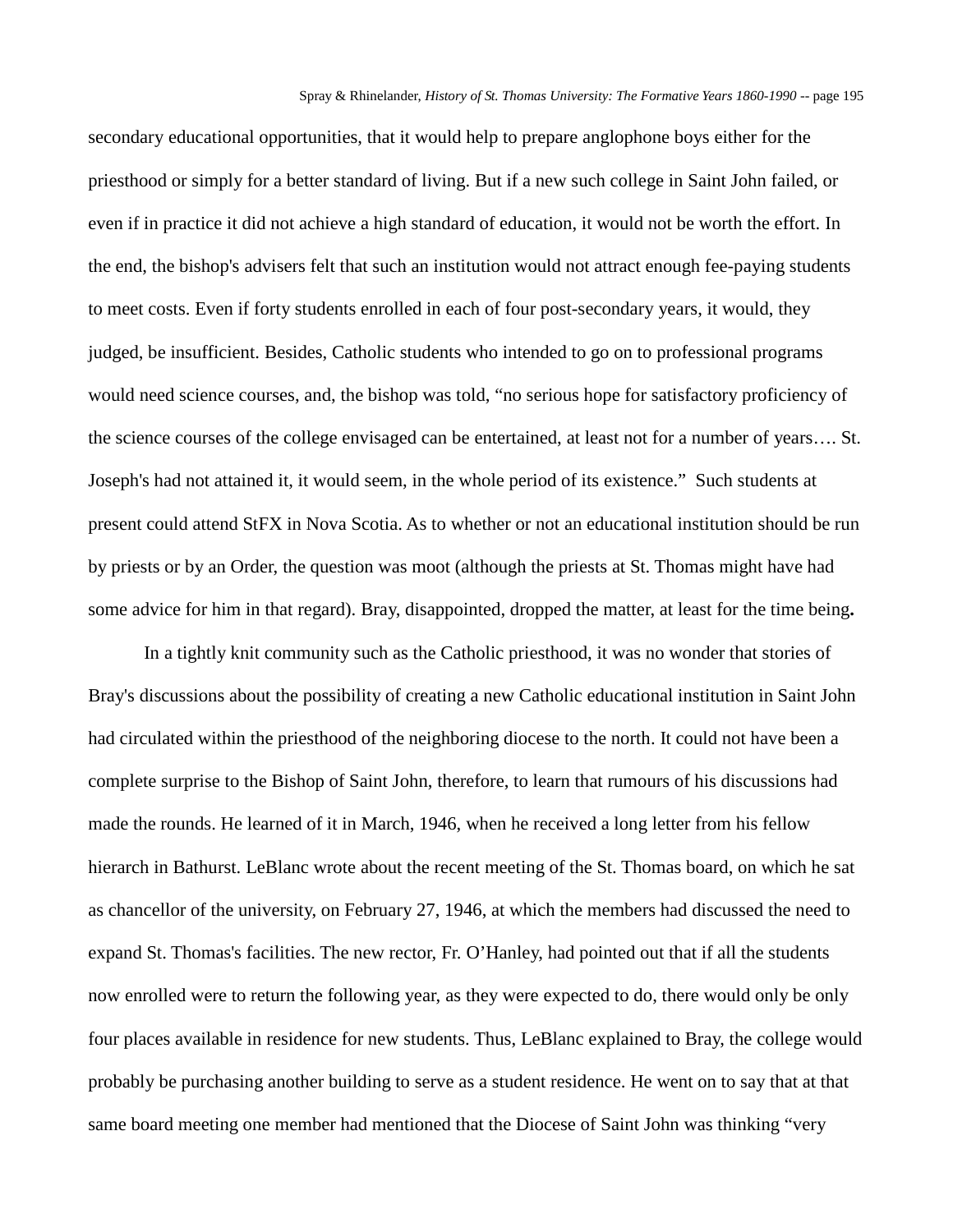secondary educational opportunities, that it would help to prepare anglophone boys either for the priesthood or simply for a better standard of living. But if a new such college in Saint John failed, or even if in practice it did not achieve a high standard of education, it would not be worth the effort. In the end, the bishop's advisers felt that such an institution would not attract enough fee-paying students to meet costs. Even if forty students enrolled in each of four post-secondary years, it would, they judged, be insufficient. Besides, Catholic students who intended to go on to professional programs would need science courses, and, the bishop was told, "no serious hope for satisfactory proficiency of the science courses of the college envisaged can be entertained, at least not for a number of years…. St. Joseph's had not attained it, it would seem, in the whole period of its existence." Such students at present could attend StFX in Nova Scotia. As to whether or not an educational institution should be run by priests or by an Order, the question was moot (although the priests at St. Thomas might have had some advice for him in that regard). Bray, disappointed, dropped the matter, at least for the time being**.**

In a tightly knit community such as the Catholic priesthood, it was no wonder that stories of Bray's discussions about the possibility of creating a new Catholic educational institution in Saint John had circulated within the priesthood of the neighboring diocese to the north. It could not have been a complete surprise to the Bishop of Saint John, therefore, to learn that rumours of his discussions had made the rounds. He learned of it in March, 1946, when he received a long letter from his fellow hierarch in Bathurst. LeBlanc wrote about the recent meeting of the St. Thomas board, on which he sat as chancellor of the university, on February 27, 1946, at which the members had discussed the need to expand St. Thomas's facilities. The new rector, Fr. O'Hanley, had pointed out that if all the students now enrolled were to return the following year, as they were expected to do, there would only be only four places available in residence for new students. Thus, LeBlanc explained to Bray, the college would probably be purchasing another building to serve as a student residence. He went on to say that at that same board meeting one member had mentioned that the Diocese of Saint John was thinking "very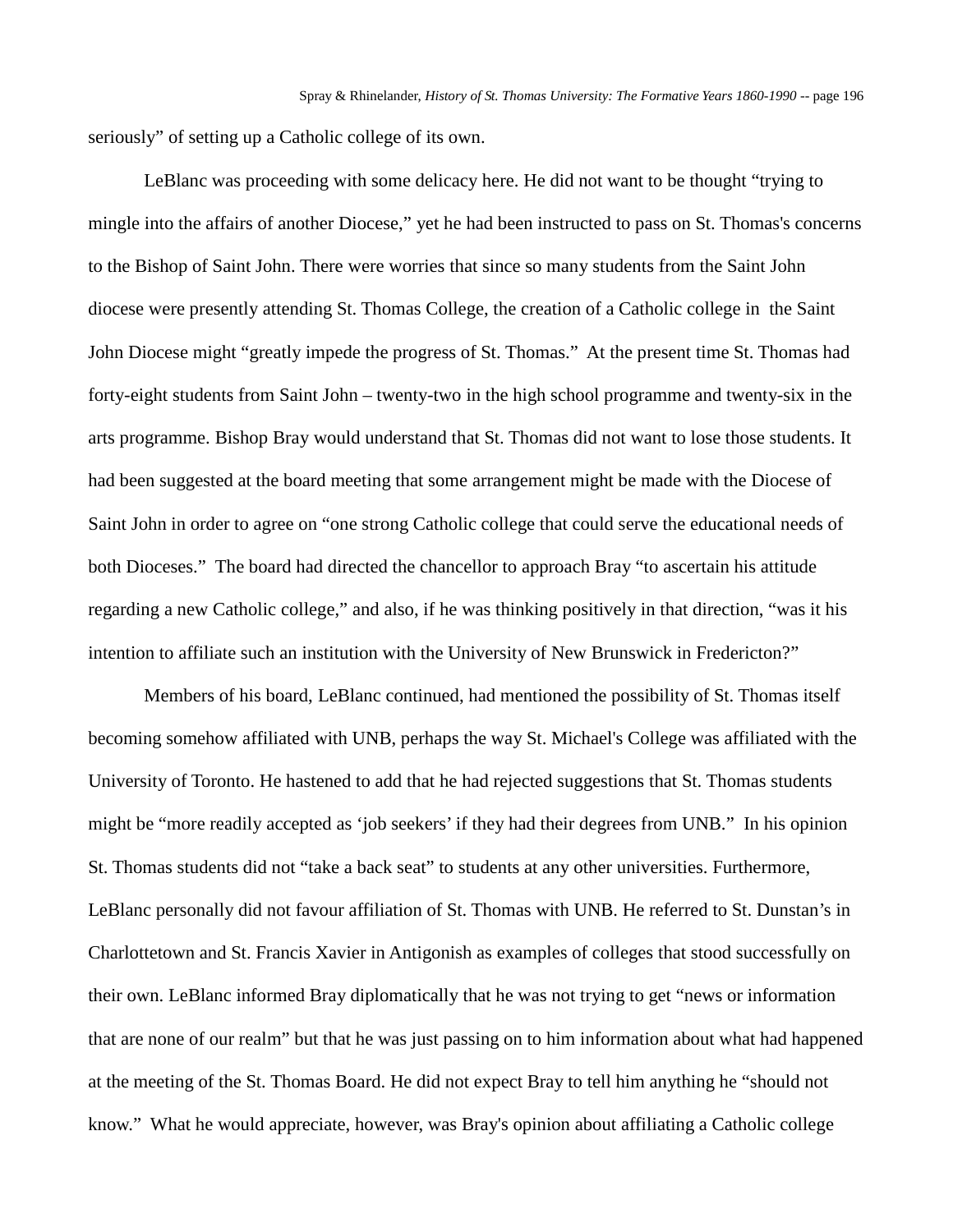seriously" of setting up a Catholic college of its own.

LeBlanc was proceeding with some delicacy here. He did not want to be thought "trying to mingle into the affairs of another Diocese," yet he had been instructed to pass on St. Thomas's concerns to the Bishop of Saint John. There were worries that since so many students from the Saint John diocese were presently attending St. Thomas College, the creation of a Catholic college in the Saint John Diocese might "greatly impede the progress of St. Thomas." At the present time St. Thomas had forty-eight students from Saint John – twenty-two in the high school programme and twenty-six in the arts programme. Bishop Bray would understand that St. Thomas did not want to lose those students. It had been suggested at the board meeting that some arrangement might be made with the Diocese of Saint John in order to agree on "one strong Catholic college that could serve the educational needs of both Dioceses." The board had directed the chancellor to approach Bray "to ascertain his attitude regarding a new Catholic college," and also, if he was thinking positively in that direction, "was it his intention to affiliate such an institution with the University of New Brunswick in Fredericton?"

Members of his board, LeBlanc continued, had mentioned the possibility of St. Thomas itself becoming somehow affiliated with UNB, perhaps the way St. Michael's College was affiliated with the University of Toronto. He hastened to add that he had rejected suggestions that St. Thomas students might be "more readily accepted as 'job seekers' if they had their degrees from UNB." In his opinion St. Thomas students did not "take a back seat" to students at any other universities. Furthermore, LeBlanc personally did not favour affiliation of St. Thomas with UNB. He referred to St. Dunstan's in Charlottetown and St. Francis Xavier in Antigonish as examples of colleges that stood successfully on their own. LeBlanc informed Bray diplomatically that he was not trying to get "news or information that are none of our realm" but that he was just passing on to him information about what had happened at the meeting of the St. Thomas Board. He did not expect Bray to tell him anything he "should not know." What he would appreciate, however, was Bray's opinion about affiliating a Catholic college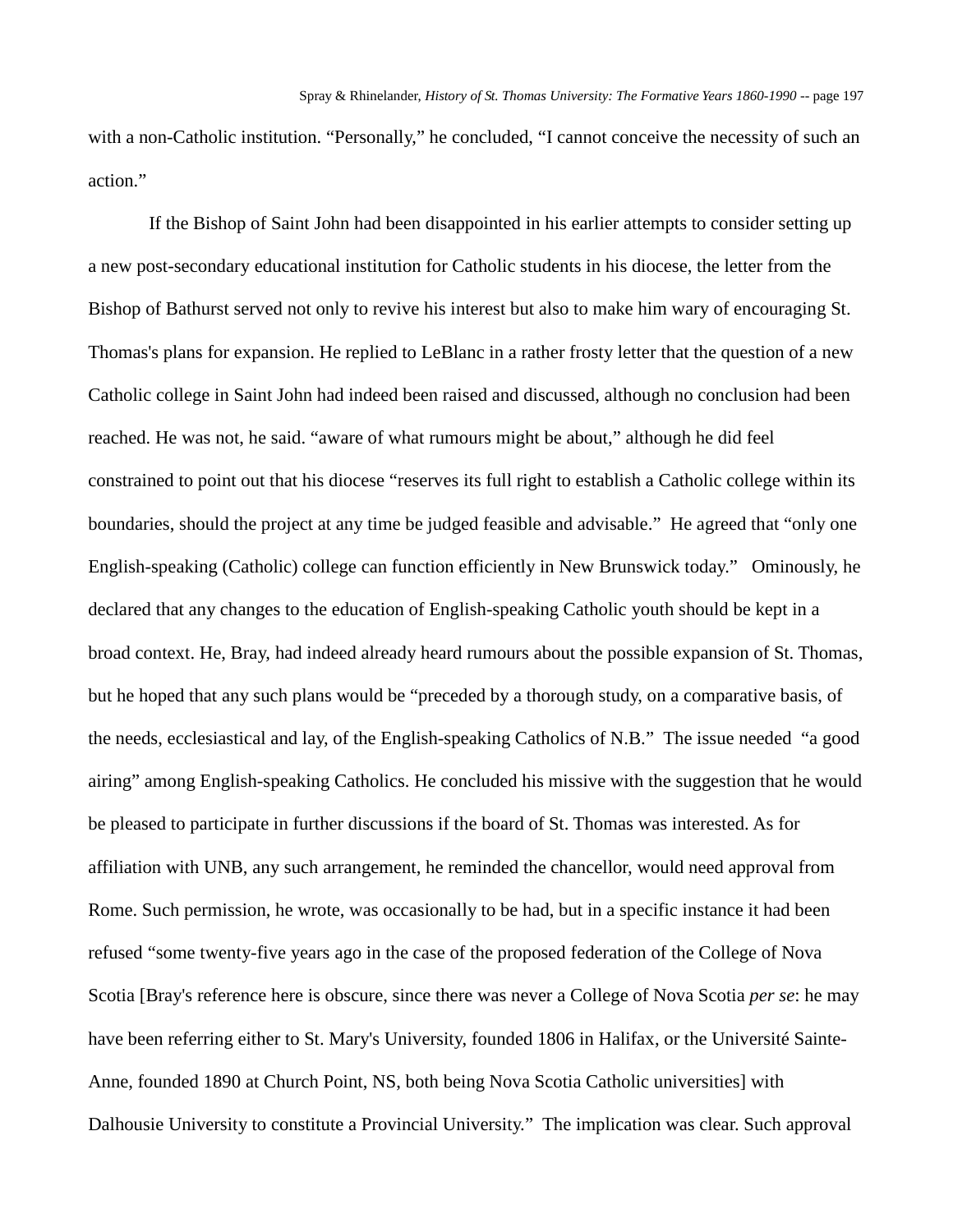with a non-Catholic institution. "Personally," he concluded, "I cannot conceive the necessity of such an action."

If the Bishop of Saint John had been disappointed in his earlier attempts to consider setting up a new post-secondary educational institution for Catholic students in his diocese, the letter from the Bishop of Bathurst served not only to revive his interest but also to make him wary of encouraging St. Thomas's plans for expansion. He replied to LeBlanc in a rather frosty letter that the question of a new Catholic college in Saint John had indeed been raised and discussed, although no conclusion had been reached. He was not, he said. "aware of what rumours might be about," although he did feel constrained to point out that his diocese "reserves its full right to establish a Catholic college within its boundaries, should the project at any time be judged feasible and advisable." He agreed that "only one English-speaking (Catholic) college can function efficiently in New Brunswick today." Ominously, he declared that any changes to the education of English-speaking Catholic youth should be kept in a broad context. He, Bray, had indeed already heard rumours about the possible expansion of St. Thomas, but he hoped that any such plans would be "preceded by a thorough study, on a comparative basis, of the needs, ecclesiastical and lay, of the English-speaking Catholics of N.B." The issue needed "a good airing" among English-speaking Catholics. He concluded his missive with the suggestion that he would be pleased to participate in further discussions if the board of St. Thomas was interested. As for affiliation with UNB, any such arrangement, he reminded the chancellor, would need approval from Rome. Such permission, he wrote, was occasionally to be had, but in a specific instance it had been refused "some twenty-five years ago in the case of the proposed federation of the College of Nova Scotia [Bray's reference here is obscure, since there was never a College of Nova Scotia *per se*: he may have been referring either to St. Mary's University, founded 1806 in Halifax, or the Université Sainte-Anne, founded 1890 at Church Point, NS, both being Nova Scotia Catholic universities] with Dalhousie University to constitute a Provincial University." The implication was clear. Such approval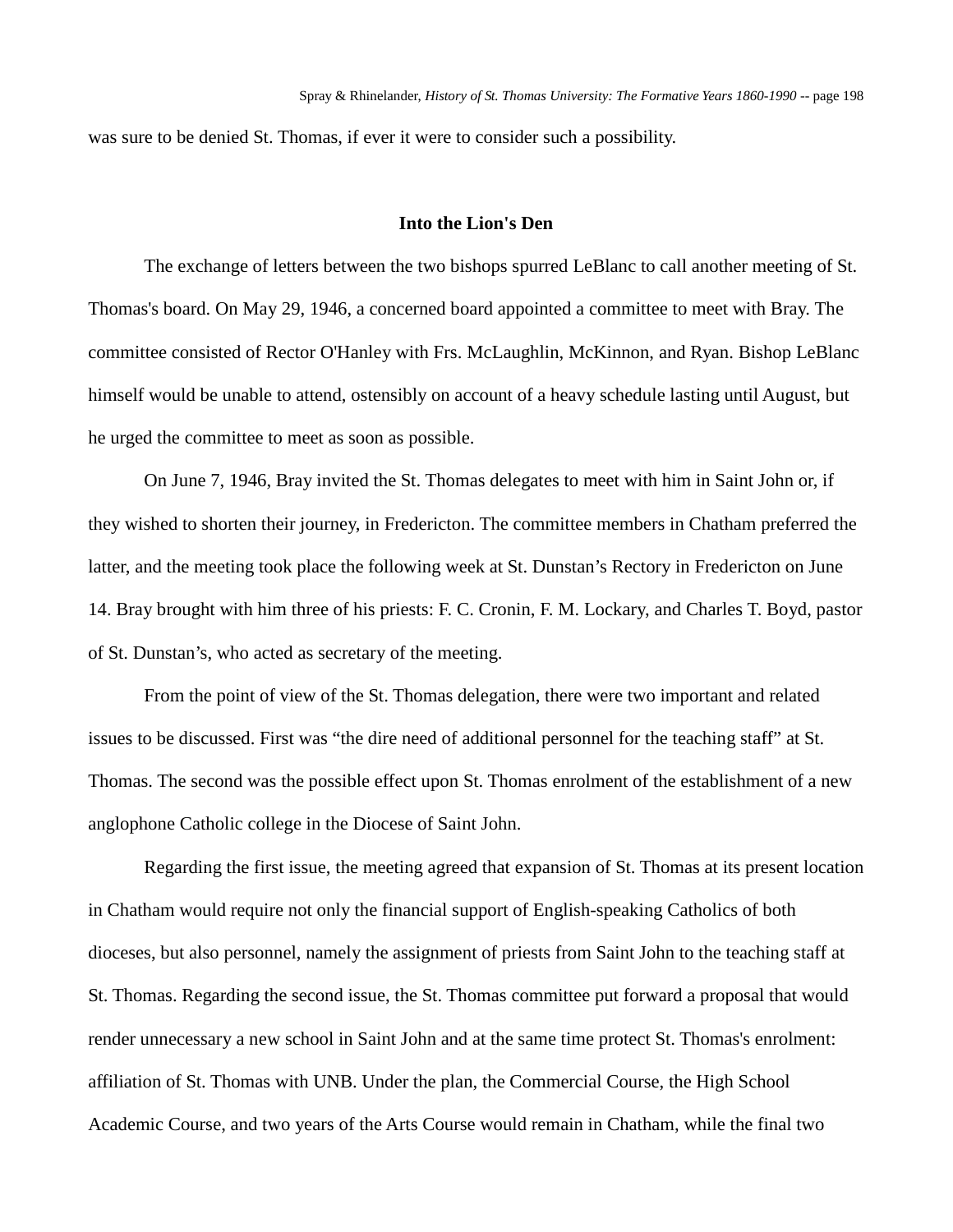was sure to be denied St. Thomas, if ever it were to consider such a possibility.

# **Into the Lion's Den**

The exchange of letters between the two bishops spurred LeBlanc to call another meeting of St. Thomas's board. On May 29, 1946, a concerned board appointed a committee to meet with Bray. The committee consisted of Rector O'Hanley with Frs. McLaughlin, McKinnon, and Ryan. Bishop LeBlanc himself would be unable to attend, ostensibly on account of a heavy schedule lasting until August, but he urged the committee to meet as soon as possible.

On June 7, 1946, Bray invited the St. Thomas delegates to meet with him in Saint John or, if they wished to shorten their journey, in Fredericton. The committee members in Chatham preferred the latter, and the meeting took place the following week at St. Dunstan's Rectory in Fredericton on June 14. Bray brought with him three of his priests: F. C. Cronin, F. M. Lockary, and Charles T. Boyd, pastor of St. Dunstan's, who acted as secretary of the meeting.

From the point of view of the St. Thomas delegation, there were two important and related issues to be discussed. First was "the dire need of additional personnel for the teaching staff" at St. Thomas. The second was the possible effect upon St. Thomas enrolment of the establishment of a new anglophone Catholic college in the Diocese of Saint John.

Regarding the first issue, the meeting agreed that expansion of St. Thomas at its present location in Chatham would require not only the financial support of English-speaking Catholics of both dioceses, but also personnel, namely the assignment of priests from Saint John to the teaching staff at St. Thomas. Regarding the second issue, the St. Thomas committee put forward a proposal that would render unnecessary a new school in Saint John and at the same time protect St. Thomas's enrolment: affiliation of St. Thomas with UNB. Under the plan, the Commercial Course, the High School Academic Course, and two years of the Arts Course would remain in Chatham, while the final two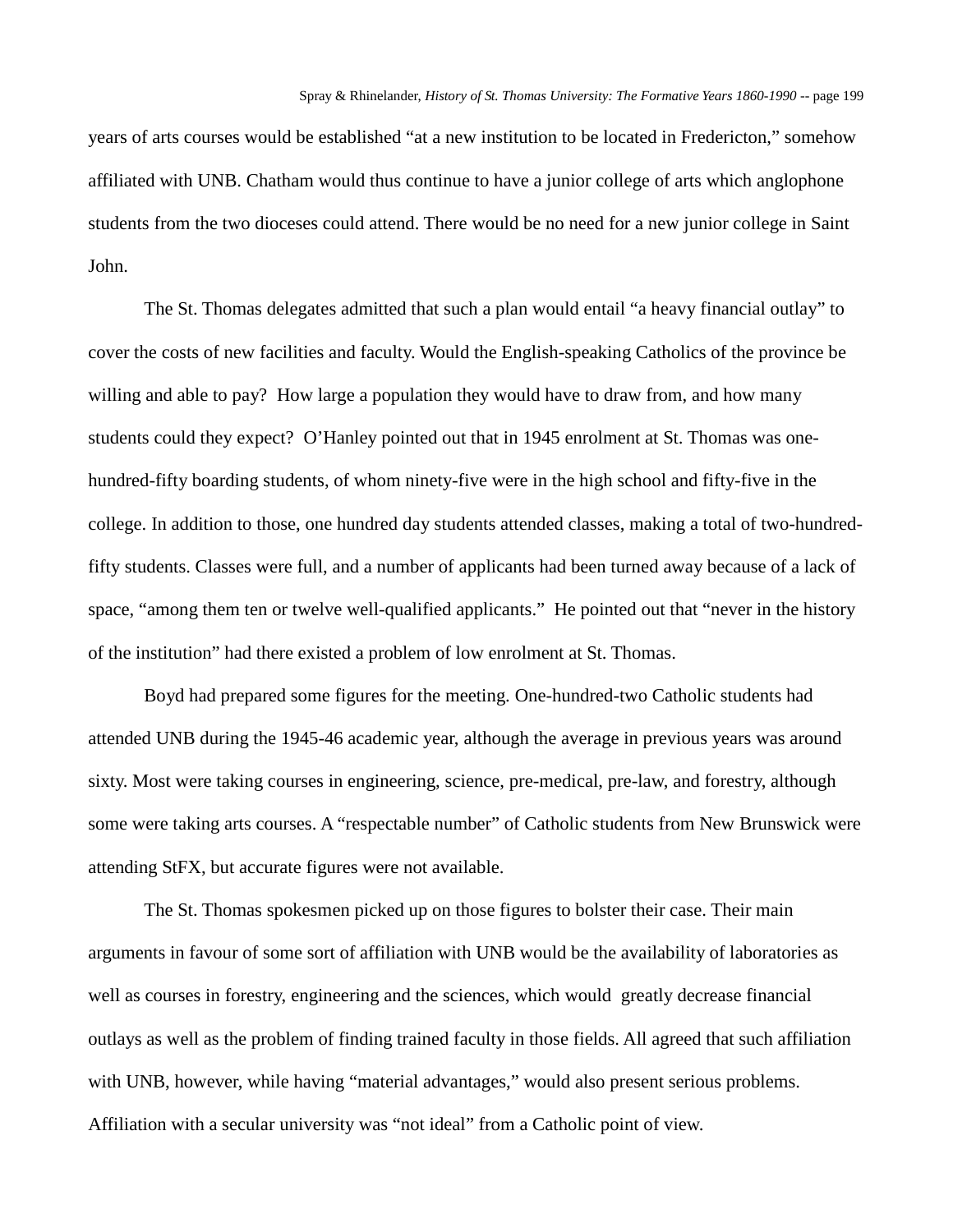years of arts courses would be established "at a new institution to be located in Fredericton," somehow affiliated with UNB. Chatham would thus continue to have a junior college of arts which anglophone students from the two dioceses could attend. There would be no need for a new junior college in Saint John.

The St. Thomas delegates admitted that such a plan would entail "a heavy financial outlay" to cover the costs of new facilities and faculty. Would the English-speaking Catholics of the province be willing and able to pay? How large a population they would have to draw from, and how many students could they expect? O'Hanley pointed out that in 1945 enrolment at St. Thomas was onehundred-fifty boarding students, of whom ninety-five were in the high school and fifty-five in the college. In addition to those, one hundred day students attended classes, making a total of two-hundredfifty students. Classes were full, and a number of applicants had been turned away because of a lack of space, "among them ten or twelve well-qualified applicants." He pointed out that "never in the history of the institution" had there existed a problem of low enrolment at St. Thomas.

Boyd had prepared some figures for the meeting. One-hundred-two Catholic students had attended UNB during the 1945-46 academic year, although the average in previous years was around sixty. Most were taking courses in engineering, science, pre-medical, pre-law, and forestry, although some were taking arts courses. A "respectable number" of Catholic students from New Brunswick were attending StFX, but accurate figures were not available.

The St. Thomas spokesmen picked up on those figures to bolster their case. Their main arguments in favour of some sort of affiliation with UNB would be the availability of laboratories as well as courses in forestry, engineering and the sciences, which would greatly decrease financial outlays as well as the problem of finding trained faculty in those fields. All agreed that such affiliation with UNB, however, while having "material advantages," would also present serious problems. Affiliation with a secular university was "not ideal" from a Catholic point of view.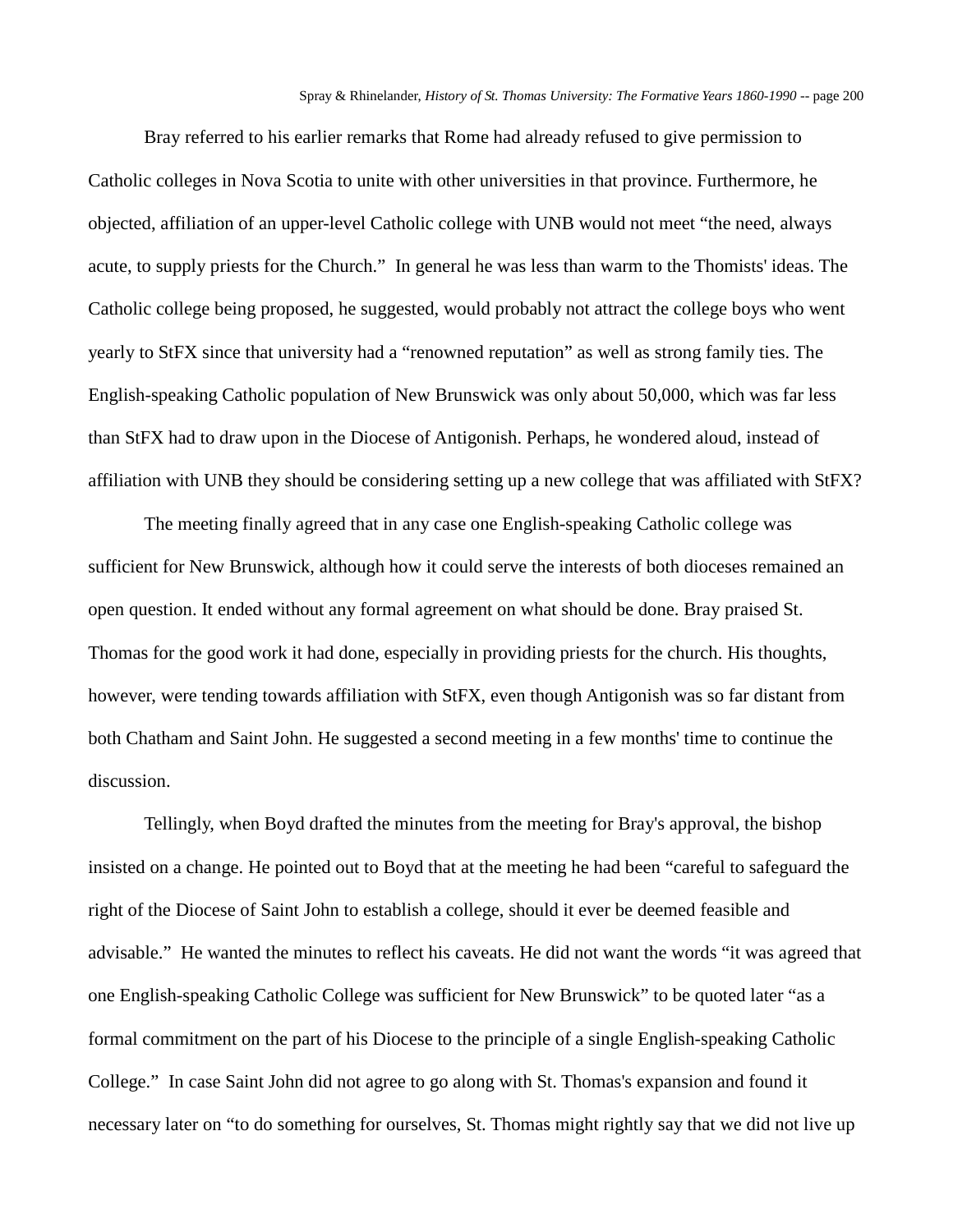Bray referred to his earlier remarks that Rome had already refused to give permission to Catholic colleges in Nova Scotia to unite with other universities in that province. Furthermore, he objected, affiliation of an upper-level Catholic college with UNB would not meet "the need, always acute, to supply priests for the Church." In general he was less than warm to the Thomists' ideas. The Catholic college being proposed, he suggested, would probably not attract the college boys who went yearly to StFX since that university had a "renowned reputation" as well as strong family ties. The English-speaking Catholic population of New Brunswick was only about 50,000, which was far less than StFX had to draw upon in the Diocese of Antigonish. Perhaps, he wondered aloud, instead of affiliation with UNB they should be considering setting up a new college that was affiliated with StFX?

The meeting finally agreed that in any case one English-speaking Catholic college was sufficient for New Brunswick, although how it could serve the interests of both dioceses remained an open question. It ended without any formal agreement on what should be done. Bray praised St. Thomas for the good work it had done, especially in providing priests for the church. His thoughts, however, were tending towards affiliation with StFX, even though Antigonish was so far distant from both Chatham and Saint John. He suggested a second meeting in a few months' time to continue the discussion.

Tellingly, when Boyd drafted the minutes from the meeting for Bray's approval, the bishop insisted on a change. He pointed out to Boyd that at the meeting he had been "careful to safeguard the right of the Diocese of Saint John to establish a college, should it ever be deemed feasible and advisable." He wanted the minutes to reflect his caveats. He did not want the words "it was agreed that one English-speaking Catholic College was sufficient for New Brunswick" to be quoted later "as a formal commitment on the part of his Diocese to the principle of a single English-speaking Catholic College." In case Saint John did not agree to go along with St. Thomas's expansion and found it necessary later on "to do something for ourselves, St. Thomas might rightly say that we did not live up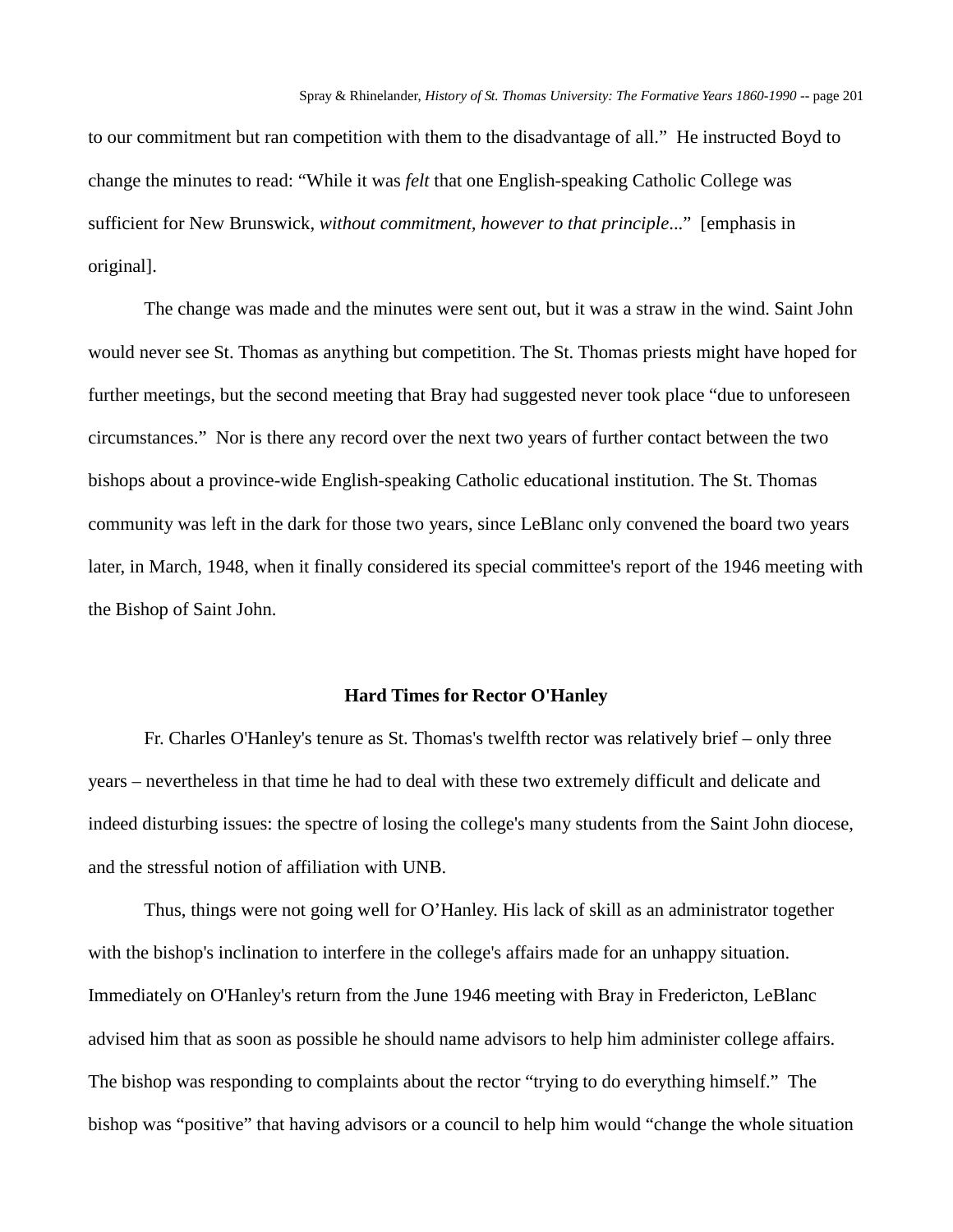to our commitment but ran competition with them to the disadvantage of all." He instructed Boyd to change the minutes to read: "While it was *felt* that one English-speaking Catholic College was sufficient for New Brunswick, *without commitment, however to that principle*..." [emphasis in original].

The change was made and the minutes were sent out, but it was a straw in the wind. Saint John would never see St. Thomas as anything but competition. The St. Thomas priests might have hoped for further meetings, but the second meeting that Bray had suggested never took place "due to unforeseen circumstances." Nor is there any record over the next two years of further contact between the two bishops about a province-wide English-speaking Catholic educational institution. The St. Thomas community was left in the dark for those two years, since LeBlanc only convened the board two years later, in March, 1948, when it finally considered its special committee's report of the 1946 meeting with the Bishop of Saint John.

### **Hard Times for Rector O'Hanley**

Fr. Charles O'Hanley's tenure as St. Thomas's twelfth rector was relatively brief – only three years – nevertheless in that time he had to deal with these two extremely difficult and delicate and indeed disturbing issues: the spectre of losing the college's many students from the Saint John diocese, and the stressful notion of affiliation with UNB.

Thus, things were not going well for O'Hanley. His lack of skill as an administrator together with the bishop's inclination to interfere in the college's affairs made for an unhappy situation. Immediately on O'Hanley's return from the June 1946 meeting with Bray in Fredericton, LeBlanc advised him that as soon as possible he should name advisors to help him administer college affairs. The bishop was responding to complaints about the rector "trying to do everything himself." The bishop was "positive" that having advisors or a council to help him would "change the whole situation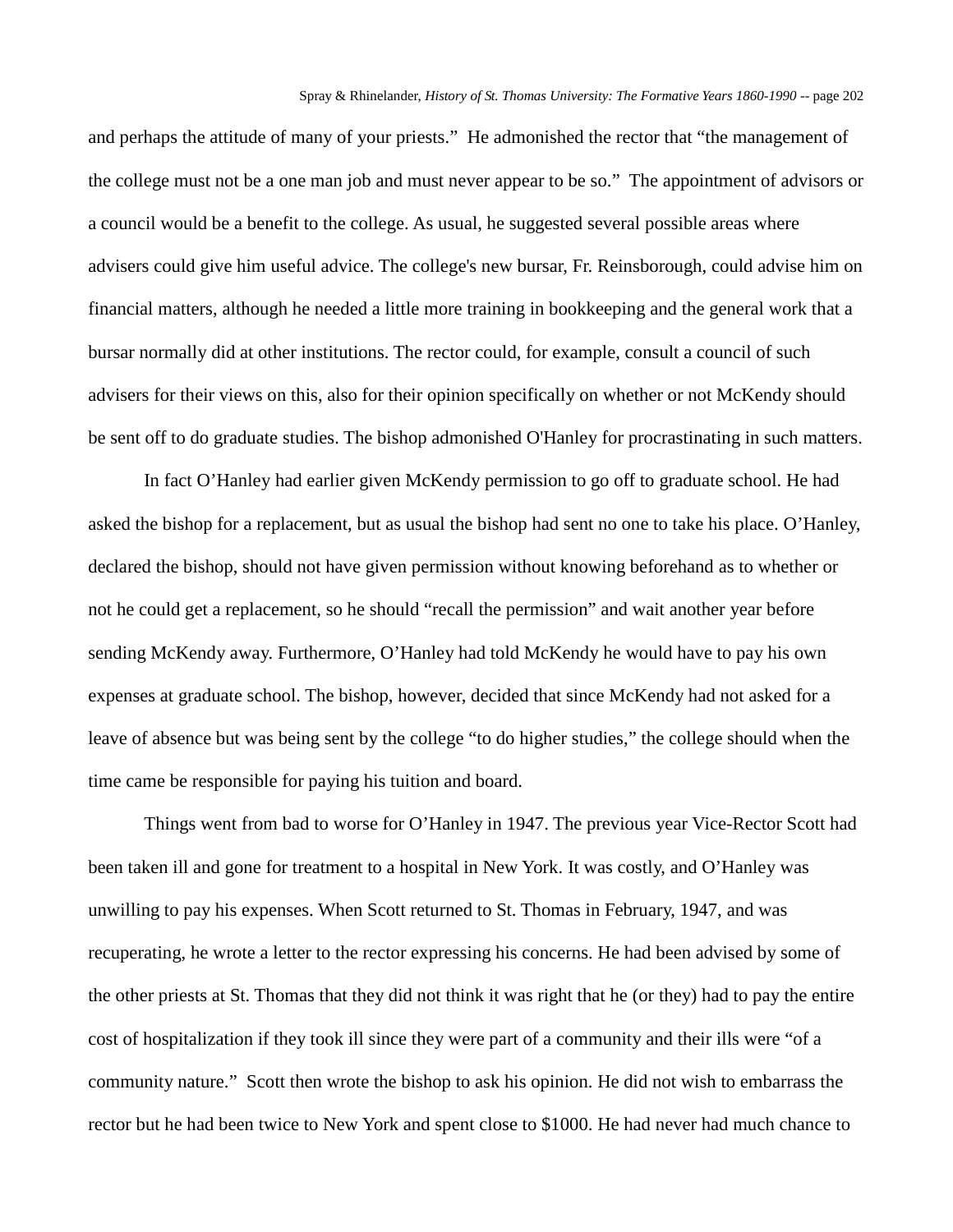and perhaps the attitude of many of your priests." He admonished the rector that "the management of the college must not be a one man job and must never appear to be so." The appointment of advisors or a council would be a benefit to the college. As usual, he suggested several possible areas where advisers could give him useful advice. The college's new bursar, Fr. Reinsborough, could advise him on financial matters, although he needed a little more training in bookkeeping and the general work that a bursar normally did at other institutions. The rector could, for example, consult a council of such advisers for their views on this, also for their opinion specifically on whether or not McKendy should be sent off to do graduate studies. The bishop admonished O'Hanley for procrastinating in such matters.

In fact O'Hanley had earlier given McKendy permission to go off to graduate school. He had asked the bishop for a replacement, but as usual the bishop had sent no one to take his place. O'Hanley, declared the bishop, should not have given permission without knowing beforehand as to whether or not he could get a replacement, so he should "recall the permission" and wait another year before sending McKendy away. Furthermore, O'Hanley had told McKendy he would have to pay his own expenses at graduate school. The bishop, however, decided that since McKendy had not asked for a leave of absence but was being sent by the college "to do higher studies," the college should when the time came be responsible for paying his tuition and board.

Things went from bad to worse for O'Hanley in 1947. The previous year Vice-Rector Scott had been taken ill and gone for treatment to a hospital in New York. It was costly, and O'Hanley was unwilling to pay his expenses. When Scott returned to St. Thomas in February, 1947, and was recuperating, he wrote a letter to the rector expressing his concerns. He had been advised by some of the other priests at St. Thomas that they did not think it was right that he (or they) had to pay the entire cost of hospitalization if they took ill since they were part of a community and their ills were "of a community nature." Scott then wrote the bishop to ask his opinion. He did not wish to embarrass the rector but he had been twice to New York and spent close to \$1000. He had never had much chance to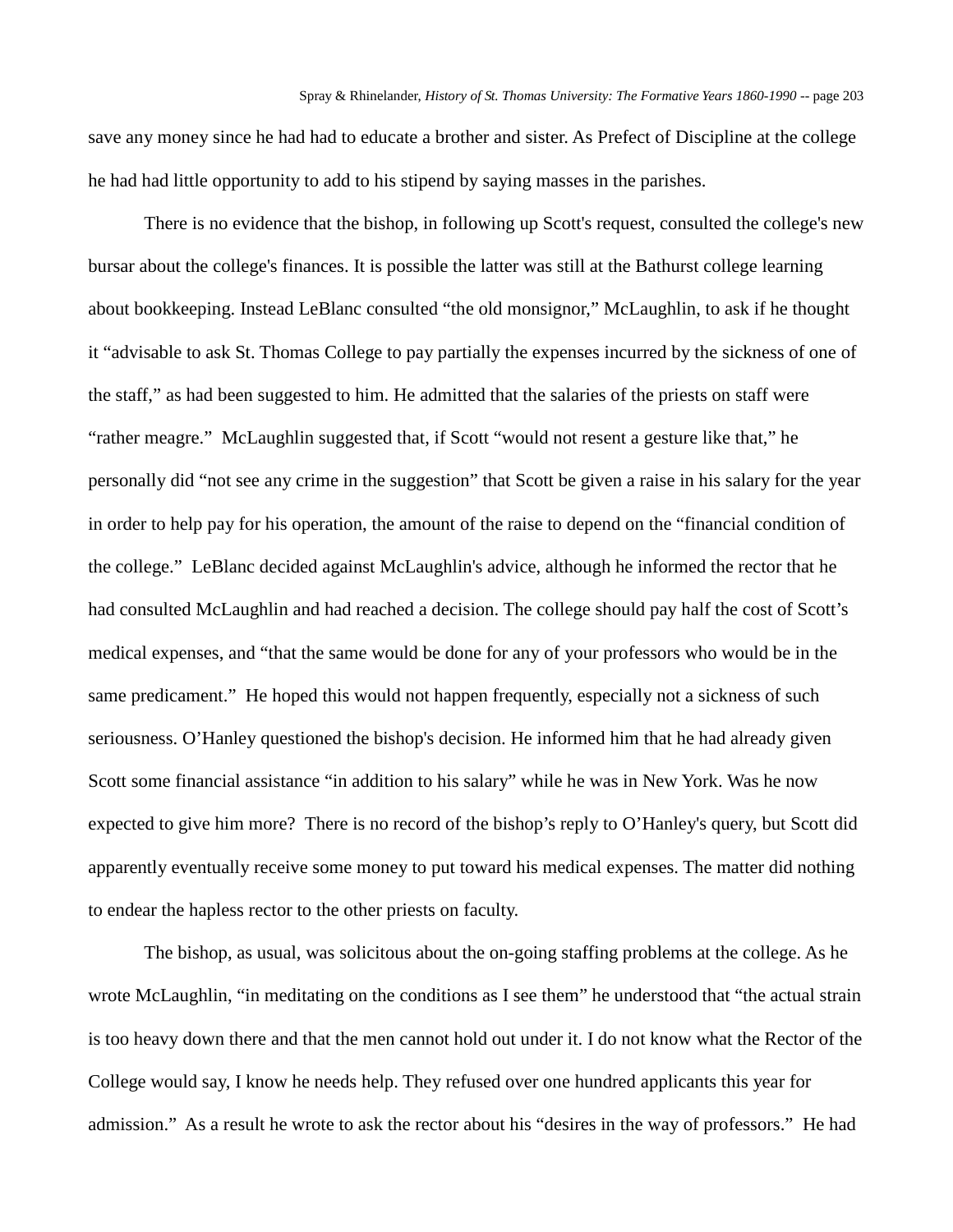save any money since he had had to educate a brother and sister. As Prefect of Discipline at the college he had had little opportunity to add to his stipend by saying masses in the parishes.

There is no evidence that the bishop, in following up Scott's request, consulted the college's new bursar about the college's finances. It is possible the latter was still at the Bathurst college learning about bookkeeping. Instead LeBlanc consulted "the old monsignor," McLaughlin, to ask if he thought it "advisable to ask St. Thomas College to pay partially the expenses incurred by the sickness of one of the staff," as had been suggested to him. He admitted that the salaries of the priests on staff were "rather meagre." McLaughlin suggested that, if Scott "would not resent a gesture like that," he personally did "not see any crime in the suggestion" that Scott be given a raise in his salary for the year in order to help pay for his operation, the amount of the raise to depend on the "financial condition of the college." LeBlanc decided against McLaughlin's advice, although he informed the rector that he had consulted McLaughlin and had reached a decision. The college should pay half the cost of Scott's medical expenses, and "that the same would be done for any of your professors who would be in the same predicament." He hoped this would not happen frequently, especially not a sickness of such seriousness. O'Hanley questioned the bishop's decision. He informed him that he had already given Scott some financial assistance "in addition to his salary" while he was in New York. Was he now expected to give him more? There is no record of the bishop's reply to O'Hanley's query, but Scott did apparently eventually receive some money to put toward his medical expenses. The matter did nothing to endear the hapless rector to the other priests on faculty.

The bishop, as usual, was solicitous about the on-going staffing problems at the college. As he wrote McLaughlin, "in meditating on the conditions as I see them" he understood that "the actual strain is too heavy down there and that the men cannot hold out under it. I do not know what the Rector of the College would say, I know he needs help. They refused over one hundred applicants this year for admission." As a result he wrote to ask the rector about his "desires in the way of professors." He had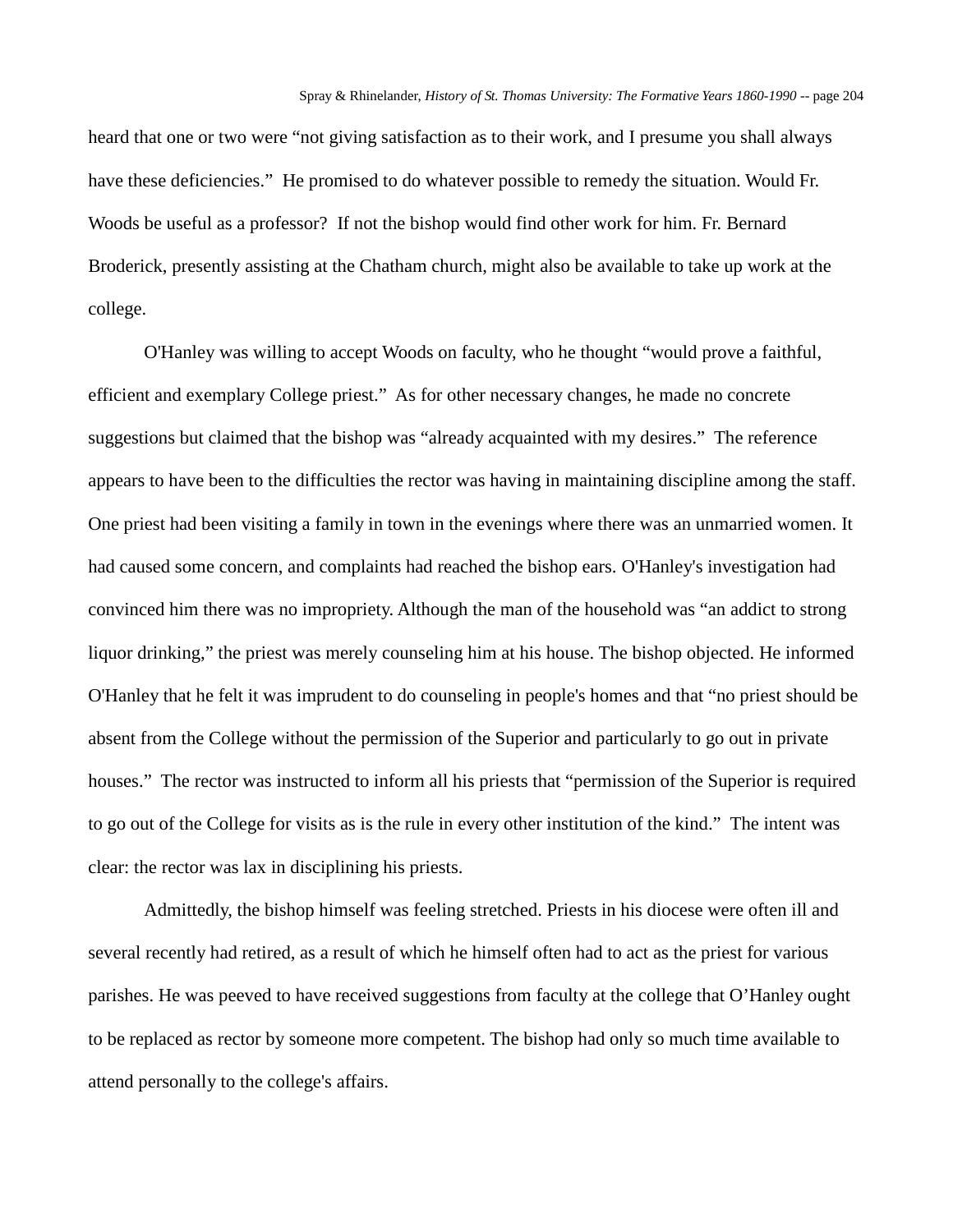heard that one or two were "not giving satisfaction as to their work, and I presume you shall always have these deficiencies." He promised to do whatever possible to remedy the situation. Would Fr. Woods be useful as a professor? If not the bishop would find other work for him. Fr. Bernard Broderick, presently assisting at the Chatham church, might also be available to take up work at the college.

O'Hanley was willing to accept Woods on faculty, who he thought "would prove a faithful, efficient and exemplary College priest." As for other necessary changes, he made no concrete suggestions but claimed that the bishop was "already acquainted with my desires." The reference appears to have been to the difficulties the rector was having in maintaining discipline among the staff. One priest had been visiting a family in town in the evenings where there was an unmarried women. It had caused some concern, and complaints had reached the bishop ears. O'Hanley's investigation had convinced him there was no impropriety. Although the man of the household was "an addict to strong liquor drinking," the priest was merely counseling him at his house. The bishop objected. He informed O'Hanley that he felt it was imprudent to do counseling in people's homes and that "no priest should be absent from the College without the permission of the Superior and particularly to go out in private houses." The rector was instructed to inform all his priests that "permission of the Superior is required to go out of the College for visits as is the rule in every other institution of the kind." The intent was clear: the rector was lax in disciplining his priests.

Admittedly, the bishop himself was feeling stretched. Priests in his diocese were often ill and several recently had retired, as a result of which he himself often had to act as the priest for various parishes. He was peeved to have received suggestions from faculty at the college that O'Hanley ought to be replaced as rector by someone more competent. The bishop had only so much time available to attend personally to the college's affairs.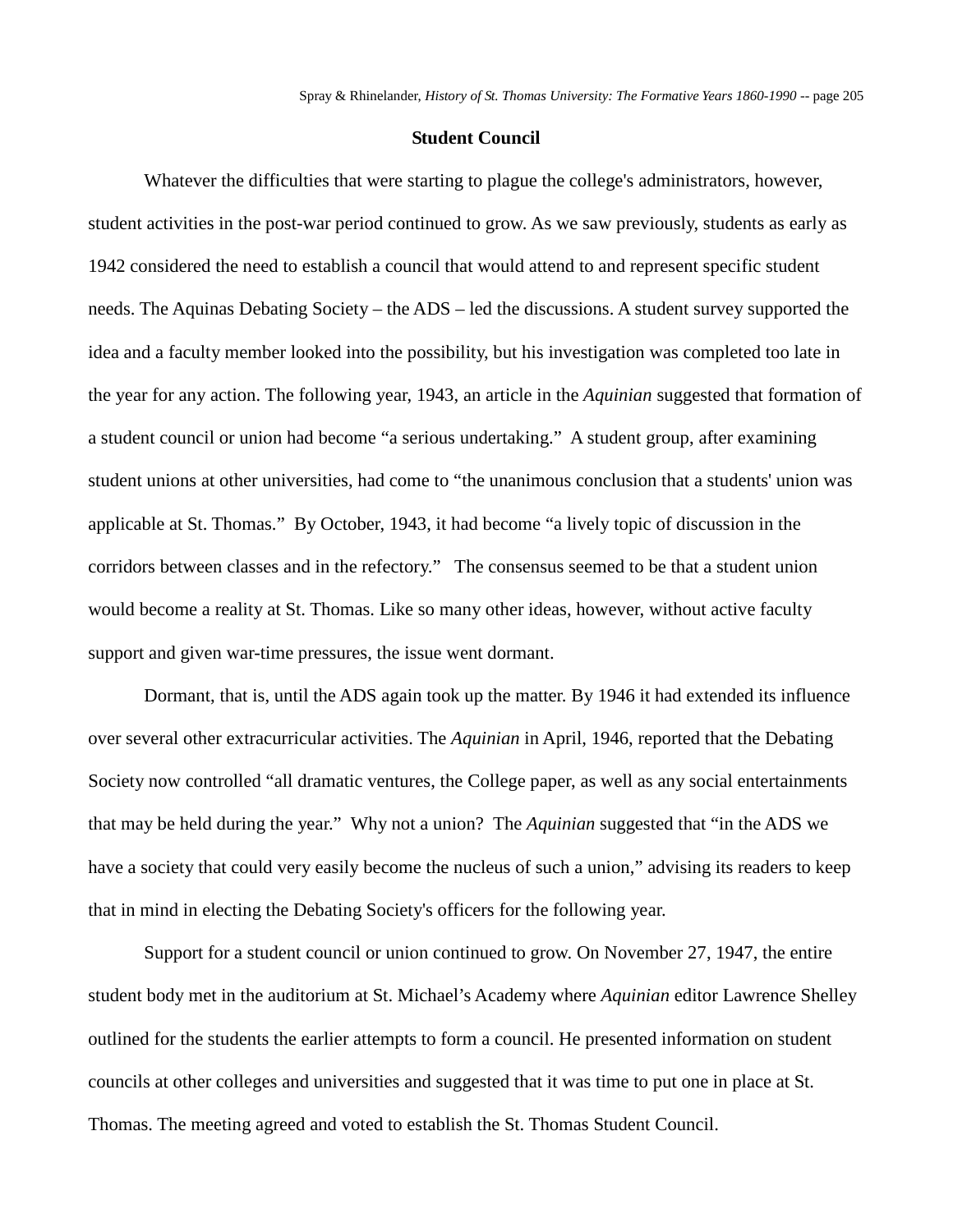### **Student Council**

Whatever the difficulties that were starting to plague the college's administrators, however, student activities in the post-war period continued to grow. As we saw previously, students as early as 1942 considered the need to establish a council that would attend to and represent specific student needs. The Aquinas Debating Society – the ADS – led the discussions. A student survey supported the idea and a faculty member looked into the possibility, but his investigation was completed too late in the year for any action. The following year, 1943, an article in the *Aquinian* suggested that formation of a student council or union had become "a serious undertaking." A student group, after examining student unions at other universities, had come to "the unanimous conclusion that a students' union was applicable at St. Thomas." By October, 1943, it had become "a lively topic of discussion in the corridors between classes and in the refectory." The consensus seemed to be that a student union would become a reality at St. Thomas. Like so many other ideas, however, without active faculty support and given war-time pressures, the issue went dormant.

Dormant, that is, until the ADS again took up the matter. By 1946 it had extended its influence over several other extracurricular activities. The *Aquinian* in April, 1946, reported that the Debating Society now controlled "all dramatic ventures, the College paper, as well as any social entertainments that may be held during the year." Why not a union? The *Aquinian* suggested that "in the ADS we have a society that could very easily become the nucleus of such a union," advising its readers to keep that in mind in electing the Debating Society's officers for the following year.

Support for a student council or union continued to grow. On November 27, 1947, the entire student body met in the auditorium at St. Michael's Academy where *Aquinian* editor Lawrence Shelley outlined for the students the earlier attempts to form a council. He presented information on student councils at other colleges and universities and suggested that it was time to put one in place at St. Thomas. The meeting agreed and voted to establish the St. Thomas Student Council.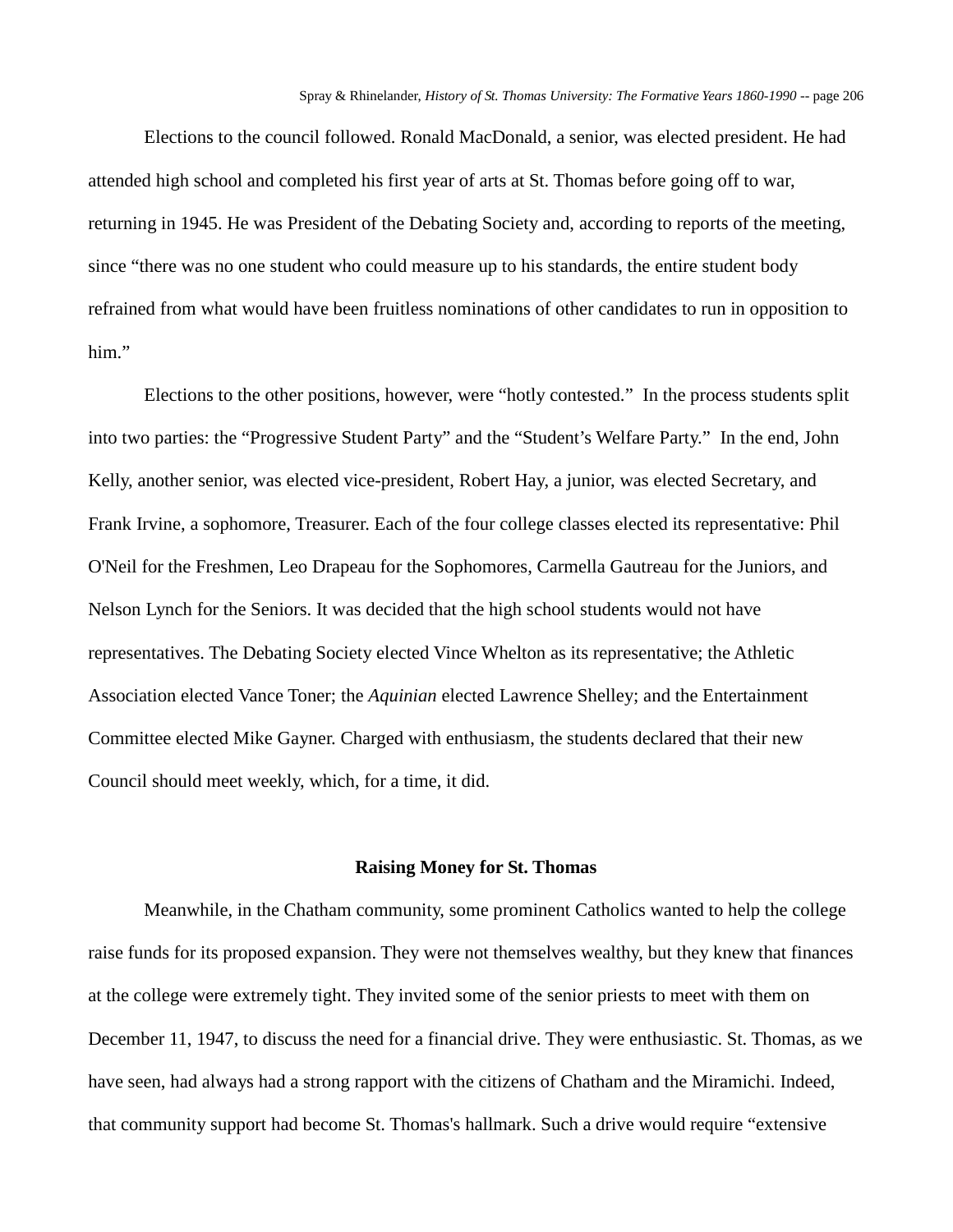Elections to the council followed. Ronald MacDonald, a senior, was elected president. He had attended high school and completed his first year of arts at St. Thomas before going off to war, returning in 1945. He was President of the Debating Society and, according to reports of the meeting, since "there was no one student who could measure up to his standards, the entire student body refrained from what would have been fruitless nominations of other candidates to run in opposition to him."

Elections to the other positions, however, were "hotly contested." In the process students split into two parties: the "Progressive Student Party" and the "Student's Welfare Party." In the end, John Kelly, another senior, was elected vice-president, Robert Hay, a junior, was elected Secretary, and Frank Irvine, a sophomore, Treasurer. Each of the four college classes elected its representative: Phil O'Neil for the Freshmen, Leo Drapeau for the Sophomores, Carmella Gautreau for the Juniors, and Nelson Lynch for the Seniors. It was decided that the high school students would not have representatives. The Debating Society elected Vince Whelton as its representative; the Athletic Association elected Vance Toner; the *Aquinian* elected Lawrence Shelley; and the Entertainment Committee elected Mike Gayner. Charged with enthusiasm, the students declared that their new Council should meet weekly, which, for a time, it did.

### **Raising Money for St. Thomas**

Meanwhile, in the Chatham community, some prominent Catholics wanted to help the college raise funds for its proposed expansion. They were not themselves wealthy, but they knew that finances at the college were extremely tight. They invited some of the senior priests to meet with them on December 11, 1947, to discuss the need for a financial drive. They were enthusiastic. St. Thomas, as we have seen, had always had a strong rapport with the citizens of Chatham and the Miramichi. Indeed, that community support had become St. Thomas's hallmark. Such a drive would require "extensive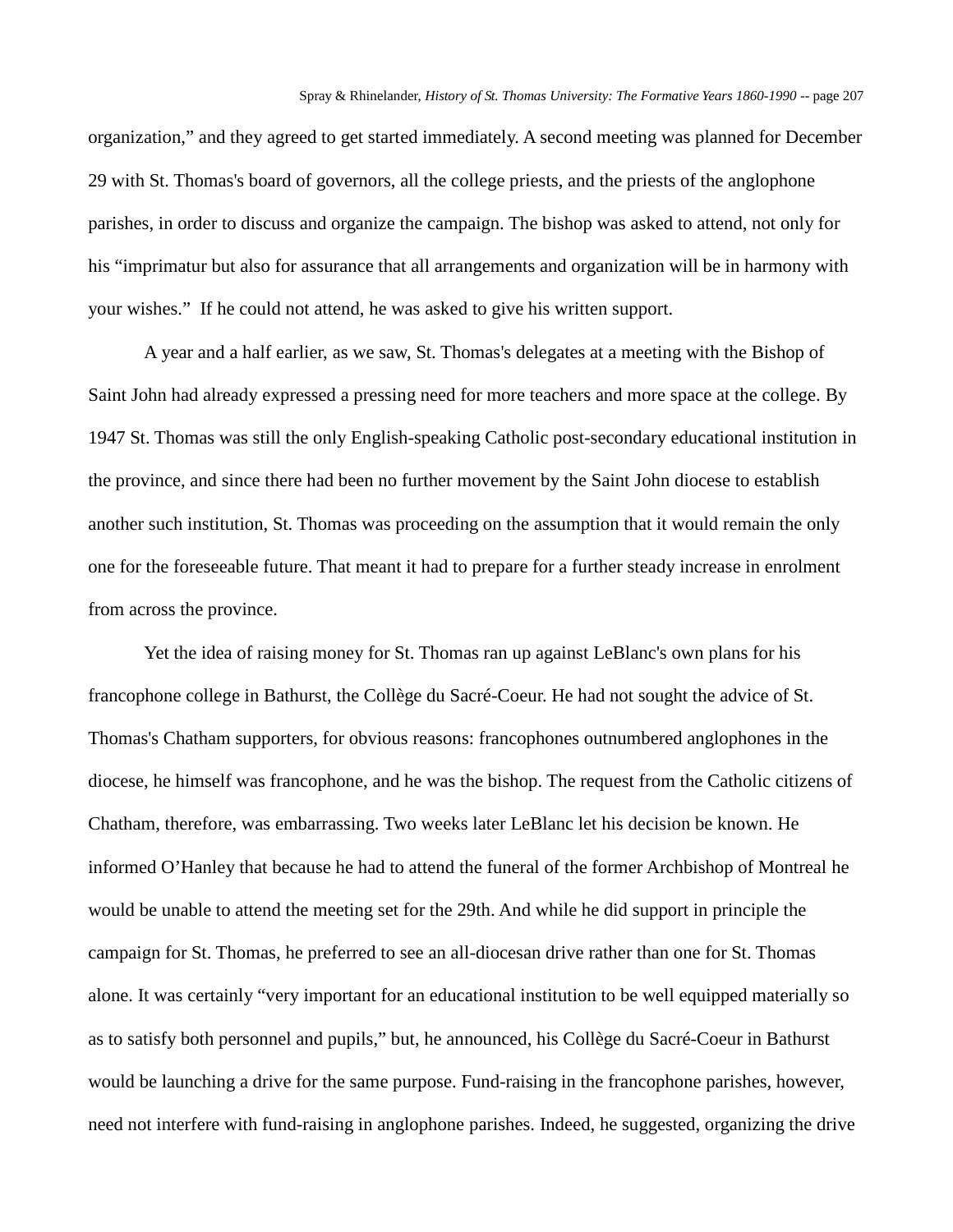organization," and they agreed to get started immediately. A second meeting was planned for December 29 with St. Thomas's board of governors, all the college priests, and the priests of the anglophone parishes, in order to discuss and organize the campaign. The bishop was asked to attend, not only for his "imprimatur but also for assurance that all arrangements and organization will be in harmony with your wishes." If he could not attend, he was asked to give his written support.

A year and a half earlier, as we saw, St. Thomas's delegates at a meeting with the Bishop of Saint John had already expressed a pressing need for more teachers and more space at the college. By 1947 St. Thomas was still the only English-speaking Catholic post-secondary educational institution in the province, and since there had been no further movement by the Saint John diocese to establish another such institution, St. Thomas was proceeding on the assumption that it would remain the only one for the foreseeable future. That meant it had to prepare for a further steady increase in enrolment from across the province.

Yet the idea of raising money for St. Thomas ran up against LeBlanc's own plans for his francophone college in Bathurst, the Collège du Sacré-Coeur. He had not sought the advice of St. Thomas's Chatham supporters, for obvious reasons: francophones outnumbered anglophones in the diocese, he himself was francophone, and he was the bishop. The request from the Catholic citizens of Chatham, therefore, was embarrassing. Two weeks later LeBlanc let his decision be known. He informed O'Hanley that because he had to attend the funeral of the former Archbishop of Montreal he would be unable to attend the meeting set for the 29th. And while he did support in principle the campaign for St. Thomas, he preferred to see an all-diocesan drive rather than one for St. Thomas alone. It was certainly "very important for an educational institution to be well equipped materially so as to satisfy both personnel and pupils," but, he announced, his Collège du Sacré-Coeur in Bathurst would be launching a drive for the same purpose. Fund-raising in the francophone parishes, however, need not interfere with fund-raising in anglophone parishes. Indeed, he suggested, organizing the drive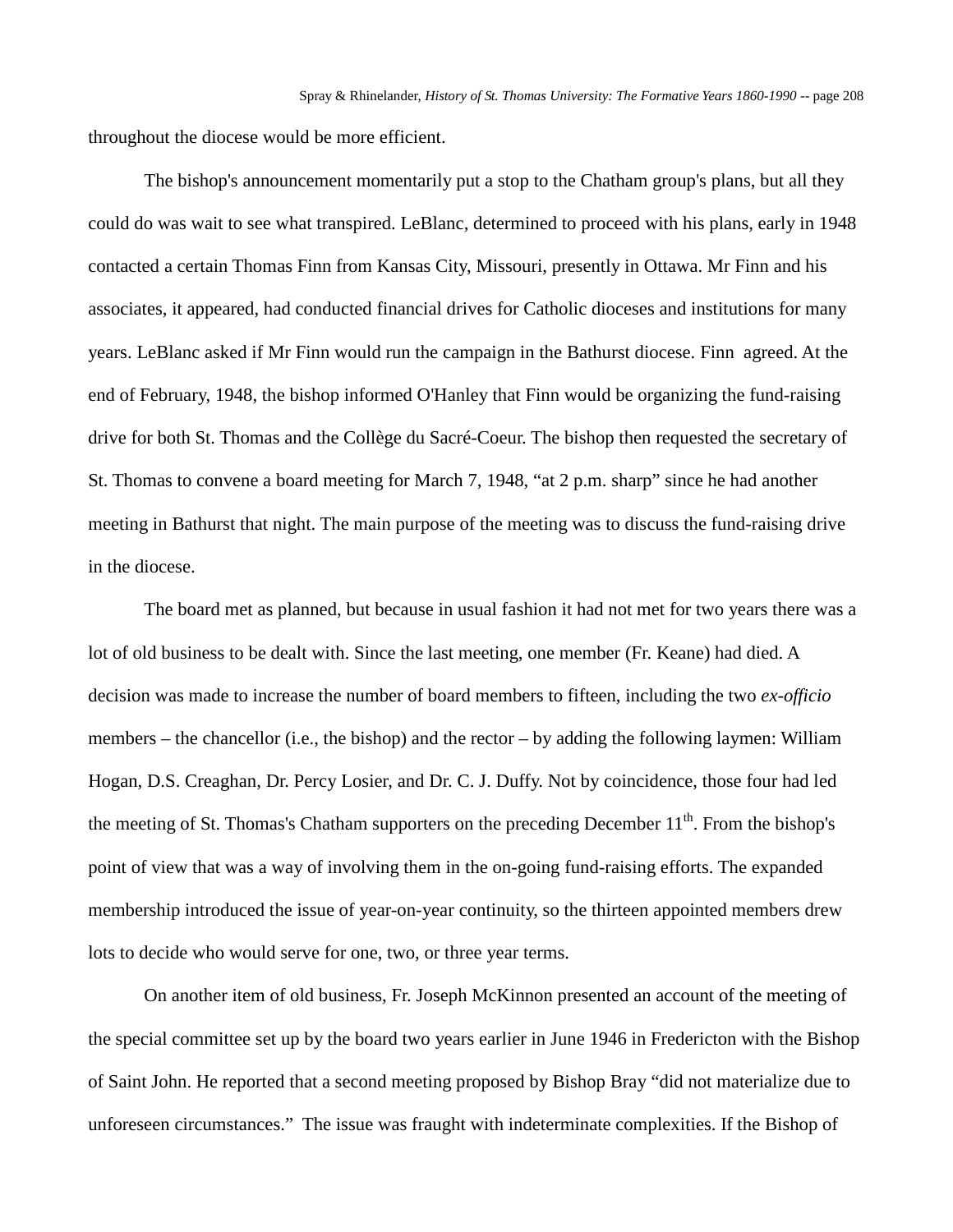throughout the diocese would be more efficient.

The bishop's announcement momentarily put a stop to the Chatham group's plans, but all they could do was wait to see what transpired. LeBlanc, determined to proceed with his plans, early in 1948 contacted a certain Thomas Finn from Kansas City, Missouri, presently in Ottawa. Mr Finn and his associates, it appeared, had conducted financial drives for Catholic dioceses and institutions for many years. LeBlanc asked if Mr Finn would run the campaign in the Bathurst diocese. Finn agreed. At the end of February, 1948, the bishop informed O'Hanley that Finn would be organizing the fund-raising drive for both St. Thomas and the Collège du Sacré-Coeur. The bishop then requested the secretary of St. Thomas to convene a board meeting for March 7, 1948, "at 2 p.m. sharp" since he had another meeting in Bathurst that night. The main purpose of the meeting was to discuss the fund-raising drive in the diocese.

The board met as planned, but because in usual fashion it had not met for two years there was a lot of old business to be dealt with. Since the last meeting, one member (Fr. Keane) had died. A decision was made to increase the number of board members to fifteen, including the two *ex-officio*  members – the chancellor (i.e., the bishop) and the rector – by adding the following laymen: William Hogan, D.S. Creaghan, Dr. Percy Losier, and Dr. C. J. Duffy. Not by coincidence, those four had led the meeting of St. Thomas's Chatham supporters on the preceding December 11<sup>th</sup>. From the bishop's point of view that was a way of involving them in the on-going fund-raising efforts. The expanded membership introduced the issue of year-on-year continuity, so the thirteen appointed members drew lots to decide who would serve for one, two, or three year terms.

On another item of old business, Fr. Joseph McKinnon presented an account of the meeting of the special committee set up by the board two years earlier in June 1946 in Fredericton with the Bishop of Saint John. He reported that a second meeting proposed by Bishop Bray "did not materialize due to unforeseen circumstances." The issue was fraught with indeterminate complexities. If the Bishop of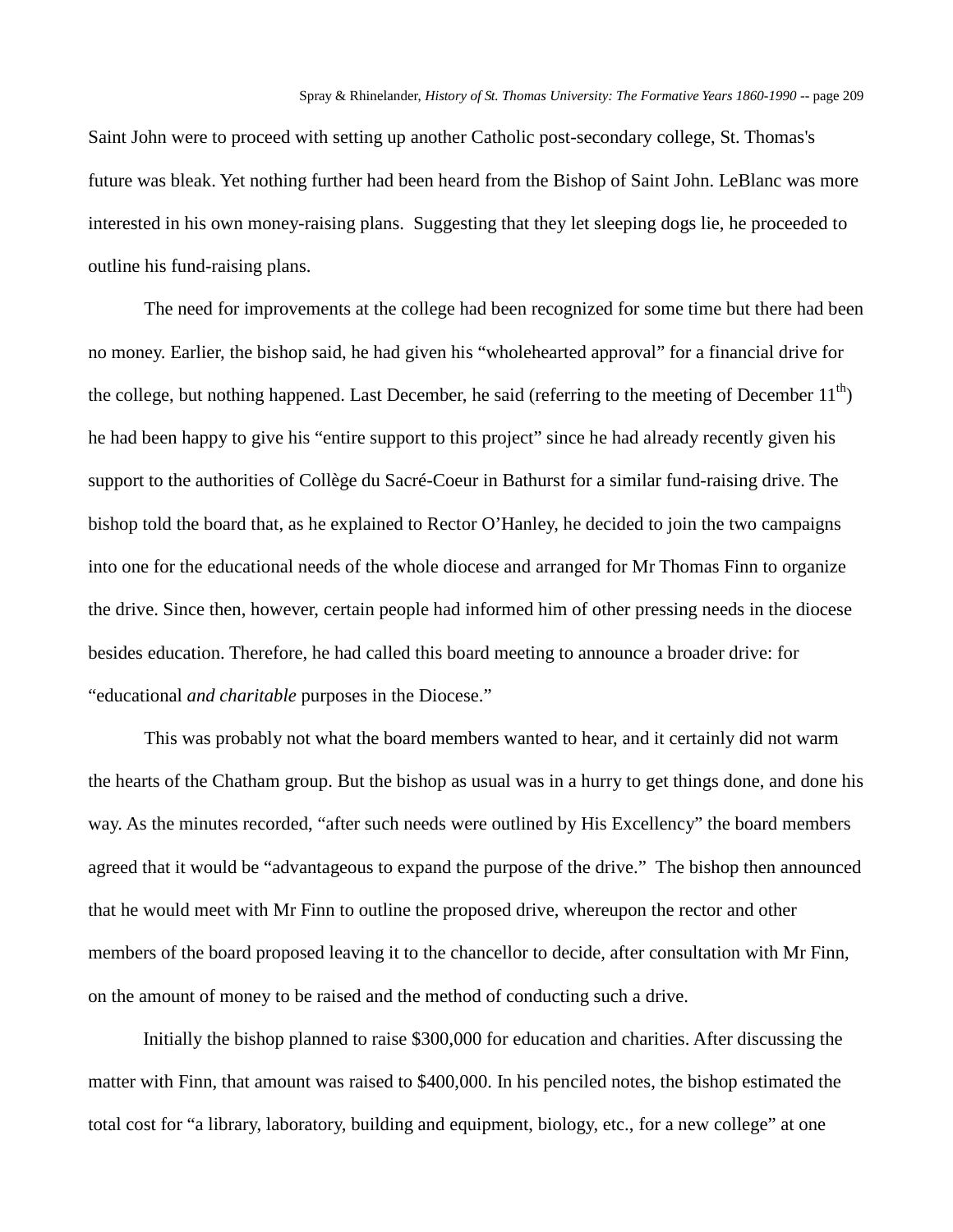Saint John were to proceed with setting up another Catholic post-secondary college, St. Thomas's future was bleak. Yet nothing further had been heard from the Bishop of Saint John. LeBlanc was more interested in his own money-raising plans. Suggesting that they let sleeping dogs lie, he proceeded to outline his fund-raising plans.

The need for improvements at the college had been recognized for some time but there had been no money. Earlier, the bishop said, he had given his "wholehearted approval" for a financial drive for the college, but nothing happened. Last December, he said (referring to the meeting of December  $11<sup>th</sup>$ ) he had been happy to give his "entire support to this project" since he had already recently given his support to the authorities of Collège du Sacré-Coeur in Bathurst for a similar fund-raising drive. The bishop told the board that, as he explained to Rector O'Hanley, he decided to join the two campaigns into one for the educational needs of the whole diocese and arranged for Mr Thomas Finn to organize the drive. Since then, however, certain people had informed him of other pressing needs in the diocese besides education. Therefore, he had called this board meeting to announce a broader drive: for "educational *and charitable* purposes in the Diocese."

This was probably not what the board members wanted to hear, and it certainly did not warm the hearts of the Chatham group. But the bishop as usual was in a hurry to get things done, and done his way. As the minutes recorded, "after such needs were outlined by His Excellency" the board members agreed that it would be "advantageous to expand the purpose of the drive." The bishop then announced that he would meet with Mr Finn to outline the proposed drive, whereupon the rector and other members of the board proposed leaving it to the chancellor to decide, after consultation with Mr Finn, on the amount of money to be raised and the method of conducting such a drive.

Initially the bishop planned to raise \$300,000 for education and charities. After discussing the matter with Finn, that amount was raised to \$400,000. In his penciled notes, the bishop estimated the total cost for "a library, laboratory, building and equipment, biology, etc., for a new college" at one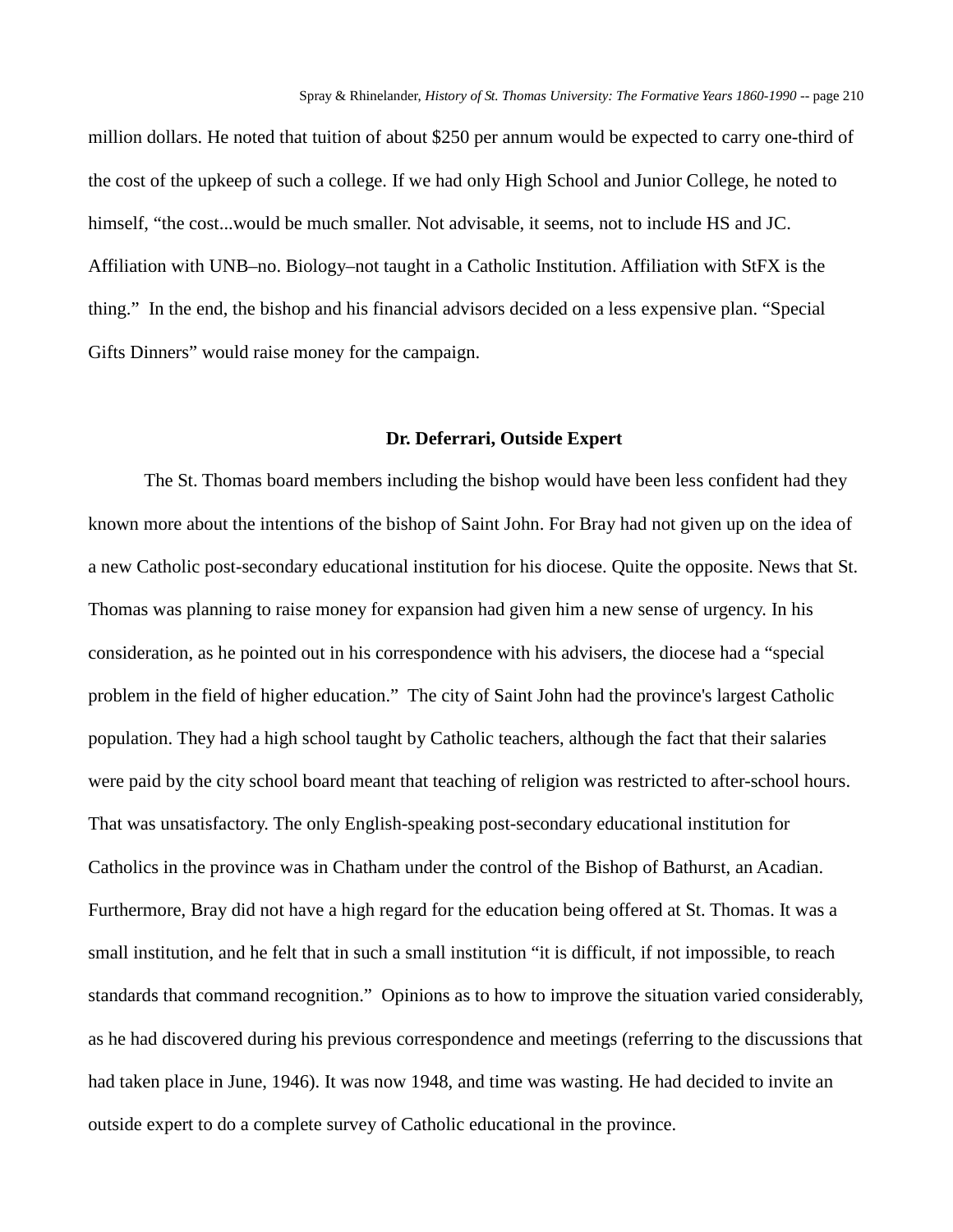million dollars. He noted that tuition of about \$250 per annum would be expected to carry one-third of the cost of the upkeep of such a college. If we had only High School and Junior College, he noted to himself, "the cost...would be much smaller. Not advisable, it seems, not to include HS and JC. Affiliation with UNB–no. Biology–not taught in a Catholic Institution. Affiliation with StFX is the thing." In the end, the bishop and his financial advisors decided on a less expensive plan. "Special Gifts Dinners" would raise money for the campaign.

## **Dr. Deferrari, Outside Expert**

The St. Thomas board members including the bishop would have been less confident had they known more about the intentions of the bishop of Saint John. For Bray had not given up on the idea of a new Catholic post-secondary educational institution for his diocese. Quite the opposite. News that St. Thomas was planning to raise money for expansion had given him a new sense of urgency. In his consideration, as he pointed out in his correspondence with his advisers, the diocese had a "special problem in the field of higher education." The city of Saint John had the province's largest Catholic population. They had a high school taught by Catholic teachers, although the fact that their salaries were paid by the city school board meant that teaching of religion was restricted to after-school hours. That was unsatisfactory. The only English-speaking post-secondary educational institution for Catholics in the province was in Chatham under the control of the Bishop of Bathurst, an Acadian. Furthermore, Bray did not have a high regard for the education being offered at St. Thomas. It was a small institution, and he felt that in such a small institution "it is difficult, if not impossible, to reach standards that command recognition." Opinions as to how to improve the situation varied considerably, as he had discovered during his previous correspondence and meetings (referring to the discussions that had taken place in June, 1946). It was now 1948, and time was wasting. He had decided to invite an outside expert to do a complete survey of Catholic educational in the province.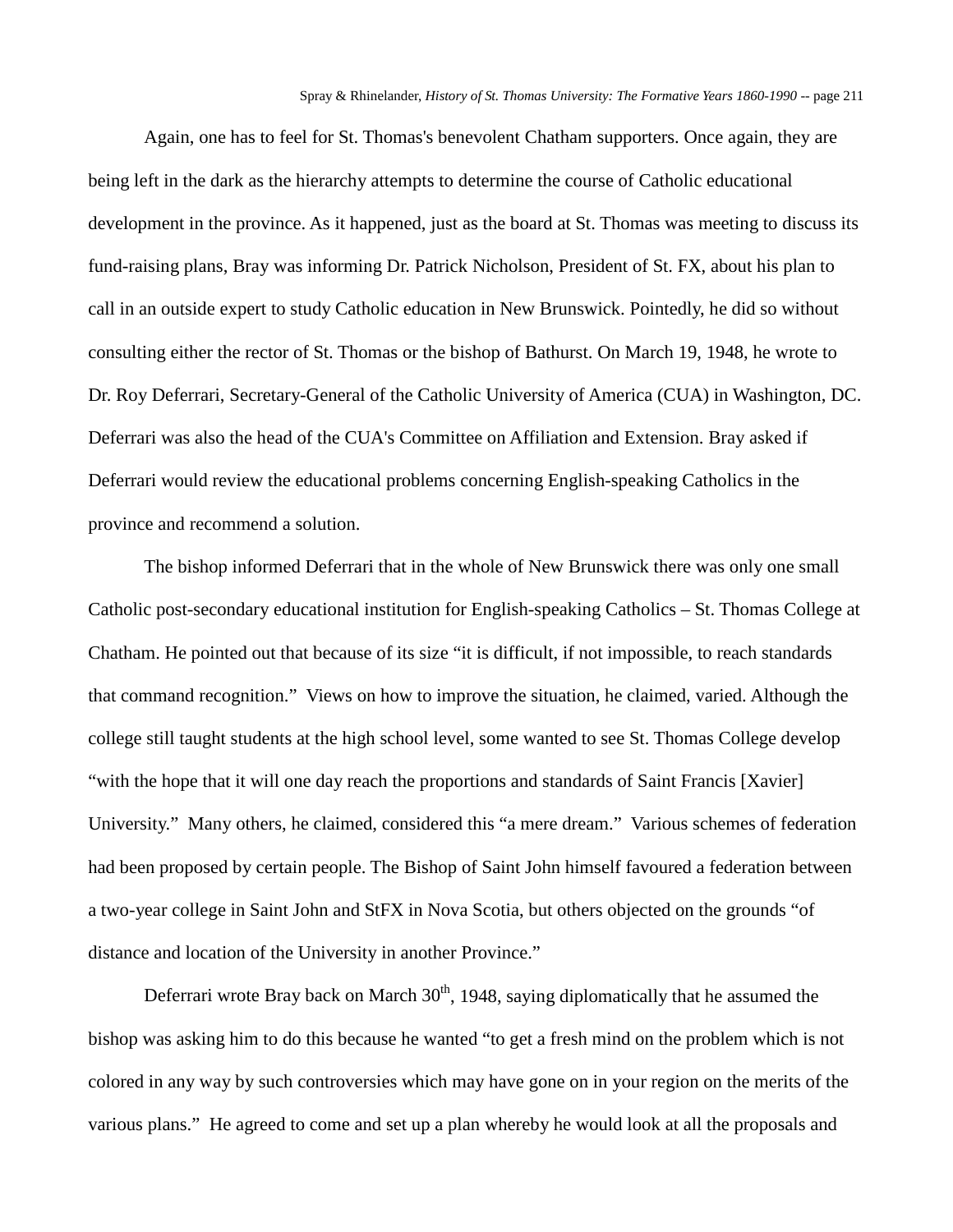Again, one has to feel for St. Thomas's benevolent Chatham supporters. Once again, they are being left in the dark as the hierarchy attempts to determine the course of Catholic educational development in the province. As it happened, just as the board at St. Thomas was meeting to discuss its fund-raising plans, Bray was informing Dr. Patrick Nicholson, President of St. FX, about his plan to call in an outside expert to study Catholic education in New Brunswick. Pointedly, he did so without consulting either the rector of St. Thomas or the bishop of Bathurst. On March 19, 1948, he wrote to Dr. Roy Deferrari, Secretary-General of the Catholic University of America (CUA) in Washington, DC. Deferrari was also the head of the CUA's Committee on Affiliation and Extension. Bray asked if Deferrari would review the educational problems concerning English-speaking Catholics in the province and recommend a solution.

The bishop informed Deferrari that in the whole of New Brunswick there was only one small Catholic post-secondary educational institution for English-speaking Catholics – St. Thomas College at Chatham. He pointed out that because of its size "it is difficult, if not impossible, to reach standards that command recognition." Views on how to improve the situation, he claimed, varied. Although the college still taught students at the high school level, some wanted to see St. Thomas College develop "with the hope that it will one day reach the proportions and standards of Saint Francis [Xavier] University." Many others, he claimed, considered this "a mere dream." Various schemes of federation had been proposed by certain people. The Bishop of Saint John himself favoured a federation between a two-year college in Saint John and StFX in Nova Scotia, but others objected on the grounds "of distance and location of the University in another Province."

Deferrari wrote Bray back on March  $30<sup>th</sup>$ , 1948, saying diplomatically that he assumed the bishop was asking him to do this because he wanted "to get a fresh mind on the problem which is not colored in any way by such controversies which may have gone on in your region on the merits of the various plans." He agreed to come and set up a plan whereby he would look at all the proposals and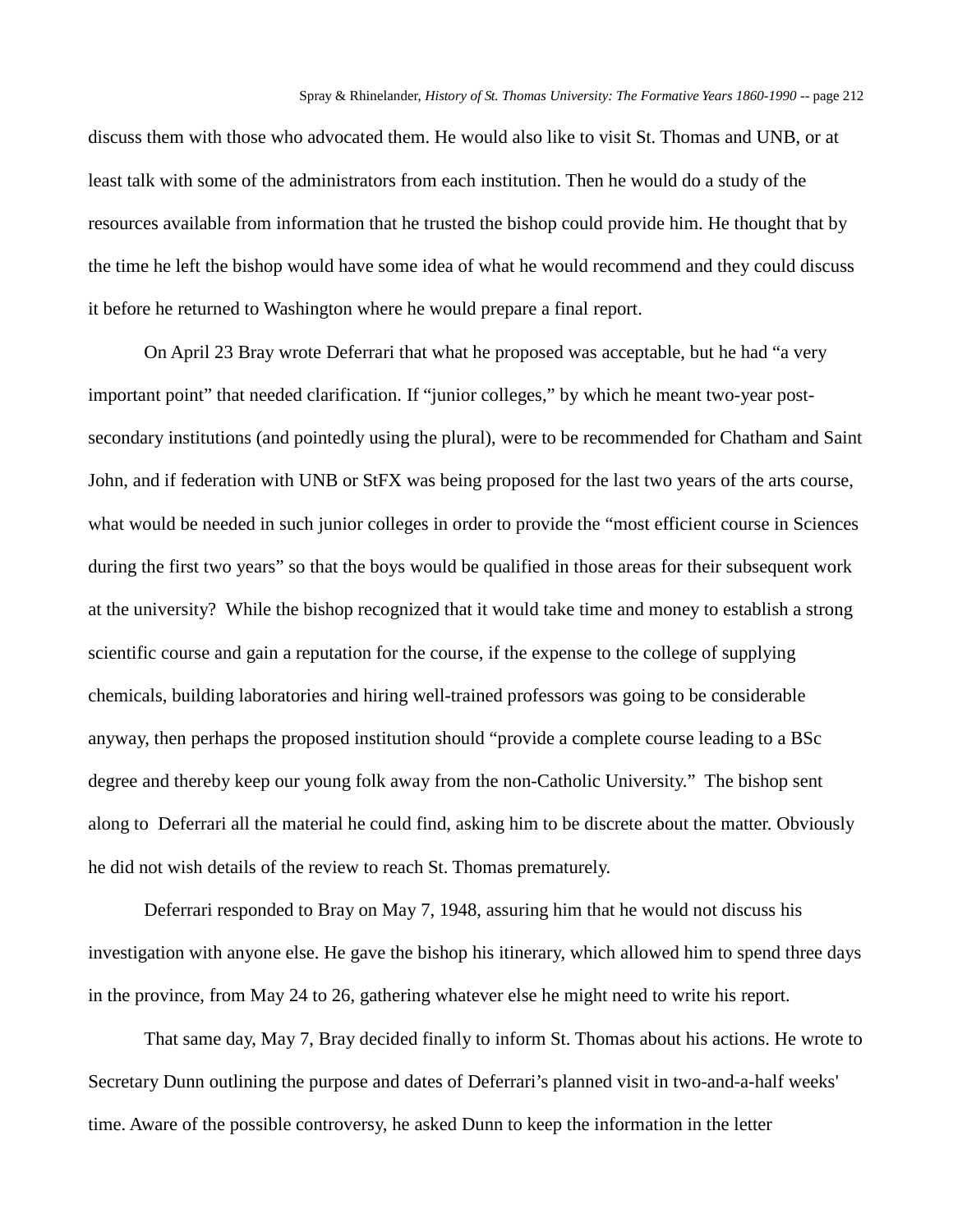discuss them with those who advocated them. He would also like to visit St. Thomas and UNB, or at least talk with some of the administrators from each institution. Then he would do a study of the resources available from information that he trusted the bishop could provide him. He thought that by the time he left the bishop would have some idea of what he would recommend and they could discuss it before he returned to Washington where he would prepare a final report.

On April 23 Bray wrote Deferrari that what he proposed was acceptable, but he had "a very important point" that needed clarification. If "junior colleges," by which he meant two-year postsecondary institutions (and pointedly using the plural), were to be recommended for Chatham and Saint John, and if federation with UNB or StFX was being proposed for the last two years of the arts course, what would be needed in such junior colleges in order to provide the "most efficient course in Sciences during the first two years" so that the boys would be qualified in those areas for their subsequent work at the university? While the bishop recognized that it would take time and money to establish a strong scientific course and gain a reputation for the course, if the expense to the college of supplying chemicals, building laboratories and hiring well-trained professors was going to be considerable anyway, then perhaps the proposed institution should "provide a complete course leading to a BSc degree and thereby keep our young folk away from the non-Catholic University." The bishop sent along to Deferrari all the material he could find, asking him to be discrete about the matter. Obviously he did not wish details of the review to reach St. Thomas prematurely.

Deferrari responded to Bray on May 7, 1948, assuring him that he would not discuss his investigation with anyone else. He gave the bishop his itinerary, which allowed him to spend three days in the province, from May 24 to 26, gathering whatever else he might need to write his report.

That same day, May 7, Bray decided finally to inform St. Thomas about his actions. He wrote to Secretary Dunn outlining the purpose and dates of Deferrari's planned visit in two-and-a-half weeks' time. Aware of the possible controversy, he asked Dunn to keep the information in the letter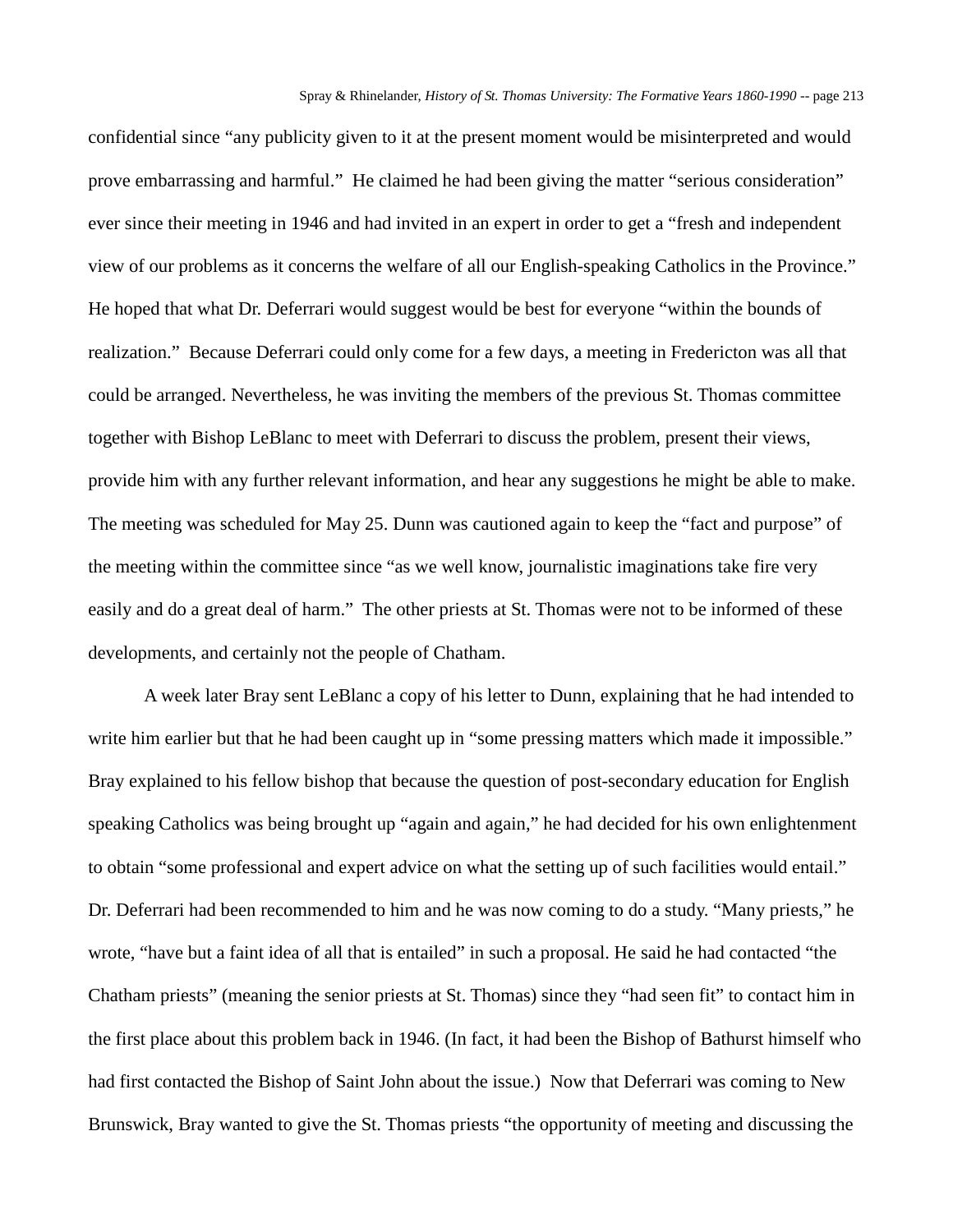confidential since "any publicity given to it at the present moment would be misinterpreted and would prove embarrassing and harmful." He claimed he had been giving the matter "serious consideration" ever since their meeting in 1946 and had invited in an expert in order to get a "fresh and independent view of our problems as it concerns the welfare of all our English-speaking Catholics in the Province." He hoped that what Dr. Deferrari would suggest would be best for everyone "within the bounds of realization." Because Deferrari could only come for a few days, a meeting in Fredericton was all that could be arranged. Nevertheless, he was inviting the members of the previous St. Thomas committee together with Bishop LeBlanc to meet with Deferrari to discuss the problem, present their views, provide him with any further relevant information, and hear any suggestions he might be able to make. The meeting was scheduled for May 25. Dunn was cautioned again to keep the "fact and purpose" of the meeting within the committee since "as we well know, journalistic imaginations take fire very easily and do a great deal of harm." The other priests at St. Thomas were not to be informed of these developments, and certainly not the people of Chatham.

A week later Bray sent LeBlanc a copy of his letter to Dunn, explaining that he had intended to write him earlier but that he had been caught up in "some pressing matters which made it impossible." Bray explained to his fellow bishop that because the question of post-secondary education for English speaking Catholics was being brought up "again and again," he had decided for his own enlightenment to obtain "some professional and expert advice on what the setting up of such facilities would entail." Dr. Deferrari had been recommended to him and he was now coming to do a study. "Many priests," he wrote, "have but a faint idea of all that is entailed" in such a proposal. He said he had contacted "the Chatham priests" (meaning the senior priests at St. Thomas) since they "had seen fit" to contact him in the first place about this problem back in 1946. (In fact, it had been the Bishop of Bathurst himself who had first contacted the Bishop of Saint John about the issue.) Now that Deferrari was coming to New Brunswick, Bray wanted to give the St. Thomas priests "the opportunity of meeting and discussing the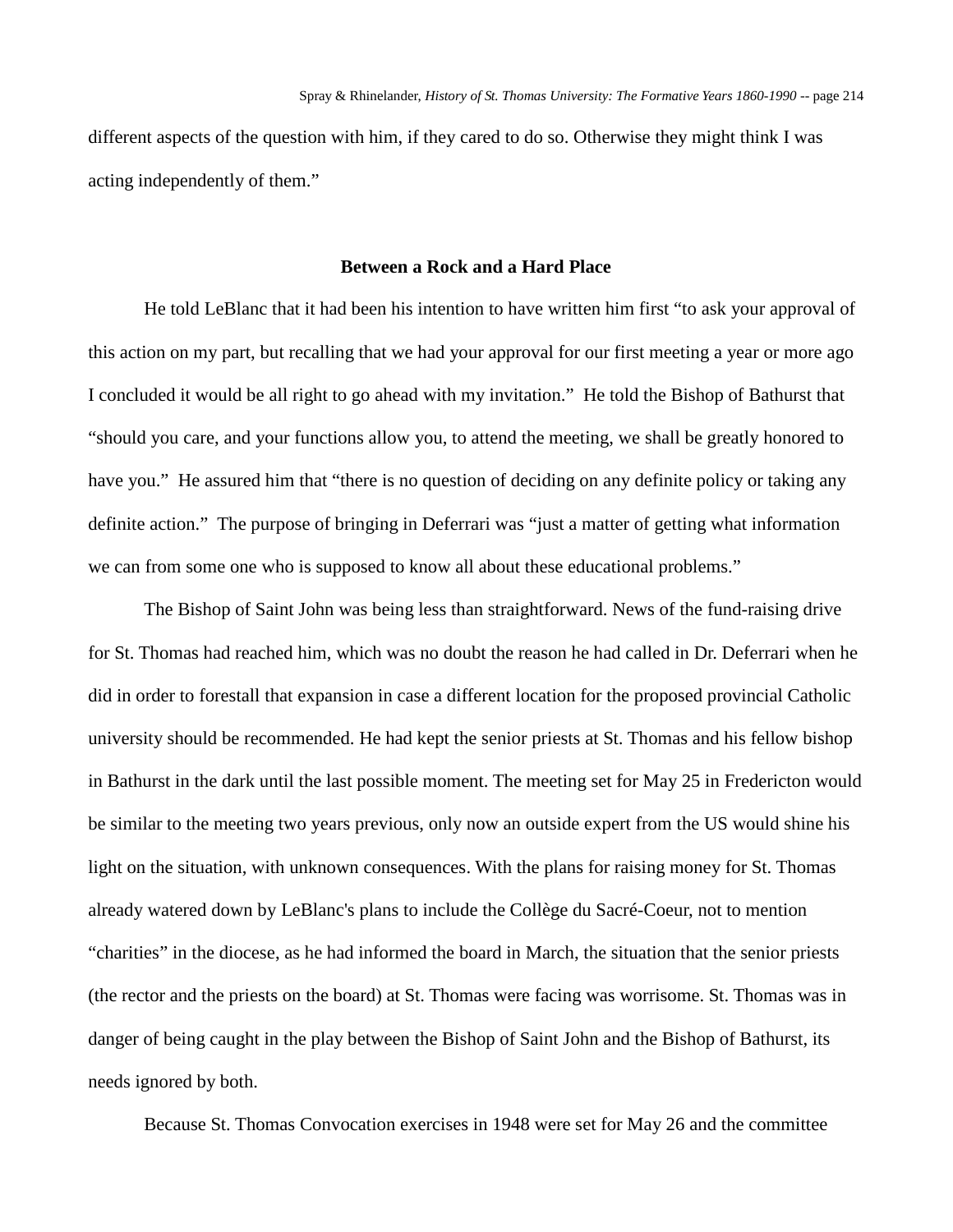different aspects of the question with him, if they cared to do so. Otherwise they might think I was acting independently of them."

### **Between a Rock and a Hard Place**

He told LeBlanc that it had been his intention to have written him first "to ask your approval of this action on my part, but recalling that we had your approval for our first meeting a year or more ago I concluded it would be all right to go ahead with my invitation." He told the Bishop of Bathurst that "should you care, and your functions allow you, to attend the meeting, we shall be greatly honored to have you." He assured him that "there is no question of deciding on any definite policy or taking any definite action." The purpose of bringing in Deferrari was "just a matter of getting what information we can from some one who is supposed to know all about these educational problems."

The Bishop of Saint John was being less than straightforward. News of the fund-raising drive for St. Thomas had reached him, which was no doubt the reason he had called in Dr. Deferrari when he did in order to forestall that expansion in case a different location for the proposed provincial Catholic university should be recommended. He had kept the senior priests at St. Thomas and his fellow bishop in Bathurst in the dark until the last possible moment. The meeting set for May 25 in Fredericton would be similar to the meeting two years previous, only now an outside expert from the US would shine his light on the situation, with unknown consequences. With the plans for raising money for St. Thomas already watered down by LeBlanc's plans to include the Collège du Sacré-Coeur, not to mention "charities" in the diocese, as he had informed the board in March, the situation that the senior priests (the rector and the priests on the board) at St. Thomas were facing was worrisome. St. Thomas was in danger of being caught in the play between the Bishop of Saint John and the Bishop of Bathurst, its needs ignored by both.

Because St. Thomas Convocation exercises in 1948 were set for May 26 and the committee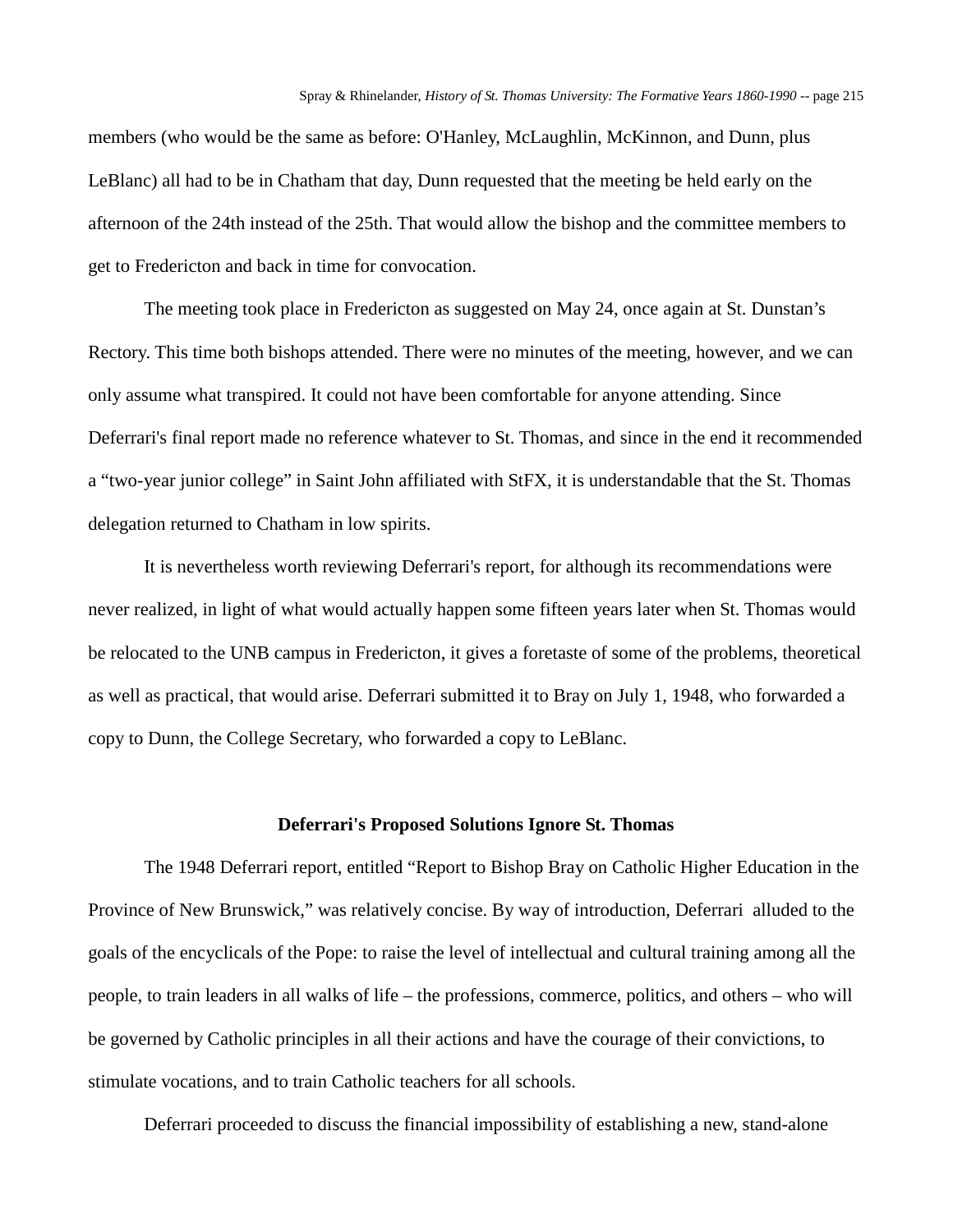members (who would be the same as before: O'Hanley, McLaughlin, McKinnon, and Dunn, plus LeBlanc) all had to be in Chatham that day, Dunn requested that the meeting be held early on the afternoon of the 24th instead of the 25th. That would allow the bishop and the committee members to get to Fredericton and back in time for convocation.

The meeting took place in Fredericton as suggested on May 24, once again at St. Dunstan's Rectory. This time both bishops attended. There were no minutes of the meeting, however, and we can only assume what transpired. It could not have been comfortable for anyone attending. Since Deferrari's final report made no reference whatever to St. Thomas, and since in the end it recommended a "two-year junior college" in Saint John affiliated with StFX, it is understandable that the St. Thomas delegation returned to Chatham in low spirits.

It is nevertheless worth reviewing Deferrari's report, for although its recommendations were never realized, in light of what would actually happen some fifteen years later when St. Thomas would be relocated to the UNB campus in Fredericton, it gives a foretaste of some of the problems, theoretical as well as practical, that would arise. Deferrari submitted it to Bray on July 1, 1948, who forwarded a copy to Dunn, the College Secretary, who forwarded a copy to LeBlanc.

#### **Deferrari's Proposed Solutions Ignore St. Thomas**

The 1948 Deferrari report, entitled "Report to Bishop Bray on Catholic Higher Education in the Province of New Brunswick," was relatively concise. By way of introduction, Deferrari alluded to the goals of the encyclicals of the Pope: to raise the level of intellectual and cultural training among all the people, to train leaders in all walks of life – the professions, commerce, politics, and others – who will be governed by Catholic principles in all their actions and have the courage of their convictions, to stimulate vocations, and to train Catholic teachers for all schools.

Deferrari proceeded to discuss the financial impossibility of establishing a new, stand-alone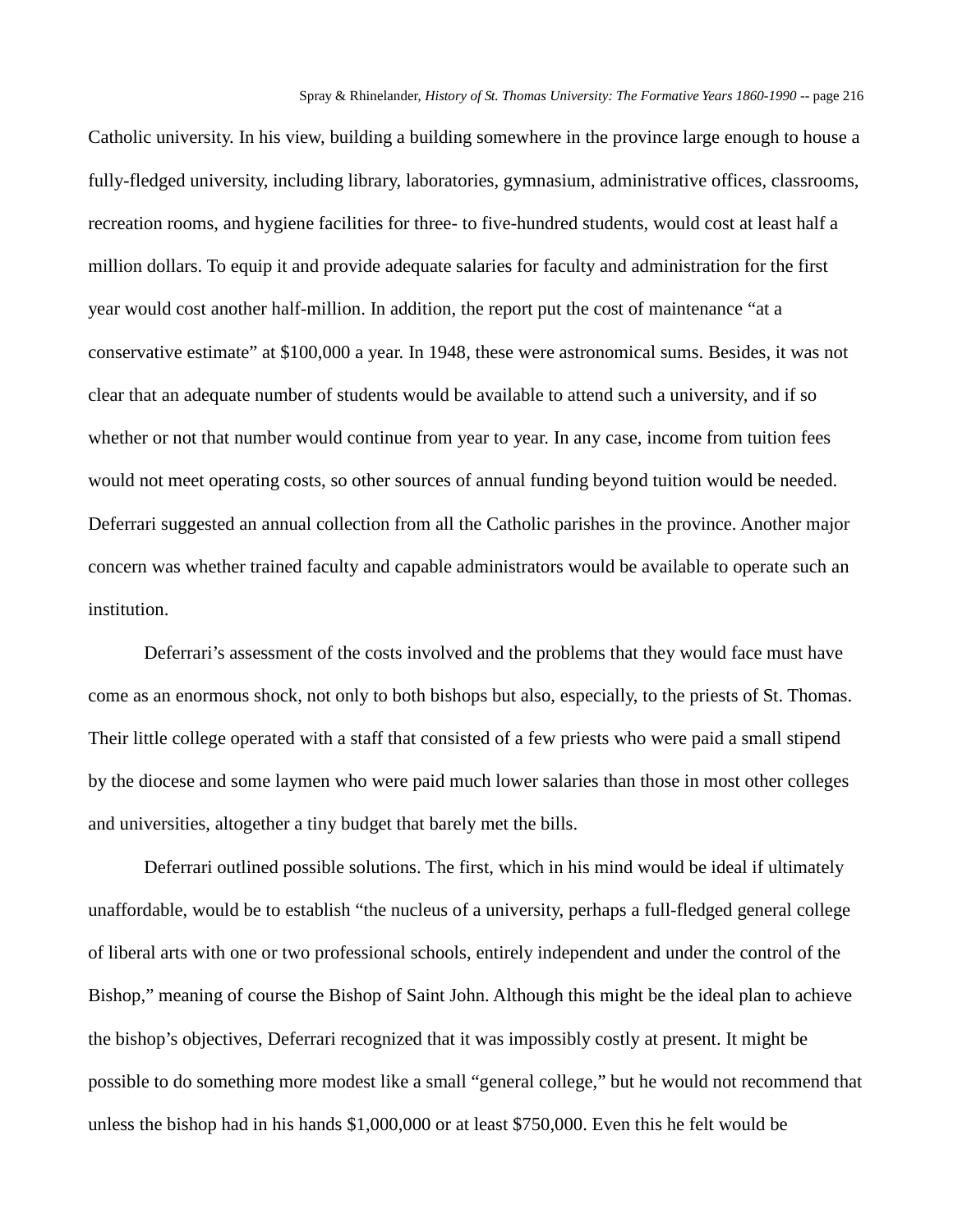Catholic university. In his view, building a building somewhere in the province large enough to house a fully-fledged university, including library, laboratories, gymnasium, administrative offices, classrooms, recreation rooms, and hygiene facilities for three- to five-hundred students, would cost at least half a million dollars. To equip it and provide adequate salaries for faculty and administration for the first year would cost another half-million. In addition, the report put the cost of maintenance "at a conservative estimate" at \$100,000 a year. In 1948, these were astronomical sums. Besides, it was not clear that an adequate number of students would be available to attend such a university, and if so whether or not that number would continue from year to year. In any case, income from tuition fees would not meet operating costs, so other sources of annual funding beyond tuition would be needed. Deferrari suggested an annual collection from all the Catholic parishes in the province. Another major concern was whether trained faculty and capable administrators would be available to operate such an institution.

Deferrari's assessment of the costs involved and the problems that they would face must have come as an enormous shock, not only to both bishops but also, especially, to the priests of St. Thomas. Their little college operated with a staff that consisted of a few priests who were paid a small stipend by the diocese and some laymen who were paid much lower salaries than those in most other colleges and universities, altogether a tiny budget that barely met the bills.

Deferrari outlined possible solutions. The first, which in his mind would be ideal if ultimately unaffordable, would be to establish "the nucleus of a university, perhaps a full-fledged general college of liberal arts with one or two professional schools, entirely independent and under the control of the Bishop," meaning of course the Bishop of Saint John. Although this might be the ideal plan to achieve the bishop's objectives, Deferrari recognized that it was impossibly costly at present. It might be possible to do something more modest like a small "general college," but he would not recommend that unless the bishop had in his hands \$1,000,000 or at least \$750,000. Even this he felt would be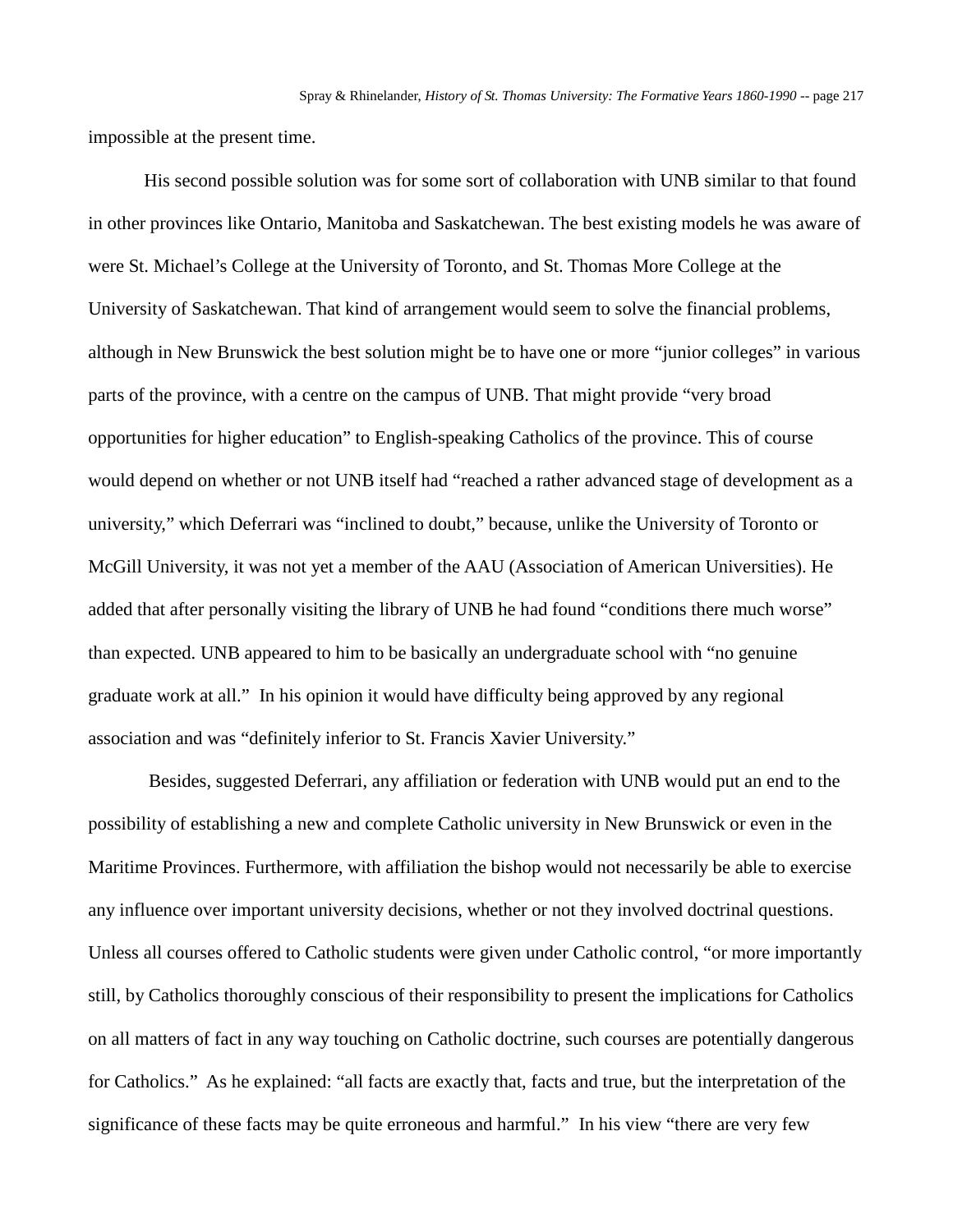impossible at the present time.

His second possible solution was for some sort of collaboration with UNB similar to that found in other provinces like Ontario, Manitoba and Saskatchewan. The best existing models he was aware of were St. Michael's College at the University of Toronto, and St. Thomas More College at the University of Saskatchewan. That kind of arrangement would seem to solve the financial problems, although in New Brunswick the best solution might be to have one or more "junior colleges" in various parts of the province, with a centre on the campus of UNB. That might provide "very broad opportunities for higher education" to English-speaking Catholics of the province. This of course would depend on whether or not UNB itself had "reached a rather advanced stage of development as a university," which Deferrari was "inclined to doubt," because, unlike the University of Toronto or McGill University, it was not yet a member of the AAU (Association of American Universities). He added that after personally visiting the library of UNB he had found "conditions there much worse" than expected. UNB appeared to him to be basically an undergraduate school with "no genuine graduate work at all." In his opinion it would have difficulty being approved by any regional association and was "definitely inferior to St. Francis Xavier University."

Besides, suggested Deferrari, any affiliation or federation with UNB would put an end to the possibility of establishing a new and complete Catholic university in New Brunswick or even in the Maritime Provinces. Furthermore, with affiliation the bishop would not necessarily be able to exercise any influence over important university decisions, whether or not they involved doctrinal questions. Unless all courses offered to Catholic students were given under Catholic control, "or more importantly still, by Catholics thoroughly conscious of their responsibility to present the implications for Catholics on all matters of fact in any way touching on Catholic doctrine, such courses are potentially dangerous for Catholics." As he explained: "all facts are exactly that, facts and true, but the interpretation of the significance of these facts may be quite erroneous and harmful." In his view "there are very few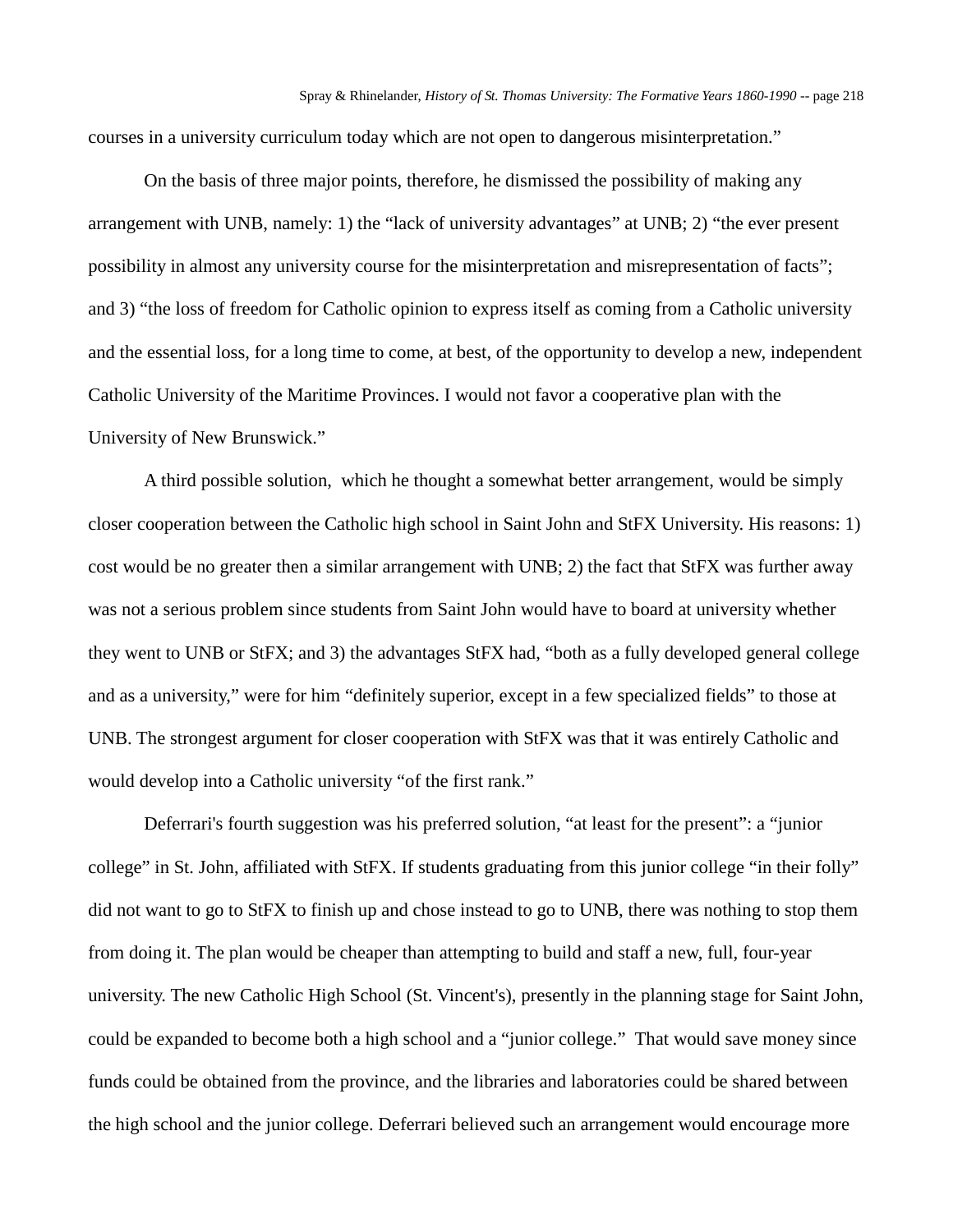courses in a university curriculum today which are not open to dangerous misinterpretation."

On the basis of three major points, therefore, he dismissed the possibility of making any arrangement with UNB, namely: 1) the "lack of university advantages" at UNB; 2) "the ever present possibility in almost any university course for the misinterpretation and misrepresentation of facts"; and 3) "the loss of freedom for Catholic opinion to express itself as coming from a Catholic university and the essential loss, for a long time to come, at best, of the opportunity to develop a new, independent Catholic University of the Maritime Provinces. I would not favor a cooperative plan with the University of New Brunswick."

A third possible solution, which he thought a somewhat better arrangement, would be simply closer cooperation between the Catholic high school in Saint John and StFX University. His reasons: 1) cost would be no greater then a similar arrangement with UNB; 2) the fact that StFX was further away was not a serious problem since students from Saint John would have to board at university whether they went to UNB or StFX; and 3) the advantages StFX had, "both as a fully developed general college and as a university," were for him "definitely superior, except in a few specialized fields" to those at UNB. The strongest argument for closer cooperation with StFX was that it was entirely Catholic and would develop into a Catholic university "of the first rank."

Deferrari's fourth suggestion was his preferred solution, "at least for the present": a "junior college" in St. John, affiliated with StFX. If students graduating from this junior college "in their folly" did not want to go to StFX to finish up and chose instead to go to UNB, there was nothing to stop them from doing it. The plan would be cheaper than attempting to build and staff a new, full, four-year university. The new Catholic High School (St. Vincent's), presently in the planning stage for Saint John, could be expanded to become both a high school and a "junior college." That would save money since funds could be obtained from the province, and the libraries and laboratories could be shared between the high school and the junior college. Deferrari believed such an arrangement would encourage more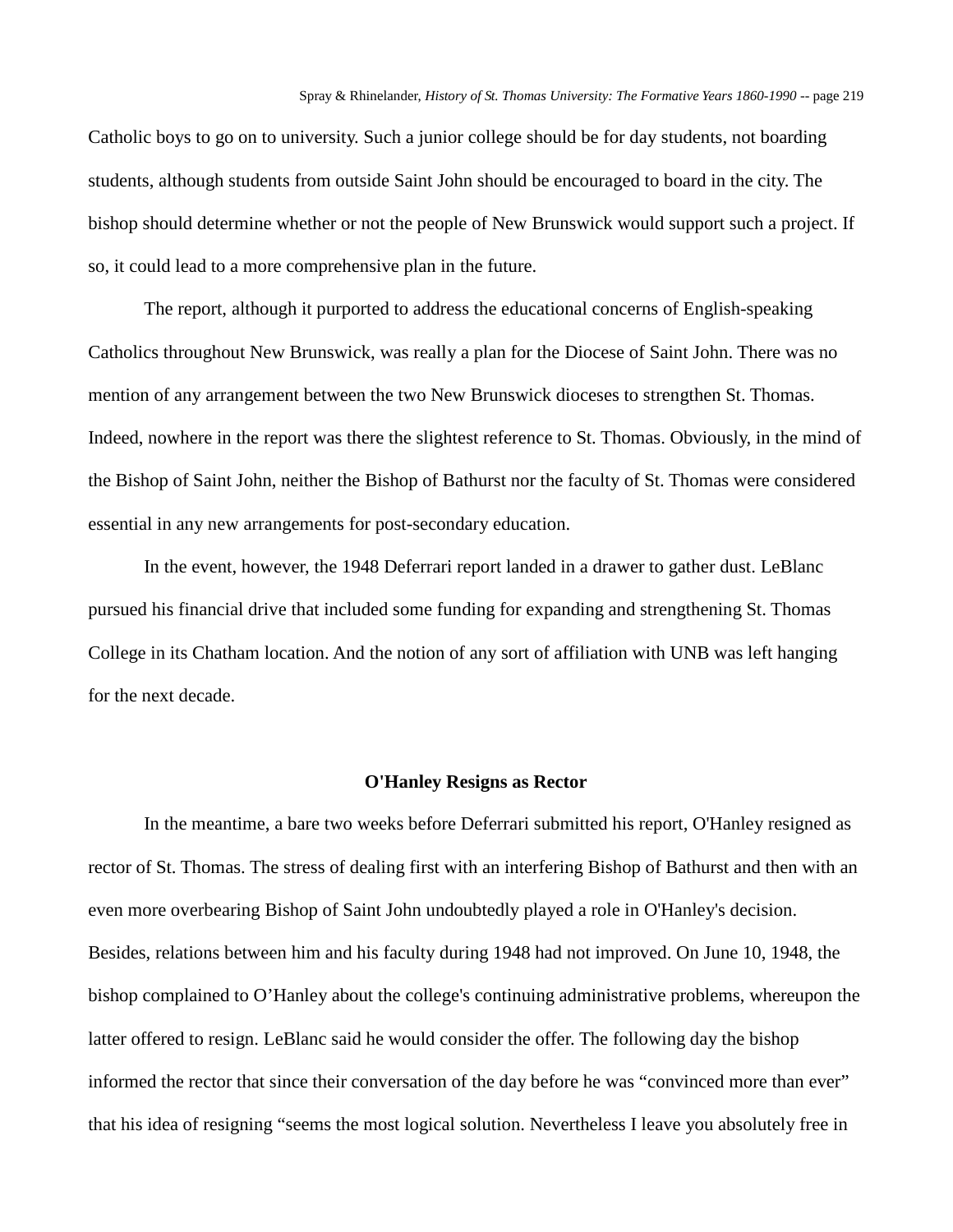Catholic boys to go on to university. Such a junior college should be for day students, not boarding students, although students from outside Saint John should be encouraged to board in the city. The bishop should determine whether or not the people of New Brunswick would support such a project. If so, it could lead to a more comprehensive plan in the future.

The report, although it purported to address the educational concerns of English-speaking Catholics throughout New Brunswick, was really a plan for the Diocese of Saint John. There was no mention of any arrangement between the two New Brunswick dioceses to strengthen St. Thomas. Indeed, nowhere in the report was there the slightest reference to St. Thomas. Obviously, in the mind of the Bishop of Saint John, neither the Bishop of Bathurst nor the faculty of St. Thomas were considered essential in any new arrangements for post-secondary education.

In the event, however, the 1948 Deferrari report landed in a drawer to gather dust. LeBlanc pursued his financial drive that included some funding for expanding and strengthening St. Thomas College in its Chatham location. And the notion of any sort of affiliation with UNB was left hanging for the next decade.

#### **O'Hanley Resigns as Rector**

In the meantime, a bare two weeks before Deferrari submitted his report, O'Hanley resigned as rector of St. Thomas. The stress of dealing first with an interfering Bishop of Bathurst and then with an even more overbearing Bishop of Saint John undoubtedly played a role in O'Hanley's decision. Besides, relations between him and his faculty during 1948 had not improved. On June 10, 1948, the bishop complained to O'Hanley about the college's continuing administrative problems, whereupon the latter offered to resign. LeBlanc said he would consider the offer. The following day the bishop informed the rector that since their conversation of the day before he was "convinced more than ever" that his idea of resigning "seems the most logical solution. Nevertheless I leave you absolutely free in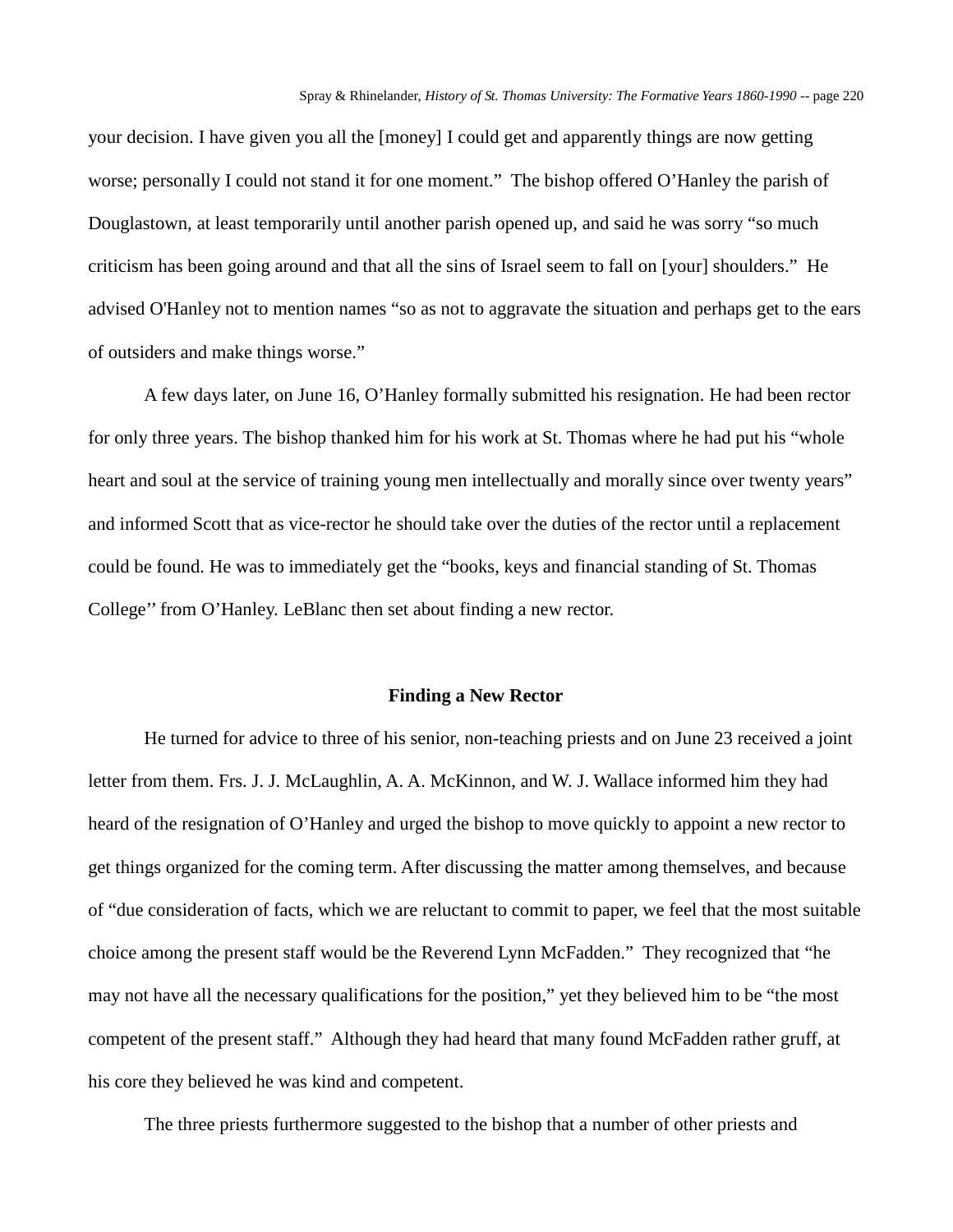your decision. I have given you all the [money] I could get and apparently things are now getting worse; personally I could not stand it for one moment." The bishop offered O'Hanley the parish of Douglastown, at least temporarily until another parish opened up, and said he was sorry "so much criticism has been going around and that all the sins of Israel seem to fall on [your] shoulders." He advised O'Hanley not to mention names "so as not to aggravate the situation and perhaps get to the ears of outsiders and make things worse."

A few days later, on June 16, O'Hanley formally submitted his resignation. He had been rector for only three years. The bishop thanked him for his work at St. Thomas where he had put his "whole heart and soul at the service of training young men intellectually and morally since over twenty years" and informed Scott that as vice-rector he should take over the duties of the rector until a replacement could be found. He was to immediately get the "books, keys and financial standing of St. Thomas College'' from O'Hanley. LeBlanc then set about finding a new rector.

### **Finding a New Rector**

He turned for advice to three of his senior, non-teaching priests and on June 23 received a joint letter from them. Frs. J. J. McLaughlin, A. A. McKinnon, and W. J. Wallace informed him they had heard of the resignation of O'Hanley and urged the bishop to move quickly to appoint a new rector to get things organized for the coming term. After discussing the matter among themselves, and because of "due consideration of facts, which we are reluctant to commit to paper, we feel that the most suitable choice among the present staff would be the Reverend Lynn McFadden." They recognized that "he may not have all the necessary qualifications for the position," yet they believed him to be "the most competent of the present staff." Although they had heard that many found McFadden rather gruff, at his core they believed he was kind and competent.

The three priests furthermore suggested to the bishop that a number of other priests and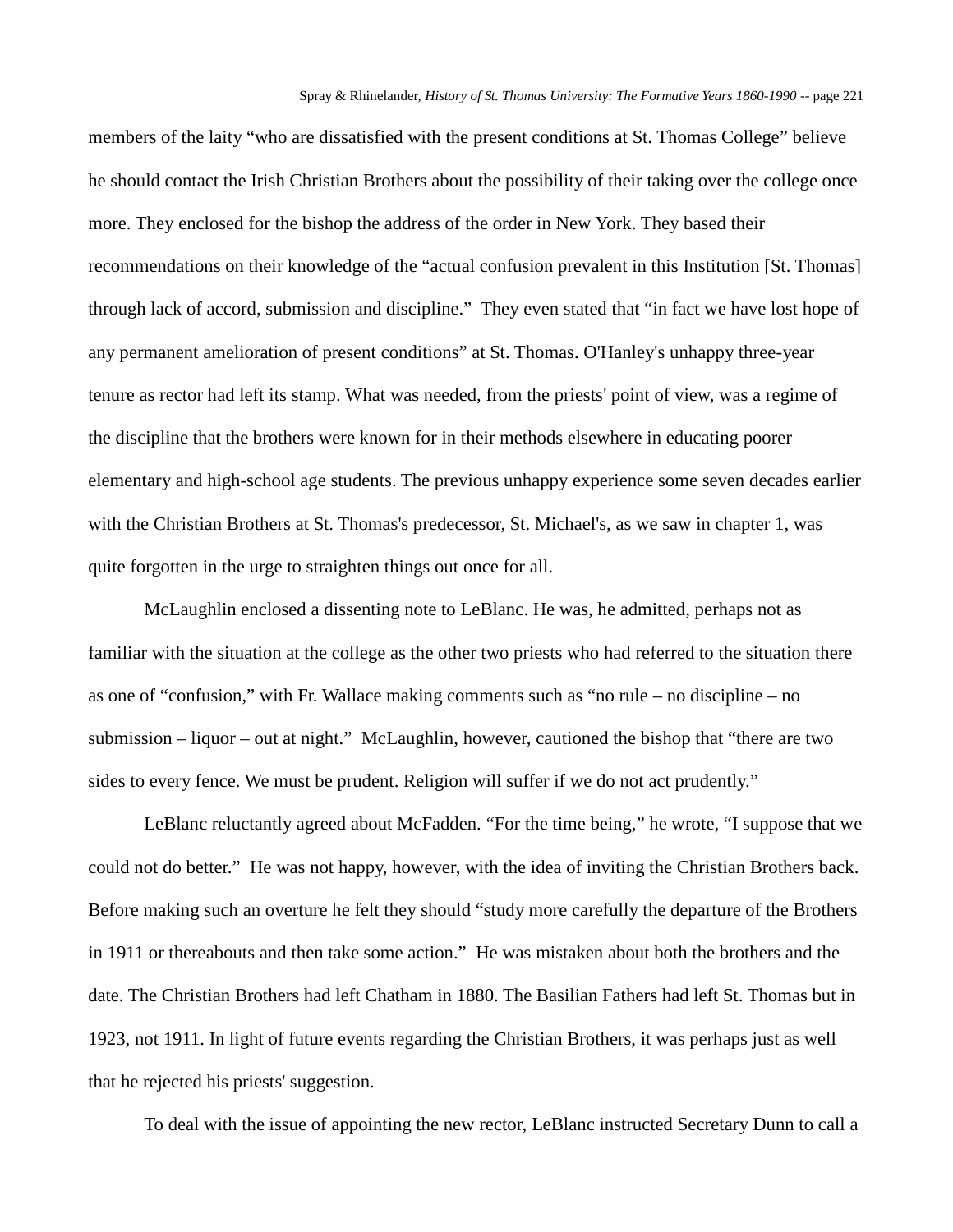members of the laity "who are dissatisfied with the present conditions at St. Thomas College" believe he should contact the Irish Christian Brothers about the possibility of their taking over the college once more. They enclosed for the bishop the address of the order in New York. They based their recommendations on their knowledge of the "actual confusion prevalent in this Institution [St. Thomas] through lack of accord, submission and discipline." They even stated that "in fact we have lost hope of any permanent amelioration of present conditions" at St. Thomas. O'Hanley's unhappy three-year tenure as rector had left its stamp. What was needed, from the priests' point of view, was a regime of the discipline that the brothers were known for in their methods elsewhere in educating poorer elementary and high-school age students. The previous unhappy experience some seven decades earlier with the Christian Brothers at St. Thomas's predecessor, St. Michael's, as we saw in chapter 1, was quite forgotten in the urge to straighten things out once for all.

McLaughlin enclosed a dissenting note to LeBlanc. He was, he admitted, perhaps not as familiar with the situation at the college as the other two priests who had referred to the situation there as one of "confusion," with Fr. Wallace making comments such as "no rule – no discipline – no submission – liquor – out at night." McLaughlin, however, cautioned the bishop that "there are two sides to every fence. We must be prudent. Religion will suffer if we do not act prudently."

LeBlanc reluctantly agreed about McFadden. "For the time being," he wrote, "I suppose that we could not do better." He was not happy, however, with the idea of inviting the Christian Brothers back. Before making such an overture he felt they should "study more carefully the departure of the Brothers in 1911 or thereabouts and then take some action." He was mistaken about both the brothers and the date. The Christian Brothers had left Chatham in 1880. The Basilian Fathers had left St. Thomas but in 1923, not 1911. In light of future events regarding the Christian Brothers, it was perhaps just as well that he rejected his priests' suggestion.

To deal with the issue of appointing the new rector, LeBlanc instructed Secretary Dunn to call a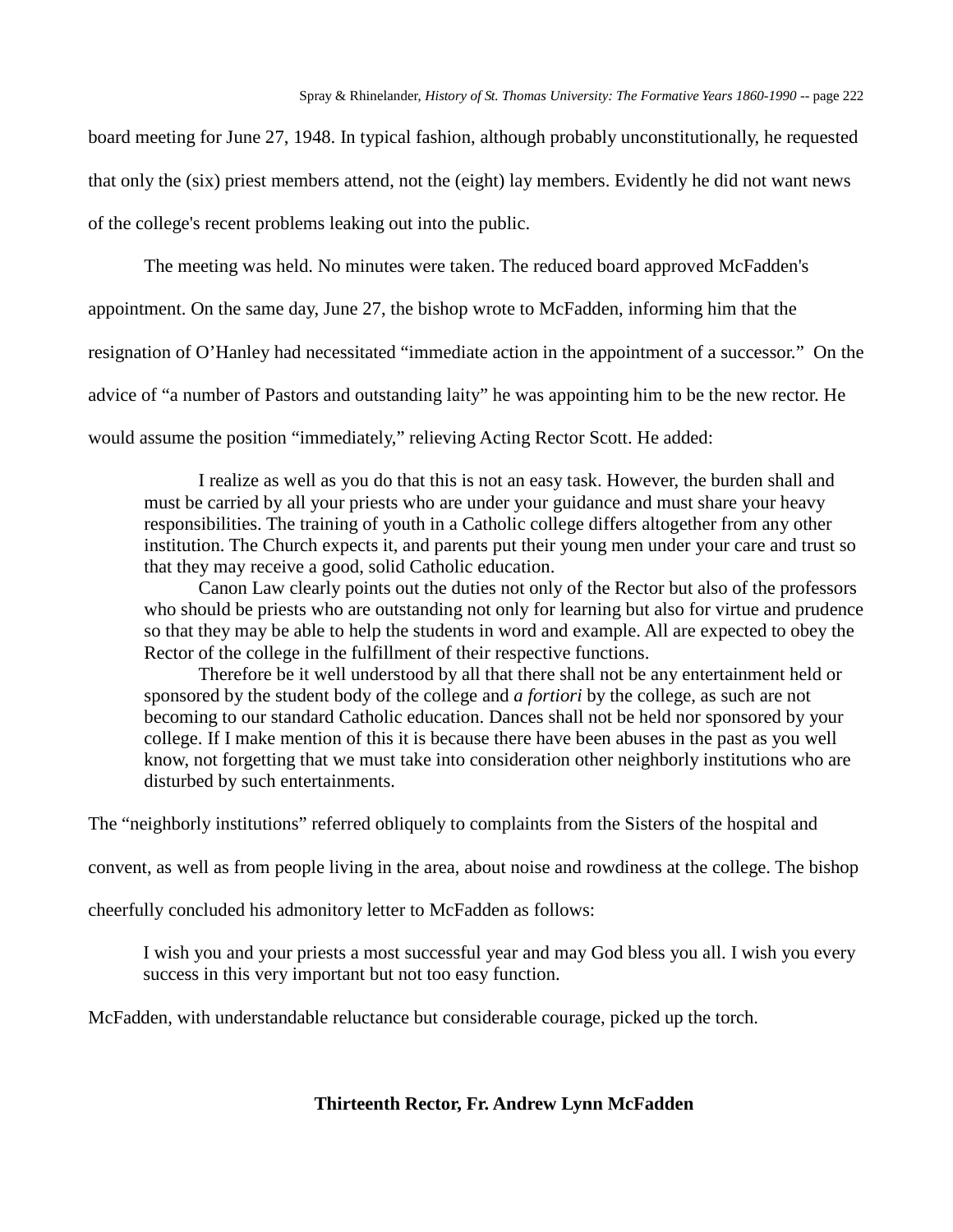board meeting for June 27, 1948. In typical fashion, although probably unconstitutionally, he requested that only the (six) priest members attend, not the (eight) lay members. Evidently he did not want news of the college's recent problems leaking out into the public.

The meeting was held. No minutes were taken. The reduced board approved McFadden's

appointment. On the same day, June 27, the bishop wrote to McFadden, informing him that the

resignation of O'Hanley had necessitated "immediate action in the appointment of a successor." On the

advice of "a number of Pastors and outstanding laity" he was appointing him to be the new rector. He

would assume the position "immediately," relieving Acting Rector Scott. He added:

I realize as well as you do that this is not an easy task. However, the burden shall and must be carried by all your priests who are under your guidance and must share your heavy responsibilities. The training of youth in a Catholic college differs altogether from any other institution. The Church expects it, and parents put their young men under your care and trust so that they may receive a good, solid Catholic education.

Canon Law clearly points out the duties not only of the Rector but also of the professors who should be priests who are outstanding not only for learning but also for virtue and prudence so that they may be able to help the students in word and example. All are expected to obey the Rector of the college in the fulfillment of their respective functions.

Therefore be it well understood by all that there shall not be any entertainment held or sponsored by the student body of the college and *a fortiori* by the college, as such are not becoming to our standard Catholic education. Dances shall not be held nor sponsored by your college. If I make mention of this it is because there have been abuses in the past as you well know, not forgetting that we must take into consideration other neighborly institutions who are disturbed by such entertainments.

The "neighborly institutions" referred obliquely to complaints from the Sisters of the hospital and

convent, as well as from people living in the area, about noise and rowdiness at the college. The bishop

cheerfully concluded his admonitory letter to McFadden as follows:

I wish you and your priests a most successful year and may God bless you all. I wish you every success in this very important but not too easy function.

McFadden, with understandable reluctance but considerable courage, picked up the torch.

# **Thirteenth Rector, Fr. Andrew Lynn McFadden**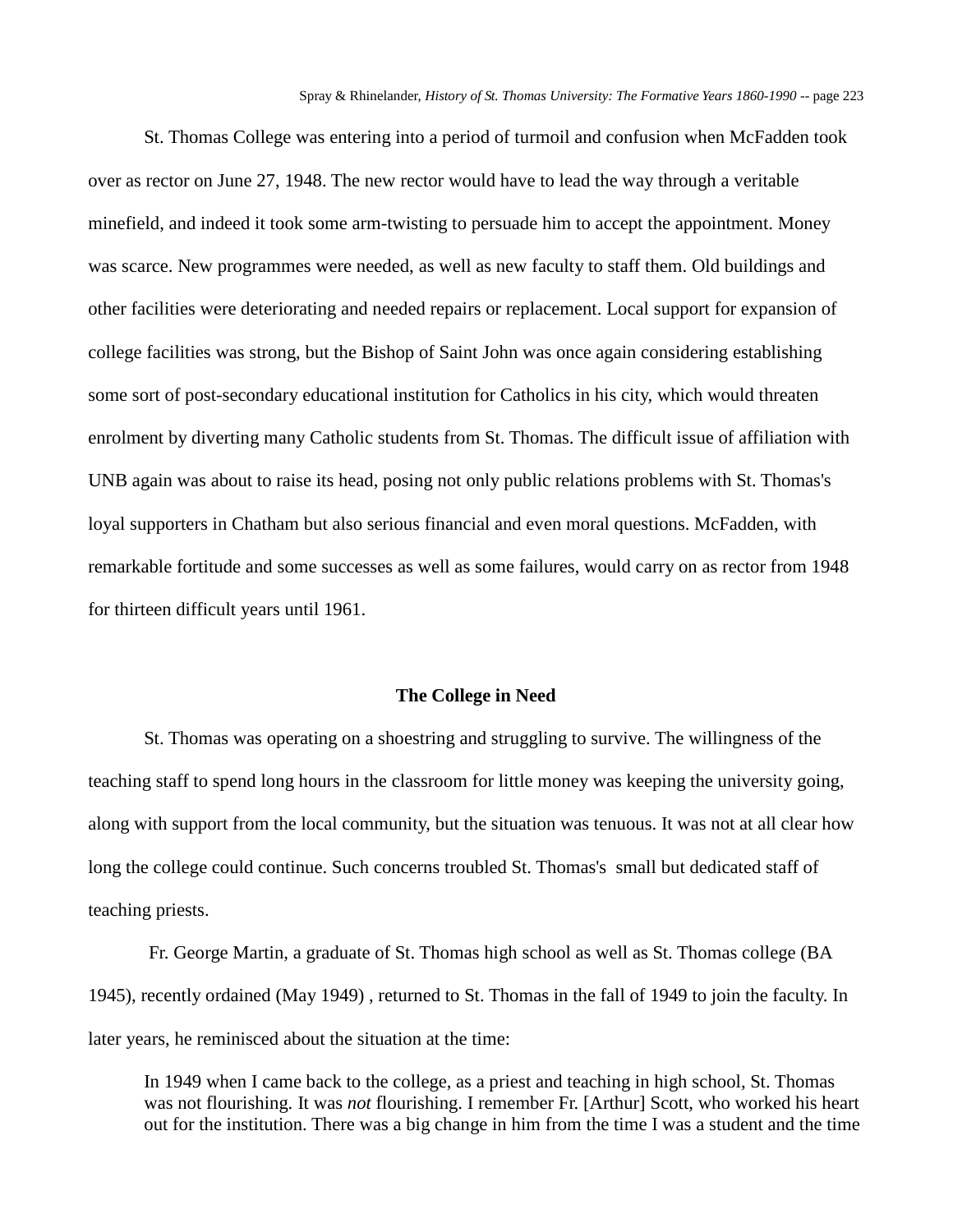St. Thomas College was entering into a period of turmoil and confusion when McFadden took over as rector on June 27, 1948. The new rector would have to lead the way through a veritable minefield, and indeed it took some arm-twisting to persuade him to accept the appointment. Money was scarce. New programmes were needed, as well as new faculty to staff them. Old buildings and other facilities were deteriorating and needed repairs or replacement. Local support for expansion of college facilities was strong, but the Bishop of Saint John was once again considering establishing some sort of post-secondary educational institution for Catholics in his city, which would threaten enrolment by diverting many Catholic students from St. Thomas. The difficult issue of affiliation with UNB again was about to raise its head, posing not only public relations problems with St. Thomas's loyal supporters in Chatham but also serious financial and even moral questions. McFadden, with remarkable fortitude and some successes as well as some failures, would carry on as rector from 1948 for thirteen difficult years until 1961.

### **The College in Need**

St. Thomas was operating on a shoestring and struggling to survive. The willingness of the teaching staff to spend long hours in the classroom for little money was keeping the university going, along with support from the local community, but the situation was tenuous. It was not at all clear how long the college could continue. Such concerns troubled St. Thomas's small but dedicated staff of teaching priests.

Fr. George Martin, a graduate of St. Thomas high school as well as St. Thomas college (BA 1945), recently ordained (May 1949) , returned to St. Thomas in the fall of 1949 to join the faculty. In later years, he reminisced about the situation at the time:

In 1949 when I came back to the college, as a priest and teaching in high school, St. Thomas was not flourishing. It was *not* flourishing. I remember Fr. [Arthur] Scott, who worked his heart out for the institution. There was a big change in him from the time I was a student and the time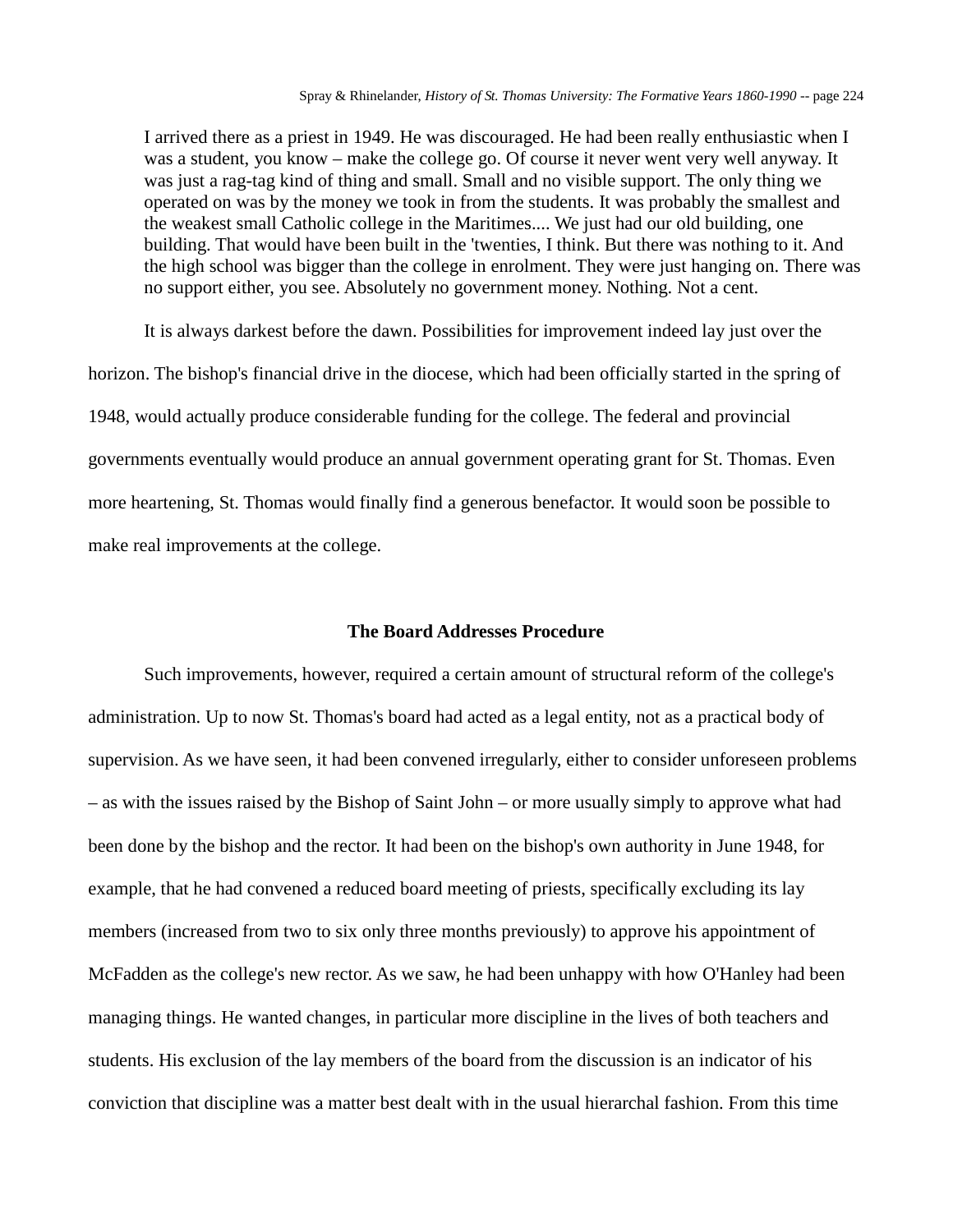I arrived there as a priest in 1949. He was discouraged. He had been really enthusiastic when I was a student, you know – make the college go. Of course it never went very well anyway. It was just a rag-tag kind of thing and small. Small and no visible support. The only thing we operated on was by the money we took in from the students. It was probably the smallest and the weakest small Catholic college in the Maritimes.... We just had our old building, one building. That would have been built in the 'twenties, I think. But there was nothing to it. And the high school was bigger than the college in enrolment. They were just hanging on. There was no support either, you see. Absolutely no government money. Nothing. Not a cent.

It is always darkest before the dawn. Possibilities for improvement indeed lay just over the horizon. The bishop's financial drive in the diocese, which had been officially started in the spring of 1948, would actually produce considerable funding for the college. The federal and provincial governments eventually would produce an annual government operating grant for St. Thomas. Even more heartening, St. Thomas would finally find a generous benefactor. It would soon be possible to make real improvements at the college.

#### **The Board Addresses Procedure**

Such improvements, however, required a certain amount of structural reform of the college's administration. Up to now St. Thomas's board had acted as a legal entity, not as a practical body of supervision. As we have seen, it had been convened irregularly, either to consider unforeseen problems – as with the issues raised by the Bishop of Saint John – or more usually simply to approve what had been done by the bishop and the rector. It had been on the bishop's own authority in June 1948, for example, that he had convened a reduced board meeting of priests, specifically excluding its lay members (increased from two to six only three months previously) to approve his appointment of McFadden as the college's new rector. As we saw, he had been unhappy with how O'Hanley had been managing things. He wanted changes, in particular more discipline in the lives of both teachers and students. His exclusion of the lay members of the board from the discussion is an indicator of his conviction that discipline was a matter best dealt with in the usual hierarchal fashion. From this time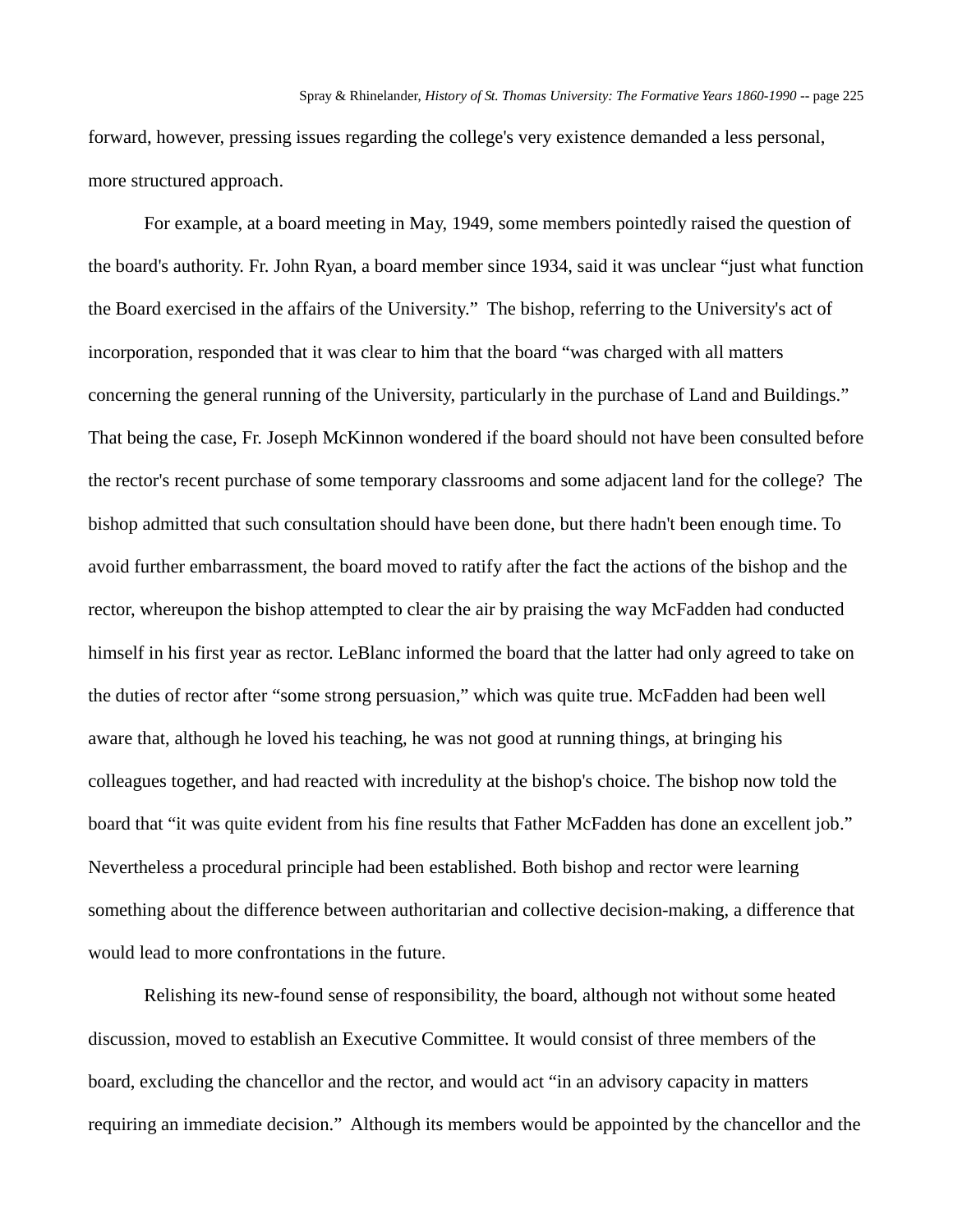forward, however, pressing issues regarding the college's very existence demanded a less personal, more structured approach.

For example, at a board meeting in May, 1949, some members pointedly raised the question of the board's authority. Fr. John Ryan, a board member since 1934, said it was unclear "just what function the Board exercised in the affairs of the University." The bishop, referring to the University's act of incorporation, responded that it was clear to him that the board "was charged with all matters concerning the general running of the University, particularly in the purchase of Land and Buildings." That being the case, Fr. Joseph McKinnon wondered if the board should not have been consulted before the rector's recent purchase of some temporary classrooms and some adjacent land for the college? The bishop admitted that such consultation should have been done, but there hadn't been enough time. To avoid further embarrassment, the board moved to ratify after the fact the actions of the bishop and the rector, whereupon the bishop attempted to clear the air by praising the way McFadden had conducted himself in his first year as rector. LeBlanc informed the board that the latter had only agreed to take on the duties of rector after "some strong persuasion," which was quite true. McFadden had been well aware that, although he loved his teaching, he was not good at running things, at bringing his colleagues together, and had reacted with incredulity at the bishop's choice. The bishop now told the board that "it was quite evident from his fine results that Father McFadden has done an excellent job." Nevertheless a procedural principle had been established. Both bishop and rector were learning something about the difference between authoritarian and collective decision-making, a difference that would lead to more confrontations in the future.

Relishing its new-found sense of responsibility, the board, although not without some heated discussion, moved to establish an Executive Committee. It would consist of three members of the board, excluding the chancellor and the rector, and would act "in an advisory capacity in matters requiring an immediate decision." Although its members would be appointed by the chancellor and the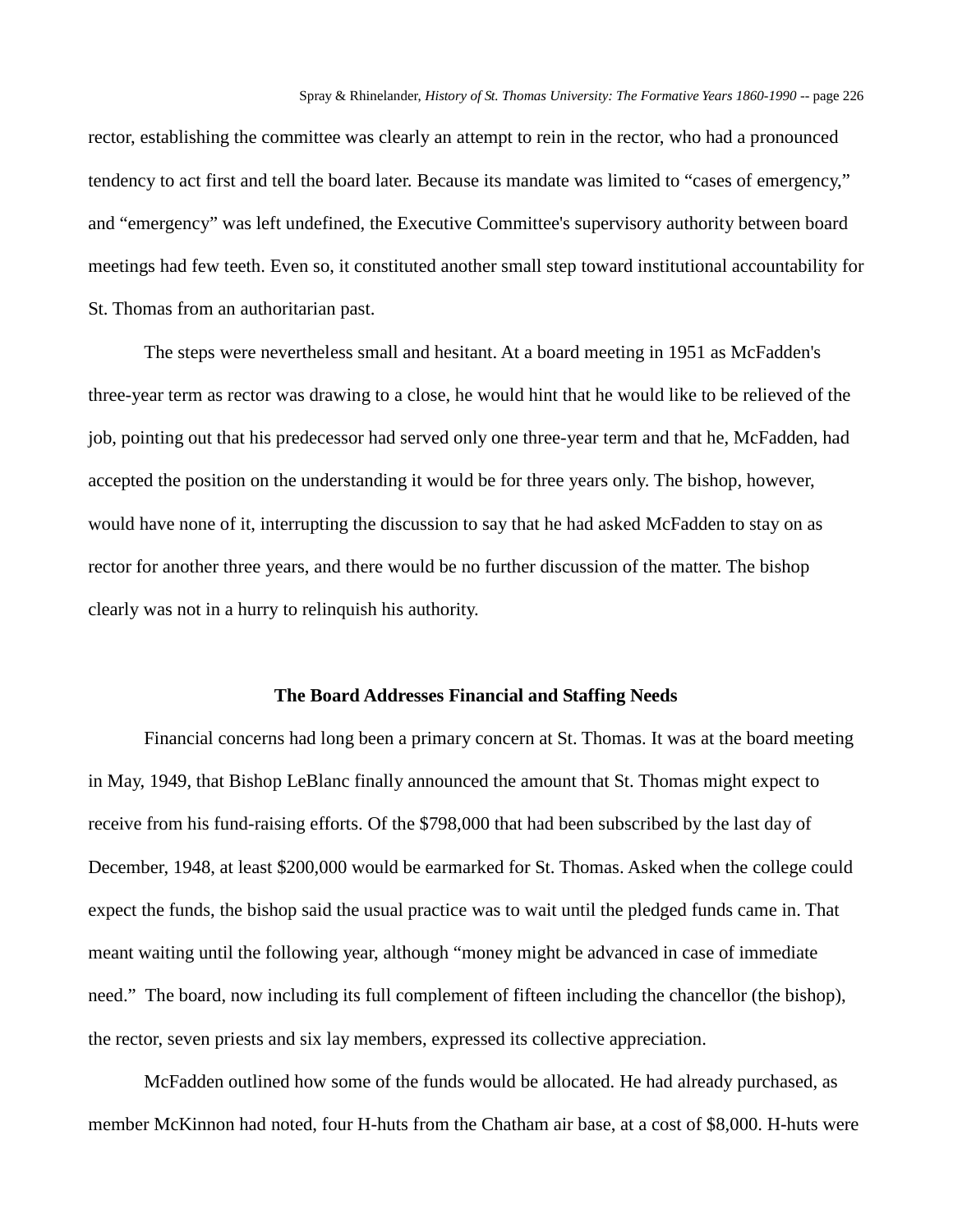rector, establishing the committee was clearly an attempt to rein in the rector, who had a pronounced tendency to act first and tell the board later. Because its mandate was limited to "cases of emergency," and "emergency" was left undefined, the Executive Committee's supervisory authority between board meetings had few teeth. Even so, it constituted another small step toward institutional accountability for St. Thomas from an authoritarian past.

The steps were nevertheless small and hesitant. At a board meeting in 1951 as McFadden's three-year term as rector was drawing to a close, he would hint that he would like to be relieved of the job, pointing out that his predecessor had served only one three-year term and that he, McFadden, had accepted the position on the understanding it would be for three years only. The bishop, however, would have none of it, interrupting the discussion to say that he had asked McFadden to stay on as rector for another three years, and there would be no further discussion of the matter. The bishop clearly was not in a hurry to relinquish his authority.

### **The Board Addresses Financial and Staffing Needs**

Financial concerns had long been a primary concern at St. Thomas. It was at the board meeting in May, 1949, that Bishop LeBlanc finally announced the amount that St. Thomas might expect to receive from his fund-raising efforts. Of the \$798,000 that had been subscribed by the last day of December, 1948, at least \$200,000 would be earmarked for St. Thomas. Asked when the college could expect the funds, the bishop said the usual practice was to wait until the pledged funds came in. That meant waiting until the following year, although "money might be advanced in case of immediate need." The board, now including its full complement of fifteen including the chancellor (the bishop), the rector, seven priests and six lay members, expressed its collective appreciation.

McFadden outlined how some of the funds would be allocated. He had already purchased, as member McKinnon had noted, four H-huts from the Chatham air base, at a cost of \$8,000. H-huts were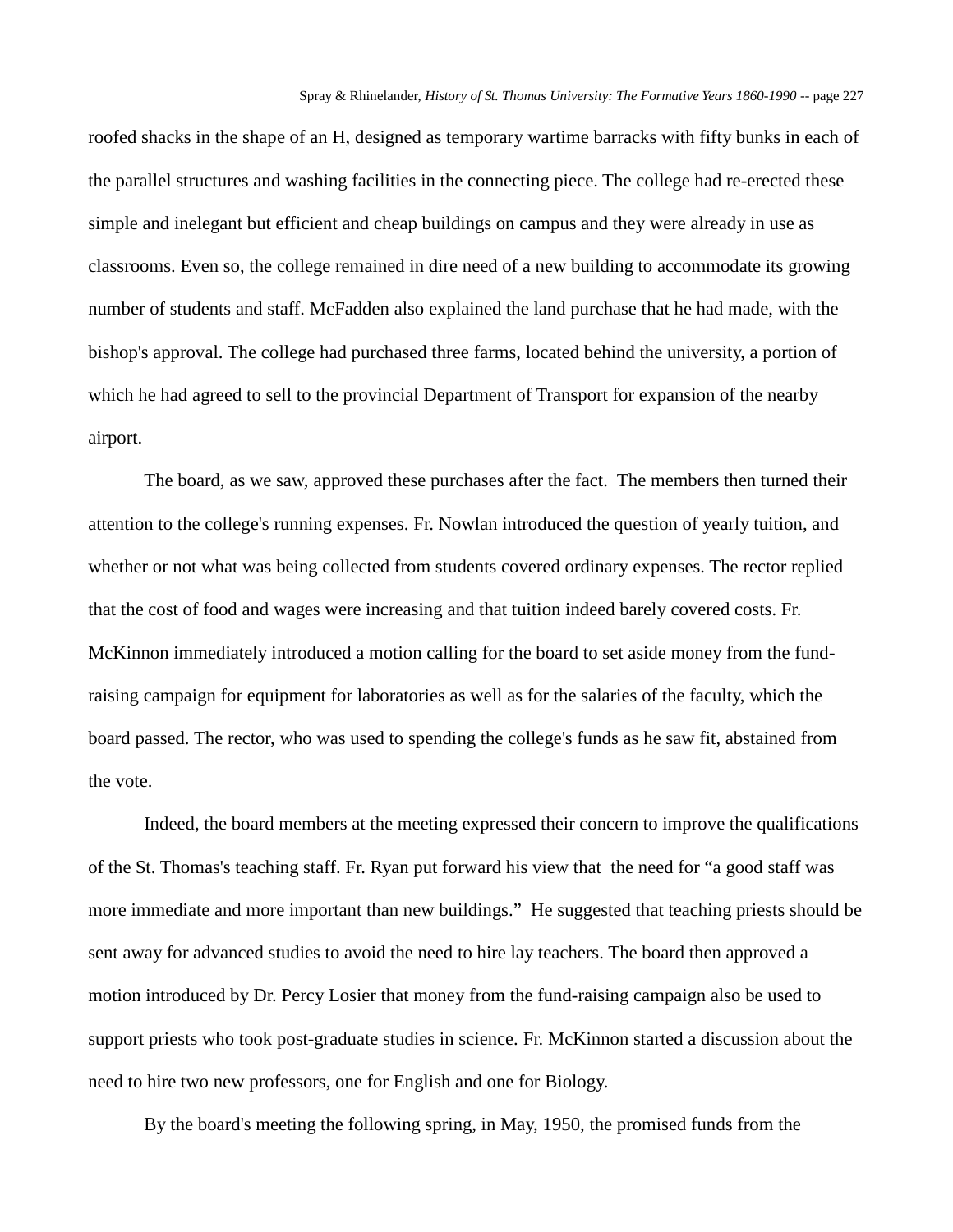roofed shacks in the shape of an H, designed as temporary wartime barracks with fifty bunks in each of the parallel structures and washing facilities in the connecting piece. The college had re-erected these simple and inelegant but efficient and cheap buildings on campus and they were already in use as classrooms. Even so, the college remained in dire need of a new building to accommodate its growing number of students and staff. McFadden also explained the land purchase that he had made, with the bishop's approval. The college had purchased three farms, located behind the university, a portion of which he had agreed to sell to the provincial Department of Transport for expansion of the nearby airport.

The board, as we saw, approved these purchases after the fact. The members then turned their attention to the college's running expenses. Fr. Nowlan introduced the question of yearly tuition, and whether or not what was being collected from students covered ordinary expenses. The rector replied that the cost of food and wages were increasing and that tuition indeed barely covered costs. Fr. McKinnon immediately introduced a motion calling for the board to set aside money from the fundraising campaign for equipment for laboratories as well as for the salaries of the faculty, which the board passed. The rector, who was used to spending the college's funds as he saw fit, abstained from the vote.

Indeed, the board members at the meeting expressed their concern to improve the qualifications of the St. Thomas's teaching staff. Fr. Ryan put forward his view that the need for "a good staff was more immediate and more important than new buildings." He suggested that teaching priests should be sent away for advanced studies to avoid the need to hire lay teachers. The board then approved a motion introduced by Dr. Percy Losier that money from the fund-raising campaign also be used to support priests who took post-graduate studies in science. Fr. McKinnon started a discussion about the need to hire two new professors, one for English and one for Biology.

By the board's meeting the following spring, in May, 1950, the promised funds from the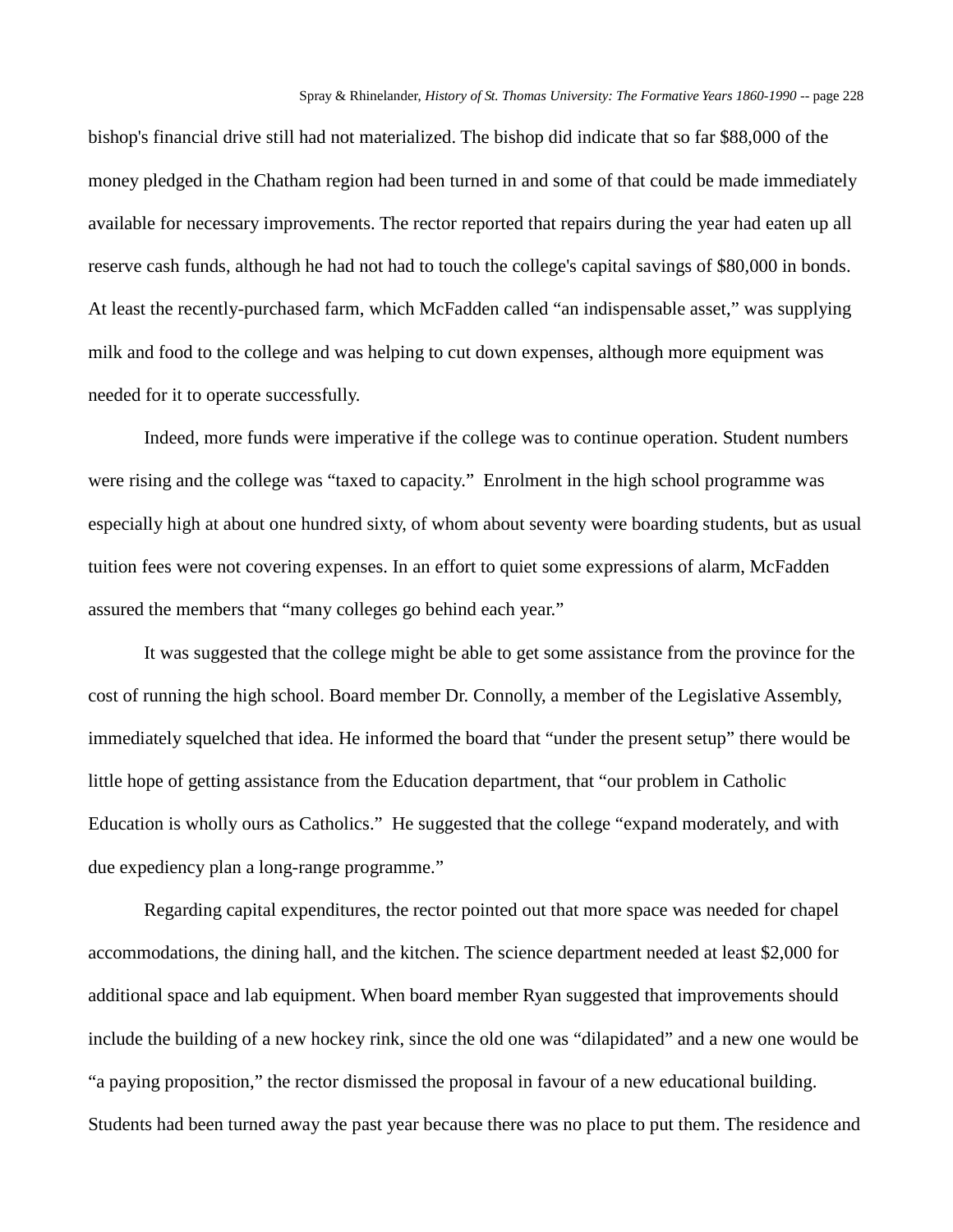bishop's financial drive still had not materialized. The bishop did indicate that so far \$88,000 of the money pledged in the Chatham region had been turned in and some of that could be made immediately available for necessary improvements. The rector reported that repairs during the year had eaten up all reserve cash funds, although he had not had to touch the college's capital savings of \$80,000 in bonds. At least the recently-purchased farm, which McFadden called "an indispensable asset," was supplying milk and food to the college and was helping to cut down expenses, although more equipment was needed for it to operate successfully.

Indeed, more funds were imperative if the college was to continue operation. Student numbers were rising and the college was "taxed to capacity." Enrolment in the high school programme was especially high at about one hundred sixty, of whom about seventy were boarding students, but as usual tuition fees were not covering expenses. In an effort to quiet some expressions of alarm, McFadden assured the members that "many colleges go behind each year."

It was suggested that the college might be able to get some assistance from the province for the cost of running the high school. Board member Dr. Connolly, a member of the Legislative Assembly, immediately squelched that idea. He informed the board that "under the present setup" there would be little hope of getting assistance from the Education department, that "our problem in Catholic Education is wholly ours as Catholics." He suggested that the college "expand moderately, and with due expediency plan a long-range programme."

Regarding capital expenditures, the rector pointed out that more space was needed for chapel accommodations, the dining hall, and the kitchen. The science department needed at least \$2,000 for additional space and lab equipment. When board member Ryan suggested that improvements should include the building of a new hockey rink, since the old one was "dilapidated" and a new one would be "a paying proposition," the rector dismissed the proposal in favour of a new educational building. Students had been turned away the past year because there was no place to put them. The residence and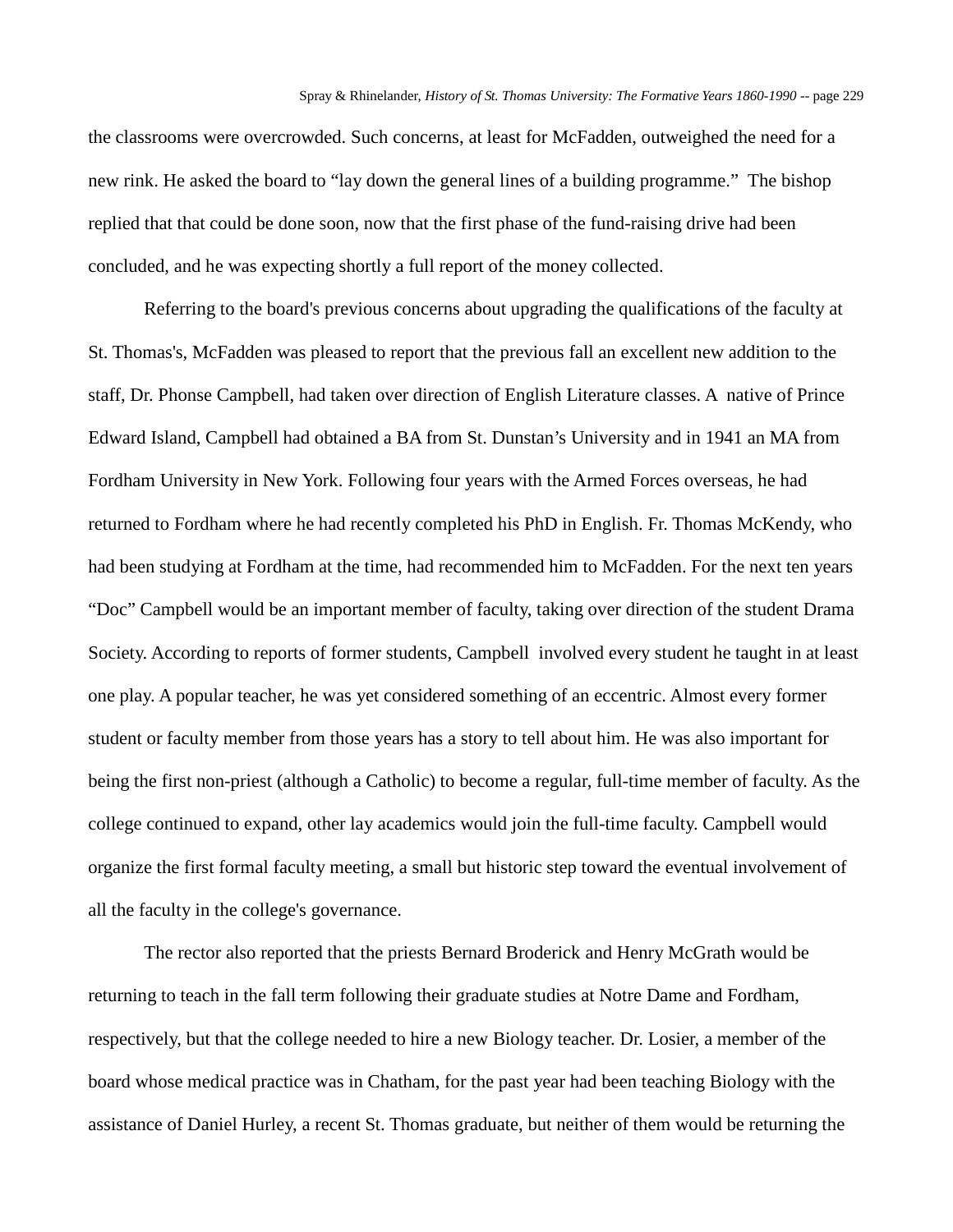the classrooms were overcrowded. Such concerns, at least for McFadden, outweighed the need for a new rink. He asked the board to "lay down the general lines of a building programme." The bishop replied that that could be done soon, now that the first phase of the fund-raising drive had been concluded, and he was expecting shortly a full report of the money collected.

Referring to the board's previous concerns about upgrading the qualifications of the faculty at St. Thomas's, McFadden was pleased to report that the previous fall an excellent new addition to the staff, Dr. Phonse Campbell, had taken over direction of English Literature classes. A native of Prince Edward Island, Campbell had obtained a BA from St. Dunstan's University and in 1941 an MA from Fordham University in New York. Following four years with the Armed Forces overseas, he had returned to Fordham where he had recently completed his PhD in English. Fr. Thomas McKendy, who had been studying at Fordham at the time, had recommended him to McFadden. For the next ten years "Doc" Campbell would be an important member of faculty, taking over direction of the student Drama Society. According to reports of former students, Campbell involved every student he taught in at least one play. A popular teacher, he was yet considered something of an eccentric. Almost every former student or faculty member from those years has a story to tell about him. He was also important for being the first non-priest (although a Catholic) to become a regular, full-time member of faculty. As the college continued to expand, other lay academics would join the full-time faculty. Campbell would organize the first formal faculty meeting, a small but historic step toward the eventual involvement of all the faculty in the college's governance.

The rector also reported that the priests Bernard Broderick and Henry McGrath would be returning to teach in the fall term following their graduate studies at Notre Dame and Fordham, respectively, but that the college needed to hire a new Biology teacher. Dr. Losier, a member of the board whose medical practice was in Chatham, for the past year had been teaching Biology with the assistance of Daniel Hurley, a recent St. Thomas graduate, but neither of them would be returning the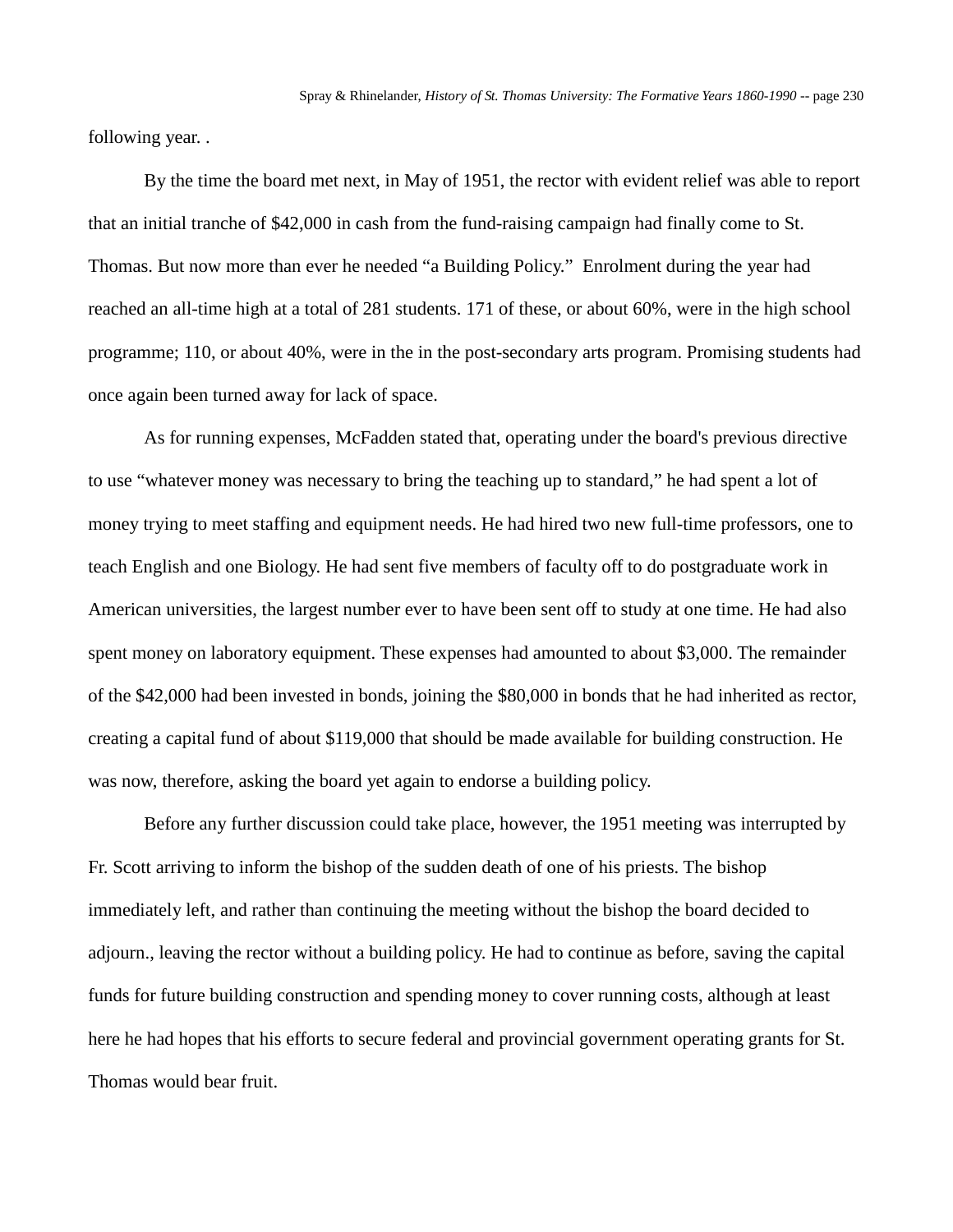following year. .

By the time the board met next, in May of 1951, the rector with evident relief was able to report that an initial tranche of \$42,000 in cash from the fund-raising campaign had finally come to St. Thomas. But now more than ever he needed "a Building Policy." Enrolment during the year had reached an all-time high at a total of 281 students. 171 of these, or about 60%, were in the high school programme; 110, or about 40%, were in the in the post-secondary arts program. Promising students had once again been turned away for lack of space.

As for running expenses, McFadden stated that, operating under the board's previous directive to use "whatever money was necessary to bring the teaching up to standard," he had spent a lot of money trying to meet staffing and equipment needs. He had hired two new full-time professors, one to teach English and one Biology. He had sent five members of faculty off to do postgraduate work in American universities, the largest number ever to have been sent off to study at one time. He had also spent money on laboratory equipment. These expenses had amounted to about \$3,000. The remainder of the \$42,000 had been invested in bonds, joining the \$80,000 in bonds that he had inherited as rector, creating a capital fund of about \$119,000 that should be made available for building construction. He was now, therefore, asking the board yet again to endorse a building policy.

Before any further discussion could take place, however, the 1951 meeting was interrupted by Fr. Scott arriving to inform the bishop of the sudden death of one of his priests. The bishop immediately left, and rather than continuing the meeting without the bishop the board decided to adjourn., leaving the rector without a building policy. He had to continue as before, saving the capital funds for future building construction and spending money to cover running costs, although at least here he had hopes that his efforts to secure federal and provincial government operating grants for St. Thomas would bear fruit.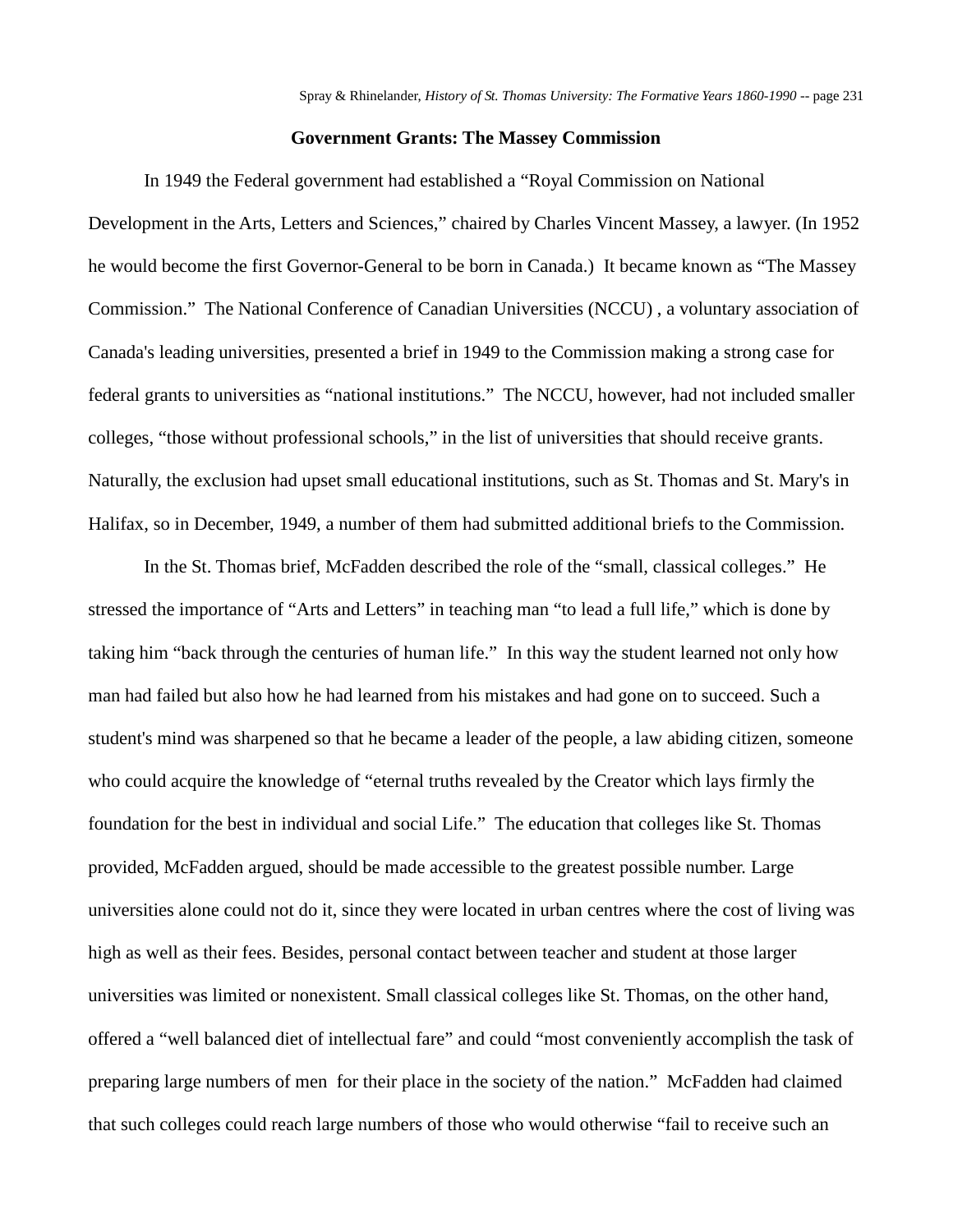### **Government Grants: The Massey Commission**

In 1949 the Federal government had established a "Royal Commission on National

Development in the Arts, Letters and Sciences," chaired by Charles Vincent Massey, a lawyer. (In 1952 he would become the first Governor-General to be born in Canada.) It became known as "The Massey Commission." The National Conference of Canadian Universities (NCCU) , a voluntary association of Canada's leading universities, presented a brief in 1949 to the Commission making a strong case for federal grants to universities as "national institutions." The NCCU, however, had not included smaller colleges, "those without professional schools," in the list of universities that should receive grants. Naturally, the exclusion had upset small educational institutions, such as St. Thomas and St. Mary's in Halifax, so in December, 1949, a number of them had submitted additional briefs to the Commission.

In the St. Thomas brief, McFadden described the role of the "small, classical colleges." He stressed the importance of "Arts and Letters" in teaching man "to lead a full life," which is done by taking him "back through the centuries of human life." In this way the student learned not only how man had failed but also how he had learned from his mistakes and had gone on to succeed. Such a student's mind was sharpened so that he became a leader of the people, a law abiding citizen, someone who could acquire the knowledge of "eternal truths revealed by the Creator which lays firmly the foundation for the best in individual and social Life." The education that colleges like St. Thomas provided, McFadden argued, should be made accessible to the greatest possible number. Large universities alone could not do it, since they were located in urban centres where the cost of living was high as well as their fees. Besides, personal contact between teacher and student at those larger universities was limited or nonexistent. Small classical colleges like St. Thomas, on the other hand, offered a "well balanced diet of intellectual fare" and could "most conveniently accomplish the task of preparing large numbers of men for their place in the society of the nation." McFadden had claimed that such colleges could reach large numbers of those who would otherwise "fail to receive such an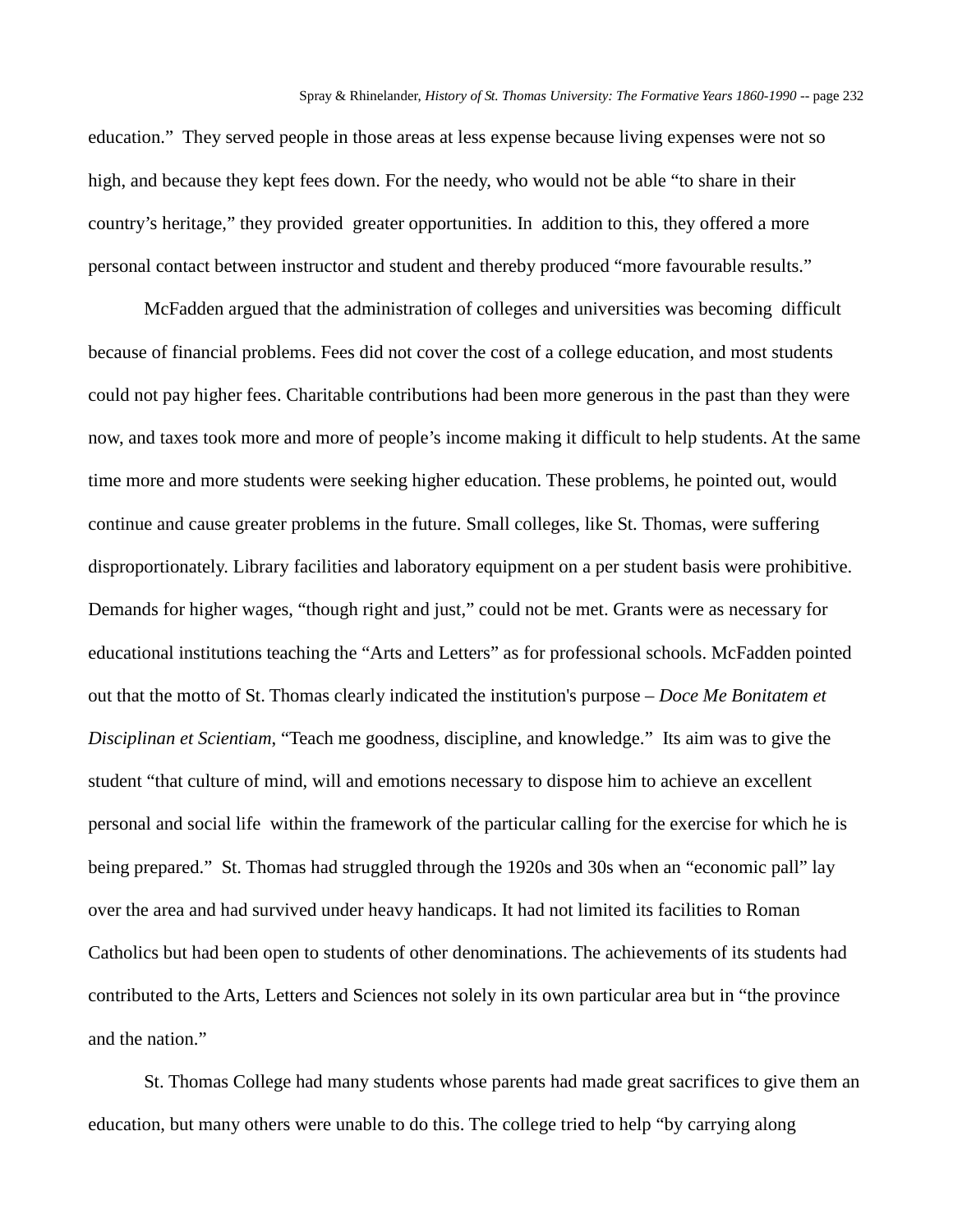education." They served people in those areas at less expense because living expenses were not so high, and because they kept fees down. For the needy, who would not be able "to share in their country's heritage," they provided greater opportunities. In addition to this, they offered a more personal contact between instructor and student and thereby produced "more favourable results."

McFadden argued that the administration of colleges and universities was becoming difficult because of financial problems. Fees did not cover the cost of a college education, and most students could not pay higher fees. Charitable contributions had been more generous in the past than they were now, and taxes took more and more of people's income making it difficult to help students. At the same time more and more students were seeking higher education. These problems, he pointed out, would continue and cause greater problems in the future. Small colleges, like St. Thomas, were suffering disproportionately. Library facilities and laboratory equipment on a per student basis were prohibitive. Demands for higher wages, "though right and just," could not be met. Grants were as necessary for educational institutions teaching the "Arts and Letters" as for professional schools. McFadden pointed out that the motto of St. Thomas clearly indicated the institution's purpose – *Doce Me Bonitatem et Disciplinan et Scientiam*, "Teach me goodness, discipline, and knowledge." Its aim was to give the student "that culture of mind, will and emotions necessary to dispose him to achieve an excellent personal and social life within the framework of the particular calling for the exercise for which he is being prepared." St. Thomas had struggled through the 1920s and 30s when an "economic pall" lay over the area and had survived under heavy handicaps. It had not limited its facilities to Roman Catholics but had been open to students of other denominations. The achievements of its students had contributed to the Arts, Letters and Sciences not solely in its own particular area but in "the province and the nation."

St. Thomas College had many students whose parents had made great sacrifices to give them an education, but many others were unable to do this. The college tried to help "by carrying along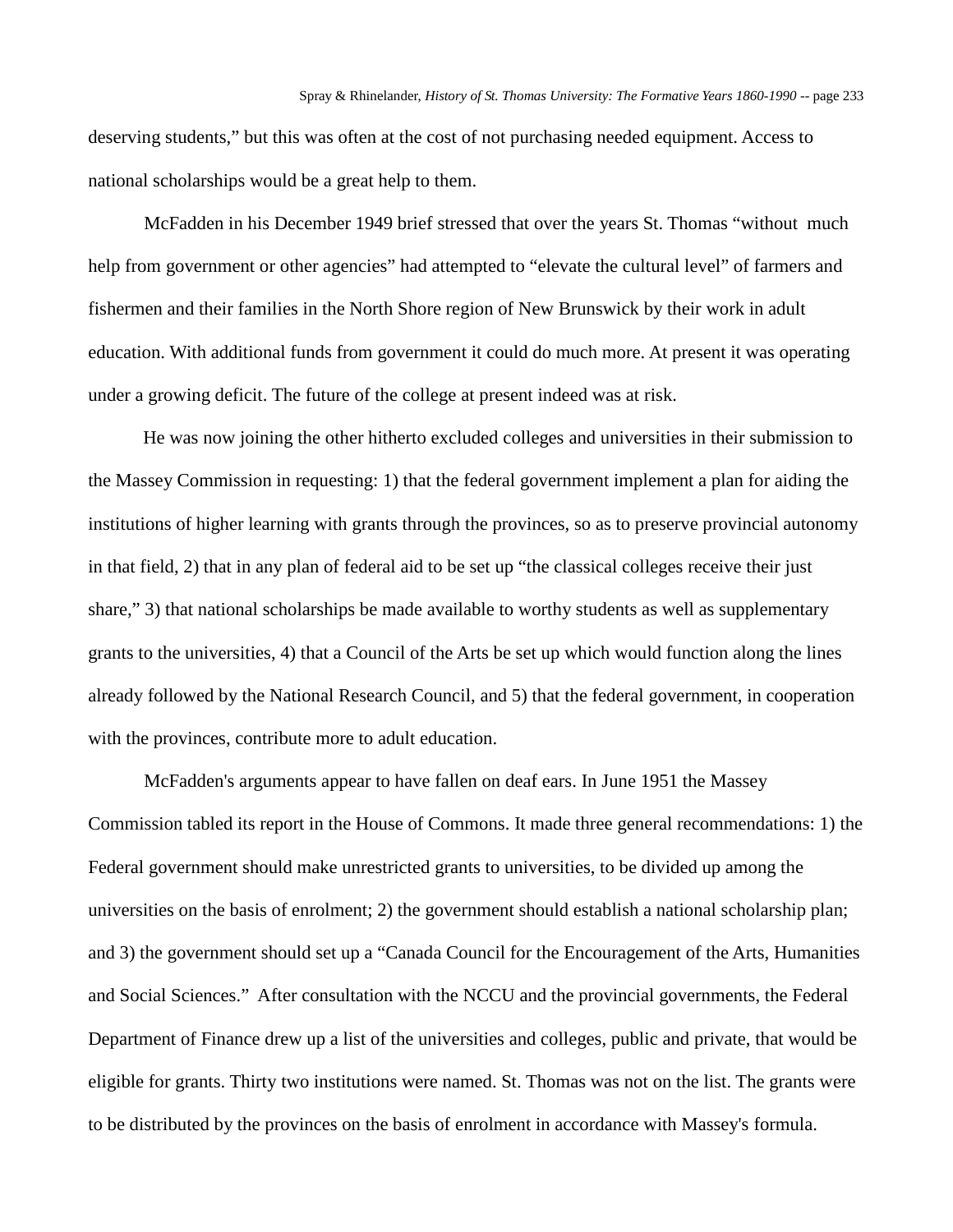deserving students," but this was often at the cost of not purchasing needed equipment. Access to national scholarships would be a great help to them.

McFadden in his December 1949 brief stressed that over the years St. Thomas "without much help from government or other agencies" had attempted to "elevate the cultural level" of farmers and fishermen and their families in the North Shore region of New Brunswick by their work in adult education. With additional funds from government it could do much more. At present it was operating under a growing deficit. The future of the college at present indeed was at risk.

He was now joining the other hitherto excluded colleges and universities in their submission to the Massey Commission in requesting: 1) that the federal government implement a plan for aiding the institutions of higher learning with grants through the provinces, so as to preserve provincial autonomy in that field, 2) that in any plan of federal aid to be set up "the classical colleges receive their just share," 3) that national scholarships be made available to worthy students as well as supplementary grants to the universities, 4) that a Council of the Arts be set up which would function along the lines already followed by the National Research Council, and 5) that the federal government, in cooperation with the provinces, contribute more to adult education.

McFadden's arguments appear to have fallen on deaf ears. In June 1951 the Massey Commission tabled its report in the House of Commons. It made three general recommendations: 1) the Federal government should make unrestricted grants to universities, to be divided up among the universities on the basis of enrolment; 2) the government should establish a national scholarship plan; and 3) the government should set up a "Canada Council for the Encouragement of the Arts, Humanities and Social Sciences." After consultation with the NCCU and the provincial governments, the Federal Department of Finance drew up a list of the universities and colleges, public and private, that would be eligible for grants. Thirty two institutions were named. St. Thomas was not on the list. The grants were to be distributed by the provinces on the basis of enrolment in accordance with Massey's formula.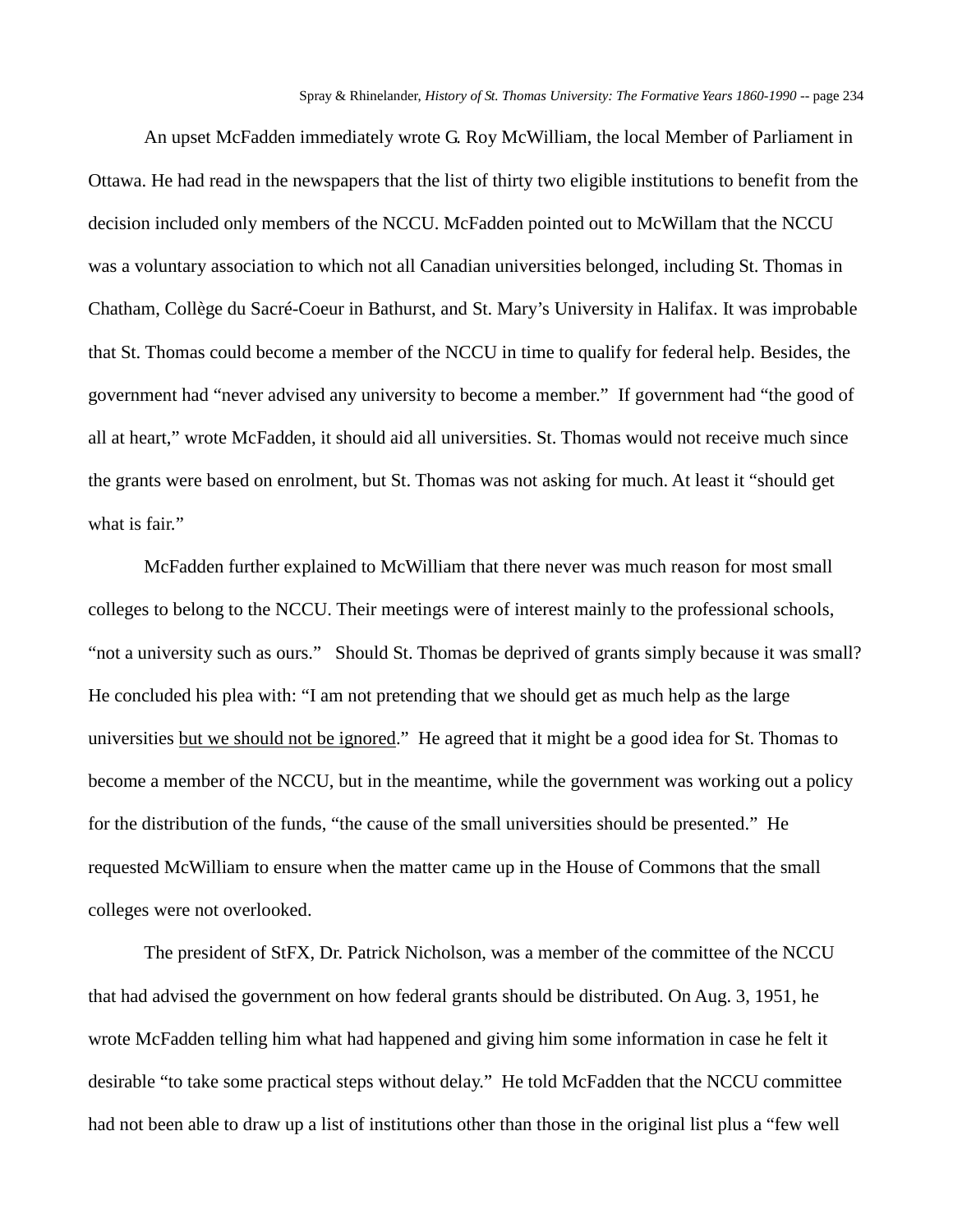An upset McFadden immediately wrote G. Roy McWilliam, the local Member of Parliament in Ottawa. He had read in the newspapers that the list of thirty two eligible institutions to benefit from the decision included only members of the NCCU. McFadden pointed out to McWillam that the NCCU was a voluntary association to which not all Canadian universities belonged, including St. Thomas in Chatham, Collège du Sacré-Coeur in Bathurst, and St. Mary's University in Halifax. It was improbable that St. Thomas could become a member of the NCCU in time to qualify for federal help. Besides, the government had "never advised any university to become a member." If government had "the good of all at heart," wrote McFadden, it should aid all universities. St. Thomas would not receive much since the grants were based on enrolment, but St. Thomas was not asking for much. At least it "should get what is fair."

McFadden further explained to McWilliam that there never was much reason for most small colleges to belong to the NCCU. Their meetings were of interest mainly to the professional schools, "not a university such as ours." Should St. Thomas be deprived of grants simply because it was small? He concluded his plea with: "I am not pretending that we should get as much help as the large universities but we should not be ignored." He agreed that it might be a good idea for St. Thomas to become a member of the NCCU, but in the meantime, while the government was working out a policy for the distribution of the funds, "the cause of the small universities should be presented." He requested McWilliam to ensure when the matter came up in the House of Commons that the small colleges were not overlooked.

The president of StFX, Dr. Patrick Nicholson, was a member of the committee of the NCCU that had advised the government on how federal grants should be distributed. On Aug. 3, 1951, he wrote McFadden telling him what had happened and giving him some information in case he felt it desirable "to take some practical steps without delay." He told McFadden that the NCCU committee had not been able to draw up a list of institutions other than those in the original list plus a "few well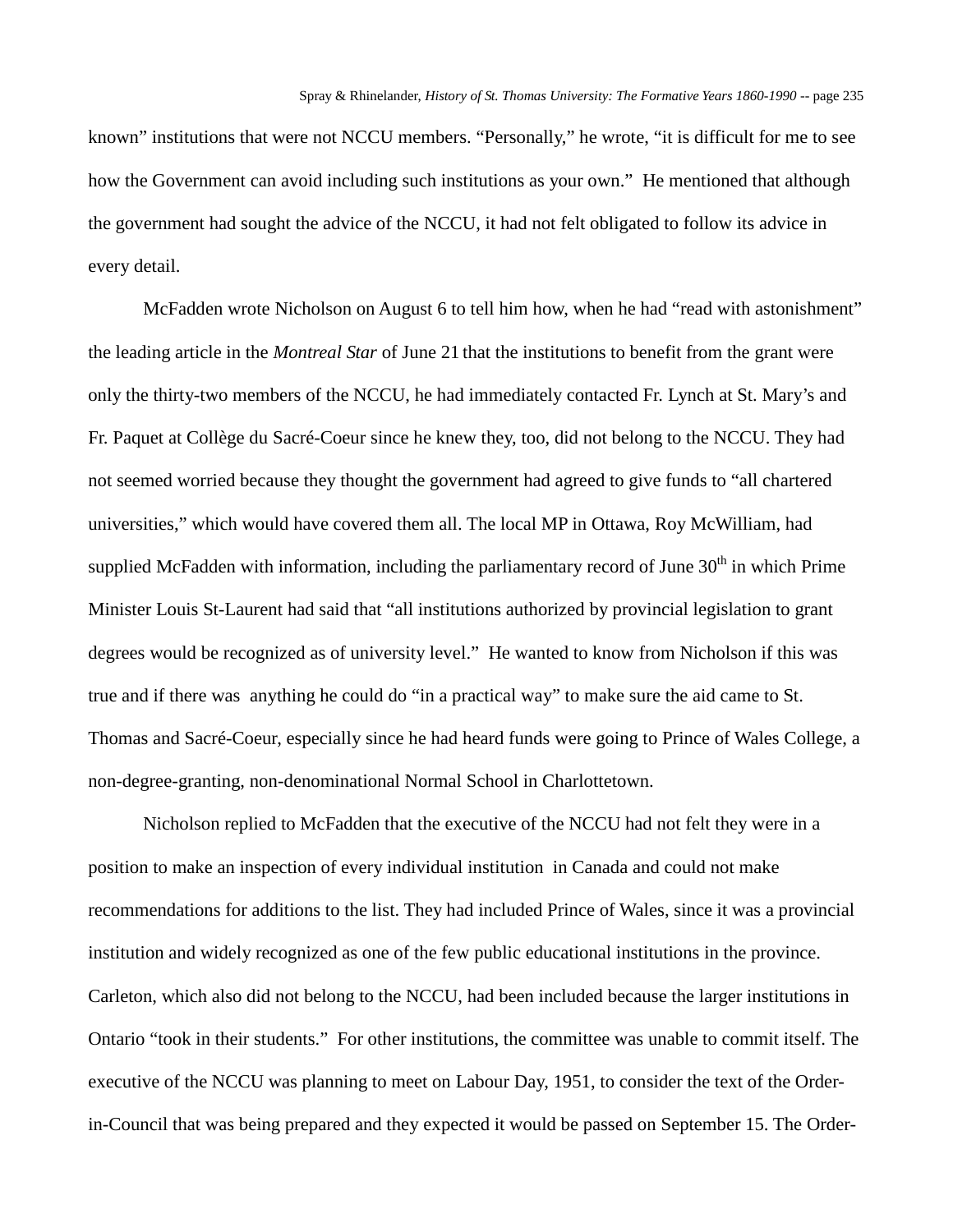known" institutions that were not NCCU members. "Personally," he wrote, "it is difficult for me to see how the Government can avoid including such institutions as your own." He mentioned that although the government had sought the advice of the NCCU, it had not felt obligated to follow its advice in every detail.

McFadden wrote Nicholson on August 6 to tell him how, when he had "read with astonishment" the leading article in the *Montreal Star* of June 21 that the institutions to benefit from the grant were only the thirty-two members of the NCCU, he had immediately contacted Fr. Lynch at St. Mary's and Fr. Paquet at Collège du Sacré-Coeur since he knew they, too, did not belong to the NCCU. They had not seemed worried because they thought the government had agreed to give funds to "all chartered universities," which would have covered them all. The local MP in Ottawa, Roy McWilliam, had supplied McFadden with information, including the parliamentary record of June  $30<sup>th</sup>$  in which Prime Minister Louis St-Laurent had said that "all institutions authorized by provincial legislation to grant degrees would be recognized as of university level." He wanted to know from Nicholson if this was true and if there was anything he could do "in a practical way" to make sure the aid came to St. Thomas and Sacré-Coeur, especially since he had heard funds were going to Prince of Wales College, a non-degree-granting, non-denominational Normal School in Charlottetown.

Nicholson replied to McFadden that the executive of the NCCU had not felt they were in a position to make an inspection of every individual institution in Canada and could not make recommendations for additions to the list. They had included Prince of Wales, since it was a provincial institution and widely recognized as one of the few public educational institutions in the province. Carleton, which also did not belong to the NCCU, had been included because the larger institutions in Ontario "took in their students." For other institutions, the committee was unable to commit itself. The executive of the NCCU was planning to meet on Labour Day, 1951, to consider the text of the Orderin-Council that was being prepared and they expected it would be passed on September 15. The Order-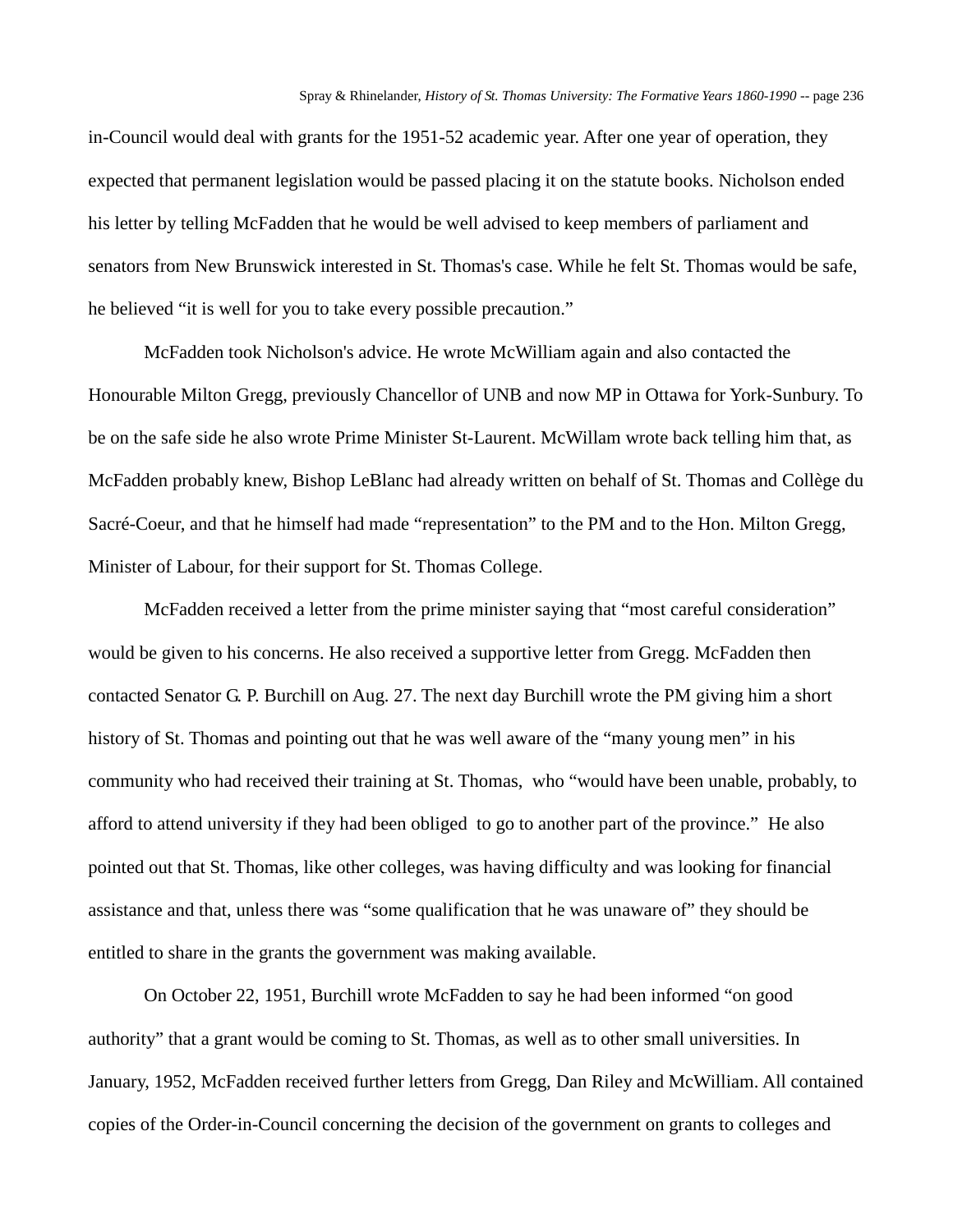in-Council would deal with grants for the 1951-52 academic year. After one year of operation, they expected that permanent legislation would be passed placing it on the statute books. Nicholson ended his letter by telling McFadden that he would be well advised to keep members of parliament and senators from New Brunswick interested in St. Thomas's case. While he felt St. Thomas would be safe, he believed "it is well for you to take every possible precaution."

McFadden took Nicholson's advice. He wrote McWilliam again and also contacted the Honourable Milton Gregg, previously Chancellor of UNB and now MP in Ottawa for York-Sunbury. To be on the safe side he also wrote Prime Minister St-Laurent. McWillam wrote back telling him that, as McFadden probably knew, Bishop LeBlanc had already written on behalf of St. Thomas and Collège du Sacré-Coeur, and that he himself had made "representation" to the PM and to the Hon. Milton Gregg, Minister of Labour, for their support for St. Thomas College.

McFadden received a letter from the prime minister saying that "most careful consideration" would be given to his concerns. He also received a supportive letter from Gregg. McFadden then contacted Senator G. P. Burchill on Aug. 27. The next day Burchill wrote the PM giving him a short history of St. Thomas and pointing out that he was well aware of the "many young men" in his community who had received their training at St. Thomas, who "would have been unable, probably, to afford to attend university if they had been obliged to go to another part of the province." He also pointed out that St. Thomas, like other colleges, was having difficulty and was looking for financial assistance and that, unless there was "some qualification that he was unaware of" they should be entitled to share in the grants the government was making available.

On October 22, 1951, Burchill wrote McFadden to say he had been informed "on good authority" that a grant would be coming to St. Thomas, as well as to other small universities. In January, 1952, McFadden received further letters from Gregg, Dan Riley and McWilliam. All contained copies of the Order-in-Council concerning the decision of the government on grants to colleges and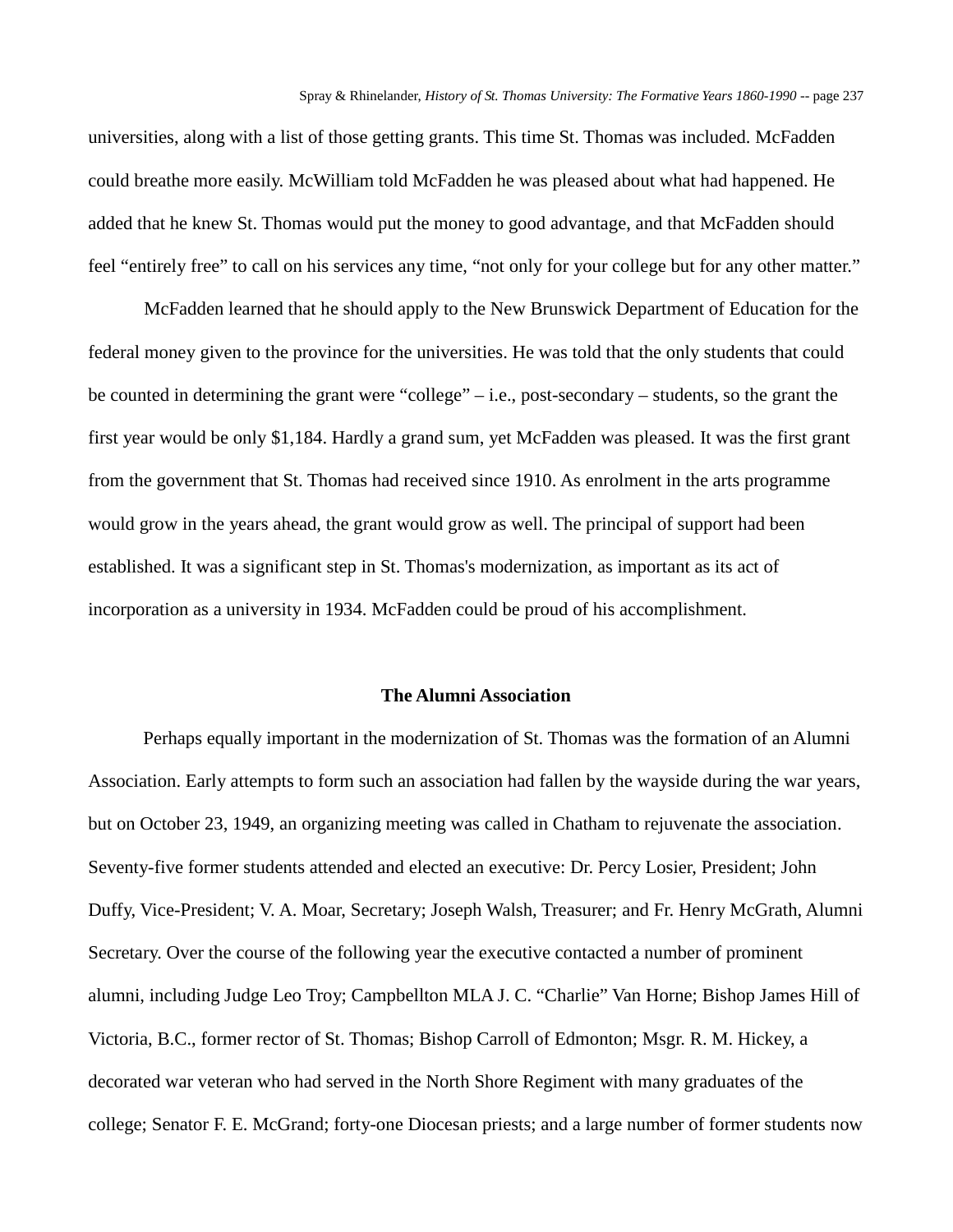universities, along with a list of those getting grants. This time St. Thomas was included. McFadden could breathe more easily. McWilliam told McFadden he was pleased about what had happened. He added that he knew St. Thomas would put the money to good advantage, and that McFadden should feel "entirely free" to call on his services any time, "not only for your college but for any other matter."

McFadden learned that he should apply to the New Brunswick Department of Education for the federal money given to the province for the universities. He was told that the only students that could be counted in determining the grant were "college" – i.e., post-secondary – students, so the grant the first year would be only \$1,184. Hardly a grand sum, yet McFadden was pleased. It was the first grant from the government that St. Thomas had received since 1910. As enrolment in the arts programme would grow in the years ahead, the grant would grow as well. The principal of support had been established. It was a significant step in St. Thomas's modernization, as important as its act of incorporation as a university in 1934. McFadden could be proud of his accomplishment.

# **The Alumni Association**

Perhaps equally important in the modernization of St. Thomas was the formation of an Alumni Association. Early attempts to form such an association had fallen by the wayside during the war years, but on October 23, 1949, an organizing meeting was called in Chatham to rejuvenate the association. Seventy-five former students attended and elected an executive: Dr. Percy Losier, President; John Duffy, Vice-President; V. A. Moar, Secretary; Joseph Walsh, Treasurer; and Fr. Henry McGrath, Alumni Secretary. Over the course of the following year the executive contacted a number of prominent alumni, including Judge Leo Troy; Campbellton MLA J. C. "Charlie" Van Horne; Bishop James Hill of Victoria, B.C., former rector of St. Thomas; Bishop Carroll of Edmonton; Msgr. R. M. Hickey, a decorated war veteran who had served in the North Shore Regiment with many graduates of the college; Senator F. E. McGrand; forty-one Diocesan priests; and a large number of former students now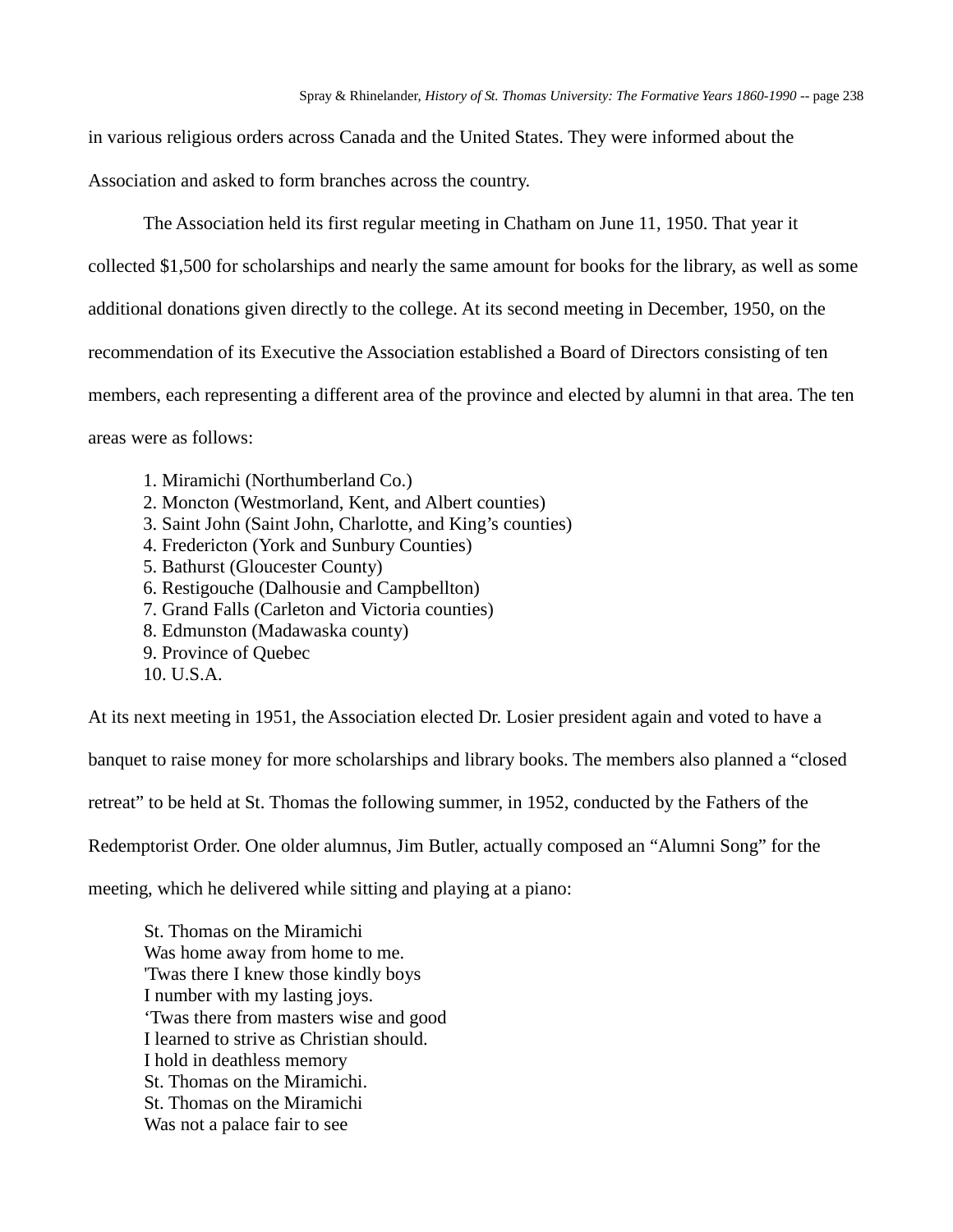in various religious orders across Canada and the United States. They were informed about the Association and asked to form branches across the country.

The Association held its first regular meeting in Chatham on June 11, 1950. That year it collected \$1,500 for scholarships and nearly the same amount for books for the library, as well as some additional donations given directly to the college. At its second meeting in December, 1950, on the recommendation of its Executive the Association established a Board of Directors consisting of ten members, each representing a different area of the province and elected by alumni in that area. The ten areas were as follows:

- 1. Miramichi (Northumberland Co.)
- 2. Moncton (Westmorland, Kent, and Albert counties)
- 3. Saint John (Saint John, Charlotte, and King's counties)
- 4. Fredericton (York and Sunbury Counties)
- 5. Bathurst (Gloucester County)
- 6. Restigouche (Dalhousie and Campbellton)
- 7. Grand Falls (Carleton and Victoria counties)
- 8. Edmunston (Madawaska county)
- 9. Province of Quebec
- 10. U.S.A.

At its next meeting in 1951, the Association elected Dr. Losier president again and voted to have a

banquet to raise money for more scholarships and library books. The members also planned a "closed

retreat" to be held at St. Thomas the following summer, in 1952, conducted by the Fathers of the

Redemptorist Order. One older alumnus, Jim Butler, actually composed an "Alumni Song" for the

meeting, which he delivered while sitting and playing at a piano:

St. Thomas on the Miramichi Was home away from home to me. 'Twas there I knew those kindly boys I number with my lasting joys. 'Twas there from masters wise and good I learned to strive as Christian should. I hold in deathless memory St. Thomas on the Miramichi. St. Thomas on the Miramichi Was not a palace fair to see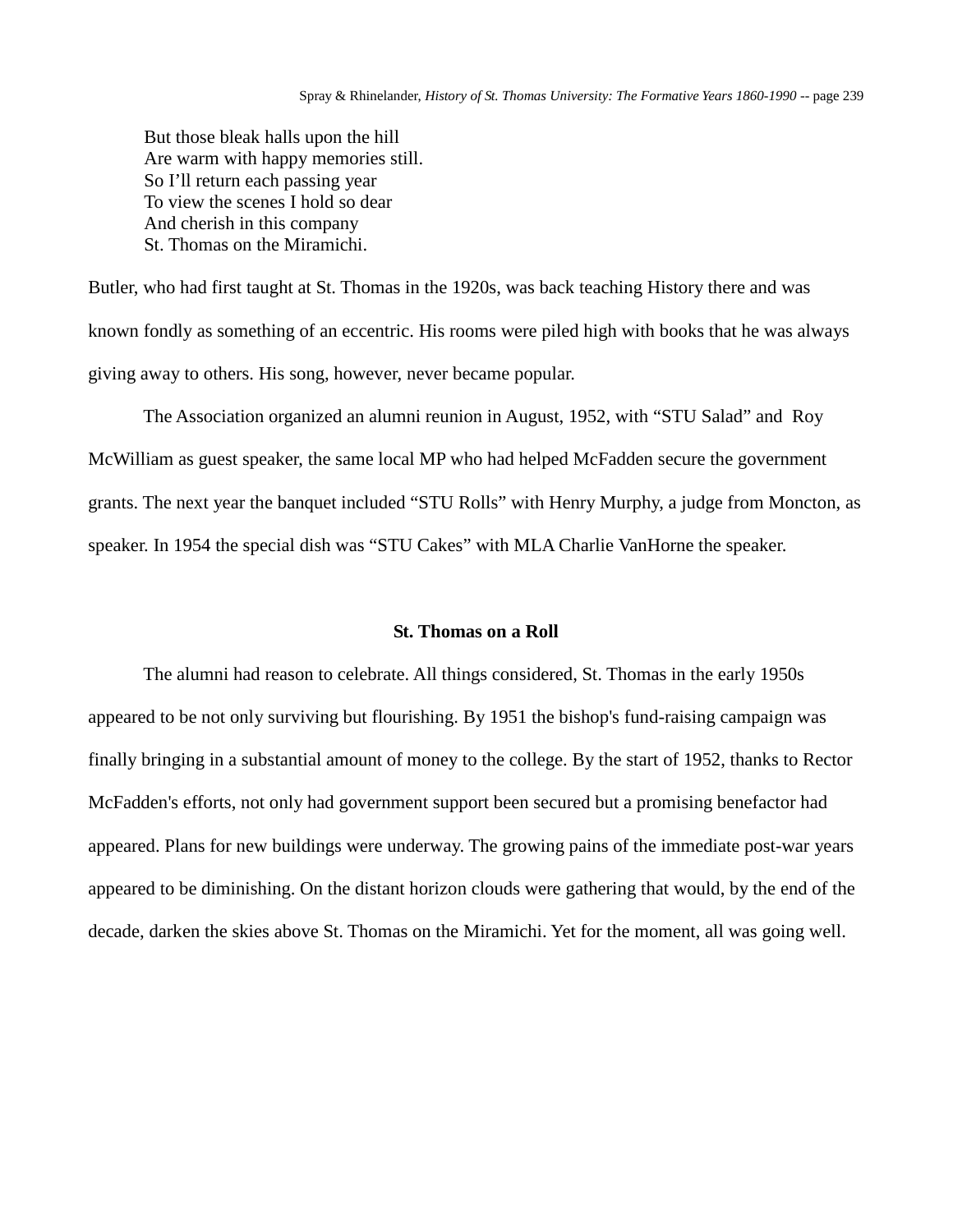But those bleak halls upon the hill Are warm with happy memories still. So I'll return each passing year To view the scenes I hold so dear And cherish in this company St. Thomas on the Miramichi.

Butler, who had first taught at St. Thomas in the 1920s, was back teaching History there and was known fondly as something of an eccentric. His rooms were piled high with books that he was always giving away to others. His song, however, never became popular.

The Association organized an alumni reunion in August, 1952, with "STU Salad" and Roy McWilliam as guest speaker, the same local MP who had helped McFadden secure the government grants. The next year the banquet included "STU Rolls" with Henry Murphy, a judge from Moncton, as speaker. In 1954 the special dish was "STU Cakes" with MLA Charlie VanHorne the speaker.

#### **St. Thomas on a Roll**

The alumni had reason to celebrate. All things considered, St. Thomas in the early 1950s appeared to be not only surviving but flourishing. By 1951 the bishop's fund-raising campaign was finally bringing in a substantial amount of money to the college. By the start of 1952, thanks to Rector McFadden's efforts, not only had government support been secured but a promising benefactor had appeared. Plans for new buildings were underway. The growing pains of the immediate post-war years appeared to be diminishing. On the distant horizon clouds were gathering that would, by the end of the decade, darken the skies above St. Thomas on the Miramichi. Yet for the moment, all was going well.